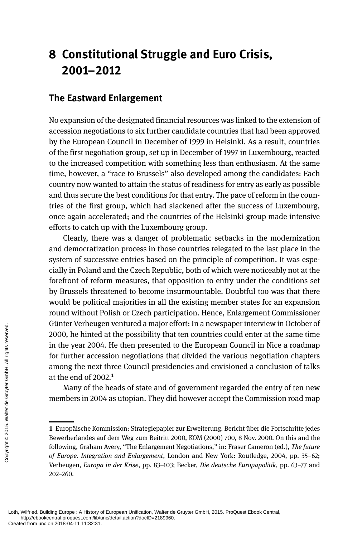# **8 Constitutional Struggle and Euro Crisis, 2001–2012**

## **The Eastward Enlargement**

No expansion of the designated financial resources was linked to the extension of accession negotiations to six further candidate countries that had been approved by the European Council in December of 1999 in Helsinki. As a result, countries of the first negotiation group, set up in December of 1997 in Luxembourg, reacted to the increased competition with something less than enthusiasm. At the same time, however, a "race to Brussels" also developed among the candidates: Each country now wanted to attain the status of readiness for entry as early as possible and thus secure the best conditions for that entry. The pace of reform in the countries of the first group, which had slackened after the success of Luxembourg, once again accelerated; and the countries of the Helsinki group made intensive efforts to catch up with the Luxembourg group.

Clearly, there was a danger of problematic setbacks in the modernization and democratization process in those countries relegated to the last place in the system of successive entries based on the principle of competition. It was especially in Poland and the Czech Republic, both of which were noticeably not at the forefront of reform measures, that opposition to entry under the conditions set by Brussels threatened to become insurmountable. Doubtful too was that there would be political majorities in all the existing member states for an expansion round without Polish or Czech participation. Hence, Enlargement Commissioner Günter Verheugen ventured a major effort: In a newspaper interview in October of 2000, he hinted at the possibility that ten countries could enter at the same time in the year 2004. He then presented to the European Council in Nice a roadmap for further accession negotiations that divided the various negotiation chapters among the next three Council presidencies and envisioned a conclusion of talks at the end of  $2002<sup>1</sup>$ From the year 2000, he hinted<br>
in the year 2004<br>
for further acce<br>
among the next<br>
at the end of 20<br>
Many of the<br>
members in 200<br>
members in 200<br>
Many of the<br>
members in 200<br>
Many of the<br>
members in 200<br>
Many of the<br>
memb

Many of the heads of state and of government regarded the entry of ten new members in 2004 as utopian. They did however accept the Commission road map

**<sup>1</sup>** Europäische Kommission: Strategiepapier zur Erweiterung. Bericht über die Fortschritte jedes Bewerberlandes auf dem Weg zum Beitritt 2000, KOM (2000) 700, 8 Nov. 2000. On this and the following, Graham Avery, "The Enlargement Negotiations," in: Fraser Cameron (ed.), *The future of Europe. Integration and Enlargement*, London and New York: Routledge, 2004, pp. 35–62; Verheugen, *Europa in der Krise*, pp. 83–103; Becker, *Die deutsche Europapolitik*, pp. 63–77 and 202–260.

Loth, Wilfried. Building Europe : A History of European Unification, Walter de Gruyter GmbH, 2015. ProQuest Ebook Central, http://ebookcentral.proquest.com/lib/unc/detail.action?docID=2189960.<br>Created from unc on 2018-04-11 11:32:31.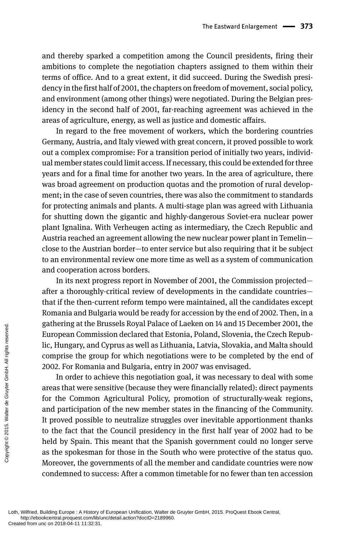and thereby sparked a competition among the Council presidents, firing their ambitions to complete the negotiation chapters assigned to them within their terms of office. And to a great extent, it did succeed. During the Swedish presidency in the first half of 2001, the chapters on freedom of movement, social policy, and environment (among other things) were negotiated. During the Belgian presidency in the second half of 2001, far-reaching agreement was achieved in the areas of agriculture, energy, as well as justice and domestic affairs.

In regard to the free movement of workers, which the bordering countries Germany, Austria, and Italy viewed with great concern, it proved possible to work out a complex compromise: For a transition period of initially two years, individual member states could limit access. If necessary, this could be extended for three years and for a final time for another two years. In the area of agriculture, there was broad agreement on production quotas and the promotion of rural development; in the case of seven countries, there was also the commitment to standards for protecting animals and plants. A multi-stage plan was agreed with Lithuania for shutting down the gigantic and highly-dangerous Soviet-era nuclear power plant Ignalina. With Verheugen acting as intermediary, the Czech Republic and Austria reached an agreement allowing the new nuclear power plant in Temelin close to the Austrian border—to enter service but also requiring that it be subject to an environmental review one more time as well as a system of communication and cooperation across borders.

In its next progress report in November of 2001, the Commission projected after a thoroughly-critical review of developments in the candidate countries that if the then-current reform tempo were maintained, all the candidates except Romania and Bulgaria would be ready for accession by the end of 2002. Then, in a gathering at the Brussels Royal Palace of Laeken on 14 and 15 December 2001, the European Commission declared that Estonia, Poland, Slovenia, the Czech Republic, Hungary, and Cyprus as well as Lithuania, Latvia, Slovakia, and Malta should comprise the group for which negotiations were to be completed by the end of 2002. For Romania and Bulgaria, entry in 2007 was envisaged.

In order to achieve this negotiation goal, it was necessary to deal with some areas that were sensitive (because they were financially related): direct payments for the Common Agricultural Policy, promotion of structurally-weak regions, and participation of the new member states in the financing of the Community. It proved possible to neutralize struggles over inevitable apportionment thanks to the fact that the Council presidency in the first half year of 2002 had to be held by Spain. This meant that the Spanish government could no longer serve as the spokesman for those in the South who were protective of the status quo. Moreover, the governments of all the member and candidate countries were now condemned to success: After a common timetable for no fewer than ten accession Besteining at the B<br>
European Commis<br>
lic, Hungary, and<br>
comprise the grou<br>
2002. For Romani<br>
In order to ac<br>
areas that were served<br>
for the Common<br>
and participation<br>
It proved possible<br>
to the fact that the<br>
held by Spa

Loth, Wilfried. Building Europe : A History of European Unification, Walter de Gruyter GmbH, 2015. ProQuest Ebook Central, http://ebookcentral.proquest.com/lib/unc/detail.action?docID=2189960.<br>Created from unc on 2018-04-11 11:32:31.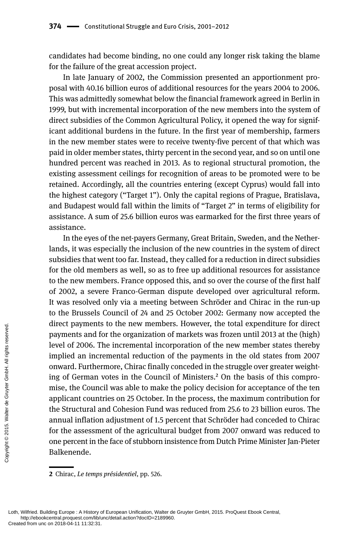candidates had become binding, no one could any longer risk taking the blame for the failure of the great accession project.

In late January of 2002, the Commission presented an apportionment proposal with 40.16 billion euros of additional resources for the years 2004 to 2006. This was admittedly somewhat below the financial framework agreed in Berlin in 1999, but with incremental incorporation of the new members into the system of direct subsidies of the Common Agricultural Policy, it opened the way for significant additional burdens in the future. In the first year of membership, farmers in the new member states were to receive twenty-five percent of that which was paid in older member states, thirty percent in the second year, and so on until one hundred percent was reached in 2013. As to regional structural promotion, the existing assessment ceilings for recognition of areas to be promoted were to be retained. Accordingly, all the countries entering (except Cyprus) would fall into the highest category ("Target 1"). Only the capital regions of Prague, Bratislava, and Budapest would fall within the limits of "Target 2" in terms of eligibility for assistance. A sum of 25.6 billion euros was earmarked for the first three years of assistance.

In the eyes of the net-payers Germany, Great Britain, Sweden, and the Netherlands, it was especially the inclusion of the new countries in the system of direct subsidies that went too far. Instead, they called for a reduction in direct subsidies for the old members as well, so as to free up additional resources for assistance to the new members. France opposed this, and so over the course of the first half of 2002, a severe Franco-German dispute developed over agricultural reform. It was resolved only via a meeting between Schröder and Chirac in the run-up to the Brussels Council of 24 and 25 October 2002: Germany now accepted the direct payments to the new members. However, the total expenditure for direct payments and for the organization of markets was frozen until 2013 at the (high) level of 2006. The incremental incorporation of the new member states thereby implied an incremental reduction of the payments in the old states from 2007 onward. Furthermore, Chirac finally conceded in the struggle over greater weighting of German votes in the Council of Ministers.2 On the basis of this compromise, the Council was able to make the policy decision for acceptance of the ten applicant countries on 25 October. In the process, the maximum contribution for the Structural and Cohesion Fund was reduced from 25.6 to 23 billion euros. The annual inflation adjustment of 1.5 percent that Schröder had conceded to Chirac for the assessment of the agricultural budget from 2007 onward was reduced to one percent in the face of stubborn insistence from Dutch Prime Minister Jan-Pieter Balkenende. Examples and From Uncell Payments and f<br>
Level of 2006. T<br>
implied an incr<br>
onward. Further<br>
ing of German<br>
mise, the Count<br>
applicant count<br>
the Structural a<br>
annual inflation<br>
for the assessm<br>
one percent in the Balkenen

**<sup>2</sup>** Chirac, *Le temps présidentiel*, pp. 526.

Loth, Wilfried. Building Europe : A History of European Unification, Walter de Gruyter GmbH, 2015. ProQuest Ebook Central, http://ebookcentral.proquest.com/lib/unc/detail.action?docID=2189960.<br>Created from unc on 2018-04-11 11:32:31.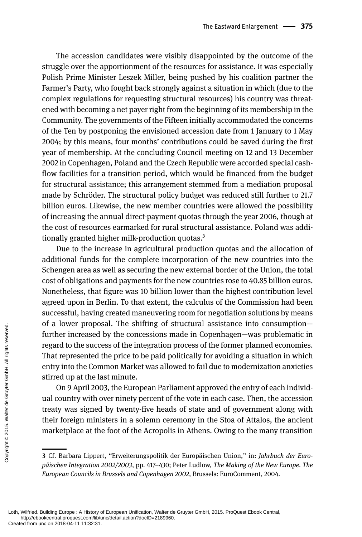The accession candidates were visibly disappointed by the outcome of the struggle over the apportionment of the resources for assistance. It was especially Polish Prime Minister Leszek Miller, being pushed by his coalition partner the Farmer's Party, who fought back strongly against a situation in which (due to the complex regulations for requesting structural resources) his country was threatened with becoming a net payer right from the beginning of its membership in the Community. The governments of the Fifteen initially accommodated the concerns of the Ten by postponing the envisioned accession date from 1 January to 1 May 2004; by this means, four months' contributions could be saved during the first year of membership. At the concluding Council meeting on 12 and 13 December 2002 in Copenhagen, Poland and the Czech Republic were accorded special cashflow facilities for a transition period, which would be financed from the budget for structural assistance; this arrangement stemmed from a mediation proposal made by Schröder. The structural policy budget was reduced still further to 21.7 billion euros. Likewise, the new member countries were allowed the possibility of increasing the annual direct-payment quotas through the year 2006, though at the cost of resources earmarked for rural structural assistance. Poland was additionally granted higher milk-production quotas.<sup>3</sup>

Due to the increase in agricultural production quotas and the allocation of additional funds for the complete incorporation of the new countries into the Schengen area as well as securing the new external border of the Union, the total cost of obligations and payments for the new countries rose to 40.85 billion euros. Nonetheless, that figure was 10 billion lower than the highest contribution level agreed upon in Berlin. To that extent, the calculus of the Commission had been successful, having created maneuvering room for negotiation solutions by means of a lower proposal. The shifting of structural assistance into consumption further increased by the concessions made in Copenhagen—was problematic in regard to the success of the integration process of the former planned economies. That represented the price to be paid politically for avoiding a situation in which entry into the Common Market was allowed to fail due to modernization anxieties stirred up at the last minute. Created from unc on 2018-04-11 11:32:31.<br>Created from unconception of the Successive Extract On 9 April 2001<br>all country with constant of the Long Superved.<br>That represented entry into the Constituted On 9 April 2001<br>all

On 9 April 2003, the European Parliament approved the entry of each individual country with over ninety percent of the vote in each case. Then, the accession treaty was signed by twenty-five heads of state and of government along with their foreign ministers in a solemn ceremony in the Stoa of Attalos, the ancient marketplace at the foot of the Acropolis in Athens. Owing to the many transition

**<sup>3</sup>** Cf. Barbara Lippert, "Erweiterungspolitik der Europäischen Union," in: *Jahrbuch der Europäischen Integration 2002/2003*, pp. 417–430; Peter Ludlow, *The Making of the New Europe. The European Councils in Brussels and Copenhagen 2002*, Brussels: EuroComment, 2004.

Loth, Wilfried. Building Europe : A History of European Unification, Walter de Gruyter GmbH, 2015. ProQuest Ebook Central, http://ebookcentral.proquest.com/lib/unc/detail.action?docID=2189960.<br>Created from unc on 2018-04-11 11:32:31.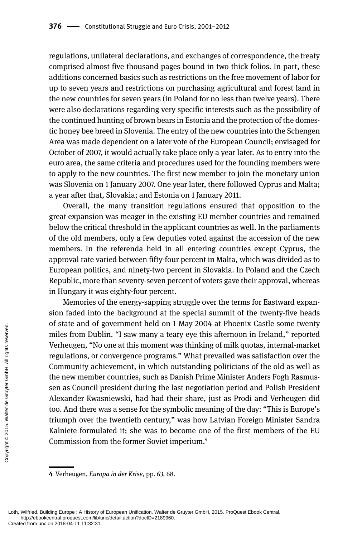regulations, unilateral declarations, and exchanges of correspondence, the treaty comprised almost five thousand pages bound in two thick folios. In part, these additions concerned basics such as restrictions on the free movement of labor for up to seven years and restrictions on purchasing agricultural and forest land in the new countries for seven years (in Poland for no less than twelve years). There were also declarations regarding very specific interests such as the possibility of the continued hunting of brown bears in Estonia and the protection of the domestic honey bee breed in Slovenia. The entry of the new countries into the Schengen Area was made dependent on a later vote of the European Council; envisaged for October of 2007, it would actually take place only a year later. As to entry into the euro area, the same criteria and procedures used for the founding members were to apply to the new countries. The first new member to join the monetary union was Slovenia on 1 January 2007. One year later, there followed Cyprus and Malta; a year after that, Slovakia; and Estonia on 1 January 2011.

Overall, the many transition regulations ensured that opposition to the great expansion was meager in the existing EU member countries and remained below the critical threshold in the applicant countries as well. In the parliaments of the old members, only a few deputies voted against the accession of the new members. In the referenda held in all entering countries except Cyprus, the approval rate varied between fifty-four percent in Malta, which was divided as to European politics, and ninety-two percent in Slovakia. In Poland and the Czech Republic, more than seventy-seven percent of voters gave their approval, whereas in Hungary it was eighty-four percent.

Memories of the energy-sapping struggle over the terms for Eastward expansion faded into the background at the special summit of the twenty-five heads of state and of government held on 1 May 2004 at Phoenix Castle some twenty miles from Dublin. "I saw many a teary eye this afternoon in Ireland," reported Verheugen, "No one at this moment was thinking of milk quotas, internal-market regulations, or convergence programs." What prevailed was satisfaction over the Community achievement, in which outstanding politicians of the old as well as the new member countries, such as Danish Prime Minister Anders Fogh Rasmussen as Council president during the last negotiation period and Polish President Alexander Kwasniewski, had had their share, just as Prodi and Verheugen did too. And there was a sense for the symbolic meaning of the day: "This is Europe's triumph over the twentieth century," was how Latvian Foreign Minister Sandra Kalniete formulated it; she was to become one of the first members of the EU Commission from the former Soviet imperium.4 Created from unc on 2018-04-11 11:32:31.<br>Created from unch Created from unch Created from unch of the Rev members see as Council property.<br>
See as Council Property Consumers reserved.<br>
See as Council Property Commission f

**<sup>4</sup>** Verheugen, *Europa in der Krise*, pp. 63, 68.

Loth, Wilfried. Building Europe : A History of European Unification, Walter de Gruyter GmbH, 2015. ProQuest Ebook Central, http://ebookcentral.proquest.com/lib/unc/detail.action?docID=2189960.<br>Created from unc on 2018-04-11 11:32:31.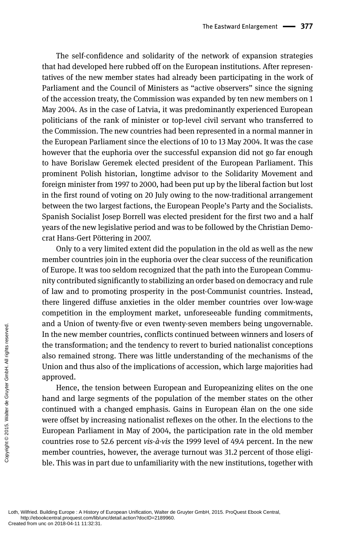The self-confidence and solidarity of the network of expansion strategies that had developed here rubbed off on the European institutions. After representatives of the new member states had already been participating in the work of Parliament and the Council of Ministers as "active observers" since the signing of the accession treaty, the Commission was expanded by ten new members on 1 May 2004. As in the case of Latvia, it was predominantly experienced European politicians of the rank of minister or top-level civil servant who transferred to the Commission. The new countries had been represented in a normal manner in the European Parliament since the elections of 10 to 13 May 2004. It was the case however that the euphoria over the successful expansion did not go far enough to have Borislaw Geremek elected president of the European Parliament. This prominent Polish historian, longtime advisor to the Solidarity Movement and foreign minister from 1997 to 2000, had been put up by the liberal faction but lost in the first round of voting on 20 July owing to the now-traditional arrangement between the two largest factions, the European People's Party and the Socialists. Spanish Socialist Josep Borrell was elected president for the first two and a half years of the new legislative period and was to be followed by the Christian Democrat Hans-Gert Pöttering in 2007.

Only to a very limited extent did the population in the old as well as the new member countries join in the euphoria over the clear success of the reunification of Europe. It was too seldom recognized that the path into the European Community contributed significantly to stabilizing an order based on democracy and rule of law and to promoting prosperity in the post-Communist countries. Instead, there lingered diffuse anxieties in the older member countries over low-wage competition in the employment market, unforeseeable funding commitments, and a Union of twenty-five or even twenty-seven members being ungovernable. In the new member countries, conflicts continued between winners and losers of the transformation; and the tendency to revert to buried nationalist conceptions also remained strong. There was little understanding of the mechanisms of the Union and thus also of the implications of accession, which large majorities had approved.

Hence, the tension between European and Europeanizing elites on the one hand and large segments of the population of the member states on the other continued with a changed emphasis. Gains in European élan on the one side were offset by increasing nationalist reflexes on the other. In the elections to the European Parliament in May of 2004, the participation rate in the old member countries rose to 52.6 percent *vis-à-vis* the 1999 level of 49.4 percent. In the new member countries, however, the average turnout was 31.2 percent of those eligible. This was in part due to unfamiliarity with the new institutions, together with From the transformation<br>
also remained str<br>
Union and thus al<br>
approved.<br>
Hence, the te<br>
hand and large served.<br>
Exerce the te<br>
de Gruyter offset by inc<br>
Exerce offset by inc<br>
European Parliam<br>
countries rose to<br>
inter-<br>
E

Loth, Wilfried. Building Europe : A History of European Unification, Walter de Gruyter GmbH, 2015. ProQuest Ebook Central, http://ebookcentral.proquest.com/lib/unc/detail.action?docID=2189960.<br>Created from unc on 2018-04-11 11:32:31.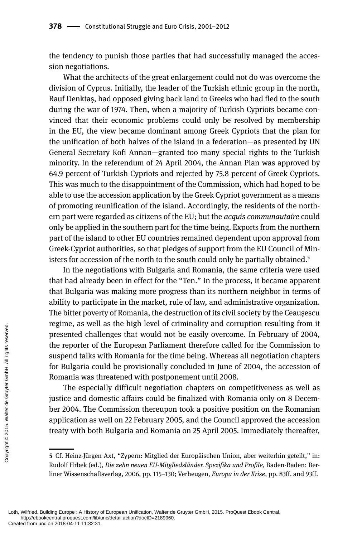the tendency to punish those parties that had successfully managed the accession negotiations.

What the architects of the great enlargement could not do was overcome the division of Cyprus. Initially, the leader of the Turkish ethnic group in the north, Rauf Denktaş, had opposed giving back land to Greeks who had fled to the south during the war of 1974. Then, when a majority of Turkish Cypriots became convinced that their economic problems could only be resolved by membership in the EU, the view became dominant among Greek Cypriots that the plan for the unification of both halves of the island in a federation—as presented by UN General Secretary Kofi Annan—granted too many special rights to the Turkish minority. In the referendum of 24 April 2004, the Annan Plan was approved by 64.9 percent of Turkish Cypriots and rejected by 75.8 percent of Greek Cypriots. This was much to the disappointment of the Commission, which had hoped to be able to use the accession application by the Greek Cypriot government as a means of promoting reunification of the island. Accordingly, the residents of the northern part were regarded as citizens of the EU; but the *acquis communautaire* could only be applied in the southern part for the time being. Exports from the northern part of the island to other EU countries remained dependent upon approval from Greek-Cypriot authorities, so that pledges of support from the EU Council of Ministers for accession of the north to the south could only be partially obtained.<sup>5</sup>

In the negotiations with Bulgaria and Romania, the same criteria were used that had already been in effect for the "Ten." In the process, it became apparent that Bulgaria was making more progress than its northern neighbor in terms of ability to participate in the market, rule of law, and administrative organization. The bitter poverty of Romania, the destruction of its civil society by the Ceauşescu regime, as well as the high level of criminality and corruption resulting from it presented challenges that would not be easily overcome. In February of 2004, the reporter of the European Parliament therefore called for the Commission to suspend talks with Romania for the time being. Whereas all negotiation chapters for Bulgaria could be provisionally concluded in June of 2004, the accession of Romania was threatened with postponement until 2008. Exempted chall<br>
the reporter of i<br>
suspend talks were for Bulgaria could all the reporter of i<br>
suspend talks were for Bulgaria could be application as the sepecial<br>
justice and domes be 2004. The C<br>
application as vertat

The especially difficult negotiation chapters on competitiveness as well as justice and domestic affairs could be finalized with Romania only on 8 December 2004. The Commission thereupon took a positive position on the Romanian application as well on 22 February 2005, and the Council approved the accession treaty with both Bulgaria and Romania on 25 April 2005. Immediately thereafter,

**<sup>5</sup>** Cf. Heinz-Jürgen Axt, "Zypern: Mitglied der Europäischen Union, aber weiterhin geteilt," in: Rudolf Hrbek (ed.), *Die zehn neuen EU-Mitgliedsländer. Spezifika und Profile*, Baden-Baden: Berliner Wissenschaftsverlag, 2006, pp. 115–130; Verheugen, *Europa in der Krise*, pp. 83ff. and 93ff.

Loth, Wilfried. Building Europe : A History of European Unification, Walter de Gruyter GmbH, 2015. ProQuest Ebook Central, http://ebookcentral.proquest.com/lib/unc/detail.action?docID=2189960.<br>Created from unc on 2018-04-11 11:32:31.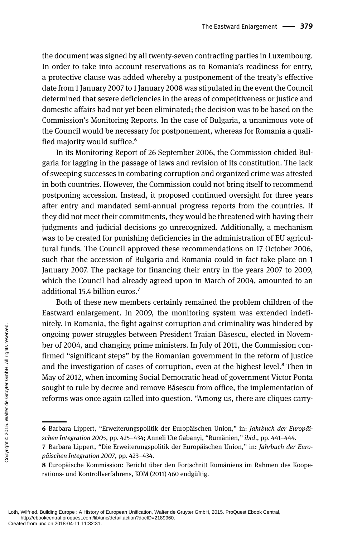the document was signed by all twenty-seven contracting parties in Luxembourg. In order to take into account reservations as to Romania's readiness for entry, a protective clause was added whereby a postponement of the treaty's effective date from 1 January 2007 to 1 January 2008 was stipulated in the event the Council determined that severe deficiencies in the areas of competitiveness or justice and domestic affairs had not yet been eliminated; the decision was to be based on the Commission's Monitoring Reports. In the case of Bulgaria, a unanimous vote of the Council would be necessary for postponement, whereas for Romania a qualified majority would suffice.6

In its Monitoring Report of 26 September 2006, the Commission chided Bulgaria for lagging in the passage of laws and revision of its constitution. The lack of sweeping successes in combating corruption and organized crime was attested in both countries. However, the Commission could not bring itself to recommend postponing accession. Instead, it proposed continued oversight for three years after entry and mandated semi-annual progress reports from the countries. If they did not meet their commitments, they would be threatened with having their judgments and judicial decisions go unrecognized. Additionally, a mechanism was to be created for punishing deficiencies in the administration of EU agricultural funds. The Council approved these recommendations on 17 October 2006, such that the accession of Bulgaria and Romania could in fact take place on 1 January 2007. The package for financing their entry in the years 2007 to 2009, which the Council had already agreed upon in March of 2004, amounted to an additional 15.4 billion euros.7

Both of these new members certainly remained the problem children of the Eastward enlargement. In 2009, the monitoring system was extended indefinitely. In Romania, the fight against corruption and criminality was hindered by ongoing power struggles between President Traian Băsescu, elected in November of 2004, and changing prime ministers. In July of 2011, the Commission confirmed "significant steps" by the Romanian government in the reform of justice and the investigation of cases of corruption, even at the highest level.<sup>8</sup> Then in May of 2012, when incoming Social Democratic head of government Victor Ponta sought to rule by decree and remove Băsescu from office, the implementation of reforms was once again called into question. "Among us, there are cliques carry-The composition of the investigation of the investigation and the investigation and the investigation of the sought to rule by reforms was once  $\frac{1}{2}$  and  $\frac{1}{2}$  and the investigation of the sought to rule by reforms

**<sup>6</sup>** Barbara Lippert, "Erweiterungspolitik der Europäischen Union," in: *Jahrbuch der Europäischen Integration 2005*, pp. 425–434; Anneli Ute Gabanyi, "Rumänien," *ibid*., pp. 441–444.

**<sup>7</sup>** Barbara Lippert, "Die Erweiterungspolitik der Europäischen Union," in: *Jahrbuch der Europäischen Integration 2007*, pp. 423–434.

**<sup>8</sup>** Europäische Kommission: Bericht über den Fortschritt Rumäniens im Rahmen des Kooperations- und Kontrollverfahrens, KOM (2011) 460 endgültig.

Loth, Wilfried. Building Europe : A History of European Unification, Walter de Gruyter GmbH, 2015. ProQuest Ebook Central, http://ebookcentral.proquest.com/lib/unc/detail.action?docID=2189960.<br>Created from unc on 2018-04-11 11:32:31.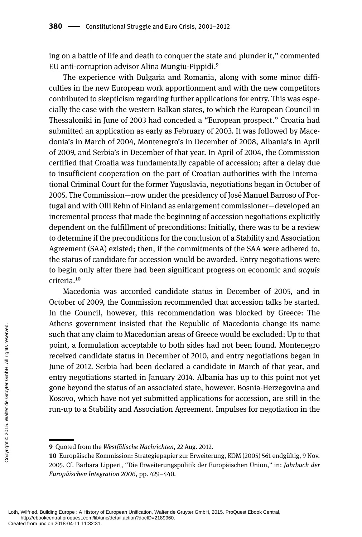ing on a battle of life and death to conquer the state and plunder it," commented EU anti-corruption advisor Alina Mungiu-Pippidi.9

The experience with Bulgaria and Romania, along with some minor difficulties in the new European work apportionment and with the new competitors contributed to skepticism regarding further applications for entry. This was especially the case with the western Balkan states, to which the European Council in Thessaloniki in June of 2003 had conceded a "European prospect." Croatia had submitted an application as early as February of 2003. It was followed by Macedonia's in March of 2004, Montenegro's in December of 2008, Albania's in April of 2009, and Serbia's in December of that year. In April of 2004, the Commission certified that Croatia was fundamentally capable of accession; after a delay due to insufficient cooperation on the part of Croatian authorities with the International Criminal Court for the former Yugoslavia, negotiations began in October of 2005. The Commission—now under the presidency of José Manuel Barroso of Portugal and with Olli Rehn of Finland as enlargement commissioner—developed an incremental process that made the beginning of accession negotiations explicitly dependent on the fulfillment of preconditions: Initially, there was to be a review to determine if the preconditions for the conclusion of a Stability and Association Agreement (SAA) existed; then, if the commitments of the SAA were adhered to, the status of candidate for accession would be awarded. Entry negotiations were to begin only after there had been significant progress on economic and *acquis* criteria.10

Macedonia was accorded candidate status in December of 2005, and in October of 2009, the Commission recommended that accession talks be started. In the Council, however, this recommendation was blocked by Greece: The Athens government insisted that the Republic of Macedonia change its name such that any claim to Macedonian areas of Greece would be excluded: Up to that point, a formulation acceptable to both sides had not been found. Montenegro received candidate status in December of 2010, and entry negotiations began in June of 2012. Serbia had been declared a candidate in March of that year, and entry negotiations started in January 2014. Albania has up to this point not yet gone beyond the status of an associated state, however. Bosnia-Herzegovina and Kosovo, which have not yet submitted applications for accession, are still in the run-up to a Stability and Association Agreement. Impulses for negotiation in the Provided from the and the Created from unc on 2018-04-11 11:32:31.<br>Created from uncontrol Created from uncontrol Created from uncontrol Created from uncon 2018-04-11 11:32:31.<br>Created from uncon 2018-04-11 11:32:31.<br>Create

**<sup>9</sup>** Quoted from the *Westfälische Nachrichten*, 22 Aug. 2012.

**<sup>10</sup>** Europäische Kommission: Strategiepapier zur Erweiterung, KOM (2005) 561 endgültig, 9 Nov. 2005. Cf. Barbara Lippert, "Die Erweiterungspolitik der Europäischen Union," in: *Jahrbuch der Europäischen Integration 2006*, pp. 429–440.

Loth, Wilfried. Building Europe : A History of European Unification, Walter de Gruyter GmbH, 2015. ProQuest Ebook Central, http://ebookcentral.proquest.com/lib/unc/detail.action?docID=2189960.<br>Created from unc on 2018-04-11 11:32:31.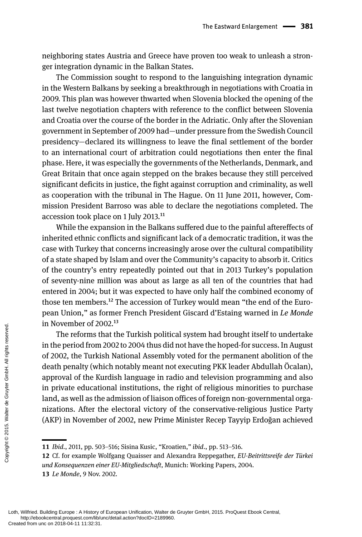neighboring states Austria and Greece have proven too weak to unleash a stronger integration dynamic in the Balkan States.

The Commission sought to respond to the languishing integration dynamic in the Western Balkans by seeking a breakthrough in negotiations with Croatia in 2009. This plan was however thwarted when Slovenia blocked the opening of the last twelve negotiation chapters with reference to the conflict between Slovenia and Croatia over the course of the border in the Adriatic. Only after the Slovenian government in September of 2009 had—under pressure from the Swedish Council presidency—declared its willingness to leave the final settlement of the border to an international court of arbitration could negotiations then enter the final phase. Here, it was especially the governments of the Netherlands, Denmark, and Great Britain that once again stepped on the brakes because they still perceived significant deficits in justice, the fight against corruption and criminality, as well as cooperation with the tribunal in The Hague. On 11 June 2011, however, Commission President Barroso was able to declare the negotiations completed. The accession took place on 1 July 2013.11

While the expansion in the Balkans suffered due to the painful aftereffects of inherited ethnic conflicts and significant lack of a democratic tradition, it was the case with Turkey that concerns increasingly arose over the cultural compatibility of a state shaped by Islam and over the Community's capacity to absorb it. Critics of the country's entry repeatedly pointed out that in 2013 Turkey's population of seventy-nine million was about as large as all ten of the countries that had entered in 2004; but it was expected to have only half the combined economy of those ten members.<sup>12</sup> The accession of Turkey would mean "the end of the European Union," as former French President Giscard d'Estaing warned in *Le Monde* in November of 2002.13

The reforms that the Turkish political system had brought itself to undertake in the period from 2002 to 2004 thus did not have the hoped-for success. In August of 2002, the Turkish National Assembly voted for the permanent abolition of the death penalty (which notably meant not executing PKK leader Abdullah Öcalan), approval of the Kurdish language in radio and television programming and also in private educational institutions, the right of religious minorities to purchase land, as well as the admission of liaison offices of foreign non-governmental organizations. After the electoral victory of the conservative-religious Justice Party (AKP) in November of 2002, new Prime Minister Recep Tayyip Erdoğan achieved The reforms that the period from<br>
the period from<br>
of 2002, the Turki<br>
death penalty (wh<br>
approval of the Ki<br>
in private educati<br>
land, as well as the<br>
mizations. After the<br>
(AKP) in Novembe<br>
served.<br>  $\frac{1}{2}$ <br>  $\frac{1}{2}$ 

**<sup>11</sup>** *Ibid.*, 2011, pp. 503–516; Sisina Kusic, "Kroatien," *ibid*., pp. 513–516.

**<sup>12</sup>** Cf. for example Wolfgang Quaisser and Alexandra Reppegather, *EU-Beitrittsreife der Türkei und Konsequenzen einer EU-Mitgliedschaft*, Munich: Working Papers, 2004.

**<sup>13</sup>** *Le Monde*, 9 Nov. 2002.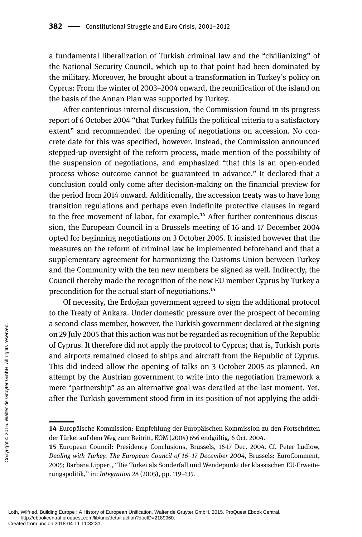a fundamental liberalization of Turkish criminal law and the "civilianizing" of the National Security Council, which up to that point had been dominated by the military. Moreover, he brought about a transformation in Turkey's policy on Cyprus: From the winter of 2003–2004 onward, the reunification of the island on the basis of the Annan Plan was supported by Turkey.

After contentious internal discussion, the Commission found in its progress report of 6 October 2004 "that Turkey fulfills the political criteria to a satisfactory extent" and recommended the opening of negotiations on accession. No concrete date for this was specified, however. Instead, the Commission announced stepped-up oversight of the reform process, made mention of the possibility of the suspension of negotiations, and emphasized "that this is an open-ended process whose outcome cannot be guaranteed in advance." It declared that a conclusion could only come after decision-making on the financial preview for the period from 2014 onward. Additionally, the accession treaty was to have long transition regulations and perhaps even indefinite protective clauses in regard to the free movement of labor, for example.<sup>14</sup> After further contentious discussion, the European Council in a Brussels meeting of 16 and 17 December 2004 opted for beginning negotiations on 3 October 2005. It insisted however that the measures on the reform of criminal law be implemented beforehand and that a supplementary agreement for harmonizing the Customs Union between Turkey and the Community with the ten new members be signed as well. Indirectly, the Council thereby made the recognition of the new EU member Cyprus by Turkey a precondition for the actual start of negotiations.15

Of necessity, the Erdoğan government agreed to sign the additional protocol to the Treaty of Ankara. Under domestic pressure over the prospect of becoming a second-class member, however, the Turkish government declared at the signing on 29 July 2005 that this action was not be regarded as recognition of the Republic of Cyprus. It therefore did not apply the protocol to Cyprus; that is, Turkish ports and airports remained closed to ships and aircraft from the Republic of Cyprus. This did indeed allow the opening of talks on 3 October 2005 as planned. An attempt by the Austrian government to write into the negotiation framework a mere "partnership" as an alternative goal was derailed at the last moment. Yet, after the Turkish government stood firm in its position of not applying the addi- $\frac{1}{2}$ <br>  $\frac{1}{2}$ <br>  $\frac{1}{2}$ <br>  $\frac{1}{2}$ <br>  $\frac{1}{2}$ <br>  $\frac{1}{2}$ <br>  $\frac{1}{2}$ <br>  $\frac{1}{2}$ <br>  $\frac{1}{2}$ <br>  $\frac{1}{2}$ <br>  $\frac{1}{2}$ <br>  $\frac{1}{2}$ <br>  $\frac{1}{2}$ <br>  $\frac{1}{2}$ <br>  $\frac{1}{2}$ <br>  $\frac{1}{2}$ <br>  $\frac{1}{2}$ <br>  $\frac{1}{2}$ <br>  $\frac{1}{2}$ <br>  $\frac{1}{2}$ <br>

Loth, Wilfried. Building Europe : A History of European Unification, Walter de Gruyter GmbH, 2015. ProQuest Ebook Central, http://ebookcentral.proquest.com/lib/unc/detail.action?docID=2189960.<br>Created from unc on 2018-04-11 11:32:31.

**<sup>14</sup>** Europäische Kommission: Empfehlung der Europäischen Kommission zu den Fortschritten der Türkei auf dem Weg zum Beitritt, KOM (2004) 656 endgültig, 6 Oct. 2004.

**<sup>15</sup>** European Council: Presidency Conclusions, Brussels, 16-17 Dec. 2004. Cf. Peter Ludlow, *Dealing with Turkey. The European Council of 16–17 December 2004*, Brussels: EuroComment, 2005; Barbara Lippert, "Die Türkei als Sonderfall und Wendepunkt der klassischen EU-Erweiterungspolitik," in: *Integration* 28 (2005), pp. 119–135.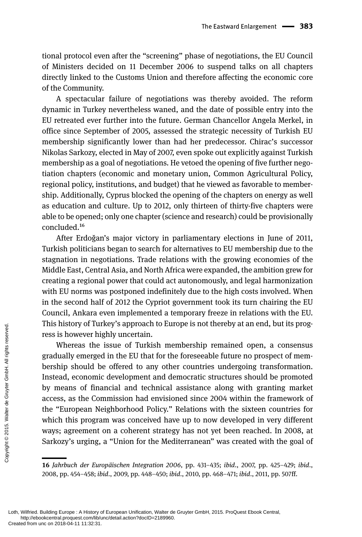tional protocol even after the "screening" phase of negotiations, the EU Council of Ministers decided on 11 December 2006 to suspend talks on all chapters directly linked to the Customs Union and therefore affecting the economic core of the Community.

A spectacular failure of negotiations was thereby avoided. The reform dynamic in Turkey nevertheless waned, and the date of possible entry into the EU retreated ever further into the future. German Chancellor Angela Merkel, in office since September of 2005, assessed the strategic necessity of Turkish EU membership significantly lower than had her predecessor. Chirac's successor Nikolas Sarkozy, elected in May of 2007, even spoke out explicitly against Turkish membership as a goal of negotiations. He vetoed the opening of five further negotiation chapters (economic and monetary union, Common Agricultural Policy, regional policy, institutions, and budget) that he viewed as favorable to membership. Additionally, Cyprus blocked the opening of the chapters on energy as well as education and culture. Up to 2012, only thirteen of thirty-five chapters were able to be opened; only one chapter (science and research) could be provisionally concluded.16

After Erdoğan's major victory in parliamentary elections in June of 2011, Turkish politicians began to search for alternatives to EU membership due to the stagnation in negotiations. Trade relations with the growing economies of the Middle East, Central Asia, and North Africa were expanded, the ambition grew for creating a regional power that could act autonomously, and legal harmonization with EU norms was postponed indefinitely due to the high costs involved. When in the second half of 2012 the Cypriot government took its turn chairing the EU Council, Ankara even implemented a temporary freeze in relations with the EU. This history of Turkey's approach to Europe is not thereby at an end, but its progress is however highly uncertain.

Whereas the issue of Turkish membership remained open, a consensus gradually emerged in the EU that for the foreseeable future no prospect of membership should be offered to any other countries undergoing transformation. Instead, economic development and democratic structures should be promoted by means of financial and technical assistance along with granting market access, as the Commission had envisioned since 2004 within the framework of the "European Neighborhood Policy." Relations with the sixteen countries for which this program was conceived have up to now developed in very different ways; agreement on a coherent strategy has not yet been reached. In 2008, at Sarkozy's urging, a "Union for the Mediterranean" was created with the goal of Trins instory of Tun<br>
ress is however hi<br>
engradually emerge<br>
bership should b<br>
Instead, economic<br>
by means of fina<br>
access, as the Cor<br>
the "European Newhich this programe<br>
ways; agreement<br>
Sarkozy's urging,<br> **16** *Jahrbu* 

**<sup>16</sup>** *Jahrbuch der Europäischen Integration 2006*, pp. 431–435; *ibid*., 2007, pp. 425–429; *ibid*., 2008, pp. 454–458; *ibid*., 2009, pp. 448–450; *ibid*., 2010, pp. 468–471; *ibid*., 2011, pp. 507ff.

Loth, Wilfried. Building Europe : A History of European Unification, Walter de Gruyter GmbH, 2015. ProQuest Ebook Central, http://ebookcentral.proquest.com/lib/unc/detail.action?docID=2189960.<br>Created from unc on 2018-04-11 11:32:31.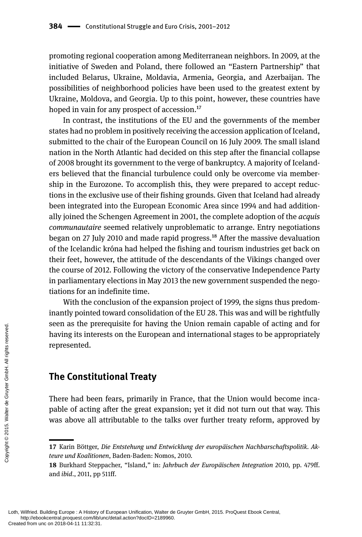promoting regional cooperation among Mediterranean neighbors. In 2009, at the initiative of Sweden and Poland, there followed an "Eastern Partnership" that included Belarus, Ukraine, Moldavia, Armenia, Georgia, and Azerbaijan. The possibilities of neighborhood policies have been used to the greatest extent by Ukraine, Moldova, and Georgia. Up to this point, however, these countries have hoped in vain for any prospect of accession.<sup>17</sup>

In contrast, the institutions of the EU and the governments of the member states had no problem in positively receiving the accession application of Iceland, submitted to the chair of the European Council on 16 July 2009. The small island nation in the North Atlantic had decided on this step after the financial collapse of 2008 brought its government to the verge of bankruptcy. A majority of Icelanders believed that the financial turbulence could only be overcome via membership in the Eurozone. To accomplish this, they were prepared to accept reductions in the exclusive use of their fishing grounds. Given that Iceland had already been integrated into the European Economic Area since 1994 and had additionally joined the Schengen Agreement in 2001, the complete adoption of the *acquis communautaire* seemed relatively unproblematic to arrange. Entry negotiations began on 27 July 2010 and made rapid progress.<sup>18</sup> After the massive devaluation of the Icelandic króna had helped the fishing and tourism industries get back on their feet, however, the attitude of the descendants of the Vikings changed over the course of 2012. Following the victory of the conservative Independence Party in parliamentary elections in May 2013 the new government suspended the negotiations for an indefinite time.

With the conclusion of the expansion project of 1999, the signs thus predominantly pointed toward consolidation of the EU 28. This was and will be rightfully seen as the prerequisite for having the Union remain capable of acting and for having its interests on the European and international stages to be appropriately represented.

## **The Constitutional Treaty**

There had been fears, primarily in France, that the Union would become incapable of acting after the great expansion; yet it did not turn out that way. This was above all attributable to the talks over further treaty reform, approved by Exercise the Steel as the precedent<br>
Exercise the Steel as the precedent<br>
Precedent Precedent Precedent<br>
Steel as a shown and the Steel and Steel as a shown and the Steel and Walter<br>
Steel as Steel and Reserved Kontinue a

**<sup>17</sup>** Karin Böttger, *Die Entstehung und Entwicklung der europäischen Nachbarschaftspolitik. Akteure und Koalitionen*, Baden-Baden: Nomos, 2010.

**<sup>18</sup>** Burkhard Steppacher, "Island," in: *Jahrbuch der Europäischen Integration* 2010, pp. 479ff. and *ibid*., 2011, pp 511ff.

Loth, Wilfried. Building Europe : A History of European Unification, Walter de Gruyter GmbH, 2015. ProQuest Ebook Central, http://ebookcentral.proquest.com/lib/unc/detail.action?docID=2189960.<br>Created from unc on 2018-04-11 11:32:31.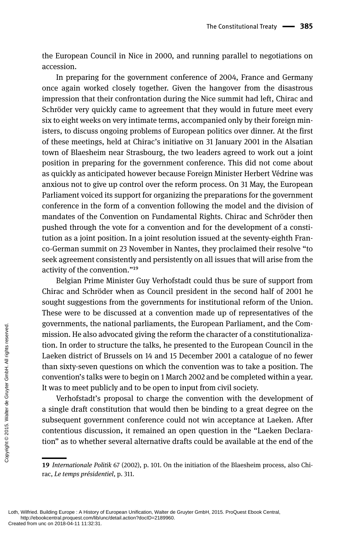the European Council in Nice in 2000, and running parallel to negotiations on accession.

In preparing for the government conference of 2004, France and Germany once again worked closely together. Given the hangover from the disastrous impression that their confrontation during the Nice summit had left, Chirac and Schröder very quickly came to agreement that they would in future meet every six to eight weeks on very intimate terms, accompanied only by their foreign ministers, to discuss ongoing problems of European politics over dinner. At the first of these meetings, held at Chirac's initiative on 31 January 2001 in the Alsatian town of Blaesheim near Strasbourg, the two leaders agreed to work out a joint position in preparing for the government conference. This did not come about as quickly as anticipated however because Foreign Minister Herbert Védrine was anxious not to give up control over the reform process. On 31 May, the European Parliament voiced its support for organizing the preparations for the government conference in the form of a convention following the model and the division of mandates of the Convention on Fundamental Rights. Chirac and Schröder then pushed through the vote for a convention and for the development of a constitution as a joint position. In a joint resolution issued at the seventy-eighth Franco-German summit on 23 November in Nantes, they proclaimed their resolve "to seek agreement consistently and persistently on all issues that will arise from the activity of the convention."19

Belgian Prime Minister Guy Verhofstadt could thus be sure of support from Chirac and Schröder when as Council president in the second half of 2001 he sought suggestions from the governments for institutional reform of the Union. These were to be discussed at a convention made up of representatives of the governments, the national parliaments, the European Parliament, and the Commission. He also advocated giving the reform the character of a constitutionalization. In order to structure the talks, he presented to the European Council in the Laeken district of Brussels on 14 and 15 December 2001 a catalogue of no fewer than sixty-seven questions on which the convention was to take a position. The convention's talks were to begin on 1 March 2002 and be completed within a year. It was to meet publicly and to be open to input from civil society. Bester mission. He also a<br>tion. In order to state<br>Laeken district of<br>than sixty-seven convention's talks<br>as it was to meet put<br>Verhofstadt's<br>a single draft con<br>subsequent gover<br>contentious discu<br>tion" as to whethe<br> $\frac{19}{$ 

Verhofstadt's proposal to charge the convention with the development of a single draft constitution that would then be binding to a great degree on the subsequent government conference could not win acceptance at Laeken. After contentious discussion, it remained an open question in the "Laeken Declaration" as to whether several alternative drafts could be available at the end of the

**<sup>19</sup>** *Internationale Politik* 67 (2002), p. 101. On the initiation of the Blaesheim process, also Chirac, *Le temps présidentiel*, p. 311.

Loth, Wilfried. Building Europe : A History of European Unification, Walter de Gruyter GmbH, 2015. ProQuest Ebook Central, http://ebookcentral.proquest.com/lib/unc/detail.action?docID=2189960.<br>Created from unc on 2018-04-11 11:32:31.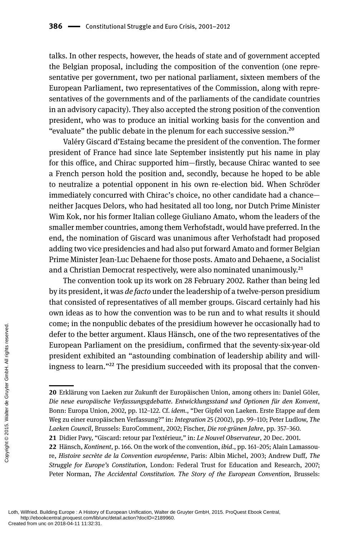talks. In other respects, however, the heads of state and of government accepted the Belgian proposal, including the composition of the convention (one representative per government, two per national parliament, sixteen members of the European Parliament, two representatives of the Commission, along with representatives of the governments and of the parliaments of the candidate countries in an advisory capacity). They also accepted the strong position of the convention president, who was to produce an initial working basis for the convention and "evaluate" the public debate in the plenum for each successive session.<sup>20</sup>

Valéry Giscard d'Estaing became the president of the convention. The former president of France had since late September insistently put his name in play for this office, and Chirac supported him—firstly, because Chirac wanted to see a French person hold the position and, secondly, because he hoped to be able to neutralize a potential opponent in his own re-election bid. When Schröder immediately concurred with Chirac's choice, no other candidate had a chance neither Jacques Delors, who had hesitated all too long, nor Dutch Prime Minister Wim Kok, nor his former Italian college Giuliano Amato, whom the leaders of the smaller member countries, among them Verhofstadt, would have preferred. In the end, the nomination of Giscard was unanimous after Verhofstadt had proposed adding two vice presidencies and had also put forward Amato and former Belgian Prime Minister Jean-Luc Dehaene for those posts. Amato and Dehaene, a Socialist and a Christian Democrat respectively, were also nominated unanimously.<sup>21</sup>

The convention took up its work on 28 February 2002. Rather than being led by its president, it was *de facto* under the leadership of a twelve-person presidium that consisted of representatives of all member groups. Giscard certainly had his own ideas as to how the convention was to be run and to what results it should come; in the nonpublic debates of the presidium however he occasionally had to defer to the better argument. Klaus Hänsch, one of the two representatives of the European Parliament on the presidium, confirmed that the seventy-six-year-old president exhibited an "astounding combination of leadership ability and willingness to learn."<sup>22</sup> The presidium succeeded with its proposal that the conven-Come; in the notice defer to the bett<br>
defer to the bett<br>
European Parlia<br>
president exhib<br>
ingness to learn<br>
20 Erklärung von<br> *Die neue europäis.*<br>
Bonn: Europa Unit<br>
Weg zu einer europäis.<br>
21 Didier Pavy, "G<br>
22 Hänsch

**<sup>20</sup>** Erklärung von Laeken zur Zukunft der Europäischen Union, among others in: Daniel Göler, *Die neue europäische Verfassungsgdebatte. Entwicklungsstand und Optionen für den Konvent*, Bonn: Europa Union, 2002, pp. 112–122. Cf. *idem*., "Der Gipfel von Laeken. Erste Etappe auf dem Weg zu einer europäischen Verfassung?" in: *Integration* 25 (2002), pp. 99–110; Peter Ludlow, *The Laeken Council*, Brussels: EuroComment, 2002; Fischer, *Die rot-grünen Jahre*, pp. 357–360.

**<sup>21</sup>** Didier Pavy, "Giscard: retour par l'extérieur," in: *Le Nouvel Observateur*, 20 Dec. 2001.

**<sup>22</sup>** Hänsch, *Kontinent*, p. 166. On the work of the convention, *ibid*., pp. 161–205; Alain Lamassoure, *Histoire secrète de la Convention européenne*, Paris: Albin Michel, 2003; Andrew Duff, *The Struggle for Europe's Constitution*, London: Federal Trust for Education and Research, 2007; Peter Norman, *The Accidental Constitution. The Story of the European Convention*, Brussels:

Loth, Wilfried. Building Europe : A History of European Unification, Walter de Gruyter GmbH, 2015. ProQuest Ebook Central, http://ebookcentral.proquest.com/lib/unc/detail.action?docID=2189960.<br>Created from unc on 2018-04-11 11:32:31.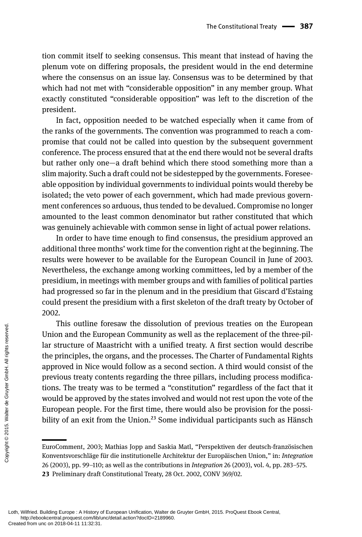tion commit itself to seeking consensus. This meant that instead of having the plenum vote on differing proposals, the president would in the end determine where the consensus on an issue lay. Consensus was to be determined by that which had not met with "considerable opposition" in any member group. What exactly constituted "considerable opposition" was left to the discretion of the president.

In fact, opposition needed to be watched especially when it came from of the ranks of the governments. The convention was programmed to reach a compromise that could not be called into question by the subsequent government conference. The process ensured that at the end there would not be several drafts but rather only one—a draft behind which there stood something more than a slim majority. Such a draft could not be sidestepped by the governments. Foreseeable opposition by individual governments to individual points would thereby be isolated; the veto power of each government, which had made previous government conferences so arduous, thus tended to be devalued. Compromise no longer amounted to the least common denominator but rather constituted that which was genuinely achievable with common sense in light of actual power relations.

In order to have time enough to find consensus, the presidium approved an additional three months' work time for the convention right at the beginning. The results were however to be available for the European Council in June of 2003. Nevertheless, the exchange among working committees, led by a member of the presidium, in meetings with member groups and with families of political parties had progressed so far in the plenum and in the presidium that Giscard d'Estaing could present the presidium with a first skeleton of the draft treaty by October of 2002.

This outline foresaw the dissolution of previous treaties on the European Union and the European Community as well as the replacement of the three-pillar structure of Maastricht with a unified treaty. A first section would describe the principles, the organs, and the processes. The Charter of Fundamental Rights approved in Nice would follow as a second section. A third would consist of the previous treaty contents regarding the three pillars, including process modifications. The treaty was to be termed a "constitution" regardless of the fact that it would be approved by the states involved and would not rest upon the vote of the European people. For the first time, there would also be provision for the possibility of an exit from the Union.<sup>23</sup> Some individual participants such as Hänsch This outline for Union and the Eurors of M<br>
the principles, the<br>
approved in Nice<br>
previous treaty co<br>
tions. The treaty v<br>
would be approve<br>
European people.<br>
bility of an exit fr<br>
served.<br>
EuroComment, 2003;<br>
Konventsvo

EuroComment, 2003; Mathias Jopp and Saskia Matl, "Perspektiven der deutsch-französischen Konventsvorschläge für die institutionelle Architektur der Europäischen Union," in: *Integration* 26 (2003), pp. 99–110; as well as the contributions in *Integration* 26 (2003), vol. 4, pp. 283–575. **23** Preliminary draft Constitutional Treaty, 28 Oct. 2002, CONV 369/02.

Loth, Wilfried. Building Europe : A History of European Unification, Walter de Gruyter GmbH, 2015. ProQuest Ebook Central, http://ebookcentral.proquest.com/lib/unc/detail.action?docID=2189960.<br>Created from unc on 2018-04-11 11:32:31.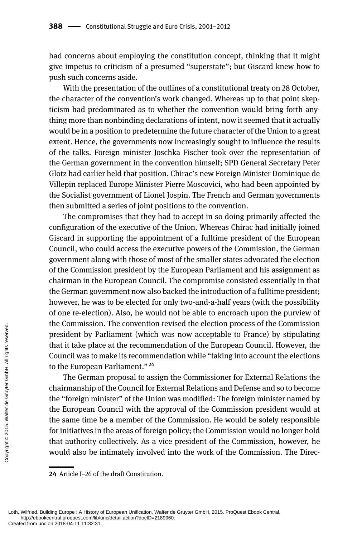had concerns about employing the constitution concept, thinking that it might give impetus to criticism of a presumed "superstate"; but Giscard knew how to push such concerns aside.

With the presentation of the outlines of a constitutional treaty on 28 October, the character of the convention's work changed. Whereas up to that point skepticism had predominated as to whether the convention would bring forth anything more than nonbinding declarations of intent, now it seemed that it actually would be in a position to predetermine the future character of the Union to a great extent. Hence, the governments now increasingly sought to influence the results of the talks. Foreign minister Joschka Fischer took over the representation of the German government in the convention himself; SPD General Secretary Peter Glotz had earlier held that position. Chirac's new Foreign Minister Dominique de Villepin replaced Europe Minister Pierre Moscovici, who had been appointed by the Socialist government of Lionel Jospin. The French and German governments then submitted a series of joint positions to the convention.

The compromises that they had to accept in so doing primarily affected the configuration of the executive of the Union. Whereas Chirac had initially joined Giscard in supporting the appointment of a fulltime president of the European Council, who could access the executive powers of the Commission, the German government along with those of most of the smaller states advocated the election of the Commission president by the European Parliament and his assignment as chairman in the European Council. The compromise consisted essentially in that the German government now also backed the introduction of a fulltime president; however, he was to be elected for only two-and-a-half years (with the possibility of one re-election). Also, he would not be able to encroach upon the purview of the Commission. The convention revised the election process of the Commission president by Parliament (which was now acceptable to France) by stipulating that it take place at the recommendation of the European Council. However, the Council was to make its recommendation while "taking into account the elections to the European Parliament."<sup>24</sup>

The German proposal to assign the Commissioner for External Relations the chairmanship of the Council for External Relations and Defense and so to become the "foreign minister" of the Union was modified: The foreign minister named by the European Council with the approval of the Commission president would at the same time be a member of the Commission. He would be solely responsible for initiatives in the areas of foreign policy; the Commission would no longer hold that authority collectively. As a vice president of the Commission, however, he would also be intimately involved into the work of the Commission. The Direc-The Collininssion<br>
president by Pa<br>
that it take place<br>
Council was to r<br>
to the European<br>
The German<br>
chairmanship o<br>
the "foreign min<br>
the European C<br>
the same time b<br>
for initiatives in<br>
that authority c<br>
would also be

**<sup>24</sup>** Article I–26 of the draft Constitution.

Loth, Wilfried. Building Europe : A History of European Unification, Walter de Gruyter GmbH, 2015. ProQuest Ebook Central, http://ebookcentral.proquest.com/lib/unc/detail.action?docID=2189960.<br>Created from unc on 2018-04-11 11:32:31.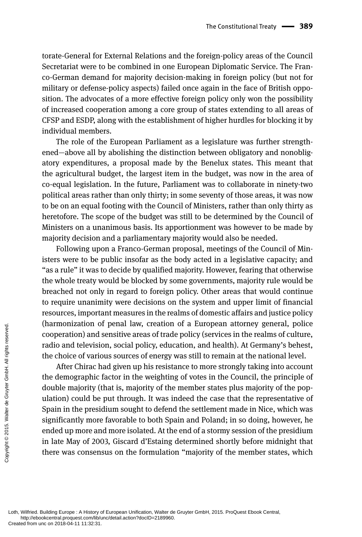torate-General for External Relations and the foreign-policy areas of the Council Secretariat were to be combined in one European Diplomatic Service. The Franco-German demand for majority decision-making in foreign policy (but not for military or defense-policy aspects) failed once again in the face of British opposition. The advocates of a more effective foreign policy only won the possibility of increased cooperation among a core group of states extending to all areas of CFSP and ESDP, along with the establishment of higher hurdles for blocking it by individual members.

The role of the European Parliament as a legislature was further strengthened—above all by abolishing the distinction between obligatory and nonobligatory expenditures, a proposal made by the Benelux states. This meant that the agricultural budget, the largest item in the budget, was now in the area of co-equal legislation. In the future, Parliament was to collaborate in ninety-two political areas rather than only thirty; in some seventy of those areas, it was now to be on an equal footing with the Council of Ministers, rather than only thirty as heretofore. The scope of the budget was still to be determined by the Council of Ministers on a unanimous basis. Its apportionment was however to be made by majority decision and a parliamentary majority would also be needed.

Following upon a Franco-German proposal, meetings of the Council of Ministers were to be public insofar as the body acted in a legislative capacity; and "as a rule" it was to decide by qualified majority. However, fearing that otherwise the whole treaty would be blocked by some governments, majority rule would be breached not only in regard to foreign policy. Other areas that would continue to require unanimity were decisions on the system and upper limit of financial resources, important measures in the realms of domestic affairs and justice policy (harmonization of penal law, creation of a European attorney general, police cooperation) and sensitive areas of trade policy (services in the realms of culture, radio and television, social policy, education, and health). At Germany's behest, the choice of various sources of energy was still to remain at the national level.

After Chirac had given up his resistance to more strongly taking into account the demographic factor in the weighting of votes in the Council, the principle of double majority (that is, majority of the member states plus majority of the population) could be put through. It was indeed the case that the representative of Spain in the presidium sought to defend the settlement made in Nice, which was significantly more favorable to both Spain and Poland; in so doing, however, he ended up more and more isolated. At the end of a stormy session of the presidium in late May of 2003, Giscard d'Estaing determined shortly before midnight that there was consensus on the formulation "majority of the member states, which Created from unc no 2018-04-11 11:32:31.<br>Created from uncondition of Created from unconditional Created from unconditional Created from uncondition of Created from uncondition of Created from uncondition of Created from un

Loth, Wilfried. Building Europe : A History of European Unification, Walter de Gruyter GmbH, 2015. ProQuest Ebook Central, http://ebookcentral.proquest.com/lib/unc/detail.action?docID=2189960.<br>Created from unc on 2018-04-11 11:32:31.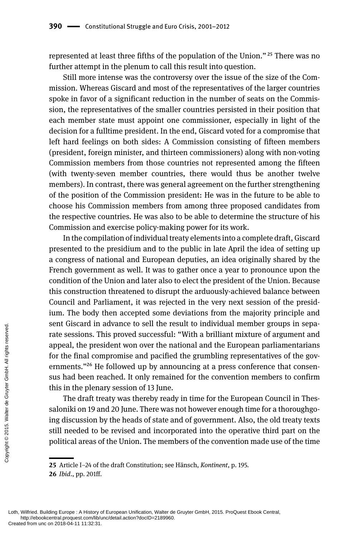represented at least three fifths of the population of the Union." 25 There was no further attempt in the plenum to call this result into question.

Still more intense was the controversy over the issue of the size of the Commission. Whereas Giscard and most of the representatives of the larger countries spoke in favor of a significant reduction in the number of seats on the Commission, the representatives of the smaller countries persisted in their position that each member state must appoint one commissioner, especially in light of the decision for a fulltime president. In the end, Giscard voted for a compromise that left hard feelings on both sides: A Commission consisting of fifteen members (president, foreign minister, and thirteen commissioners) along with non-voting Commission members from those countries not represented among the fifteen (with twenty-seven member countries, there would thus be another twelve members). In contrast, there was general agreement on the further strengthening of the position of the Commission president: He was in the future to be able to choose his Commission members from among three proposed candidates from the respective countries. He was also to be able to determine the structure of his Commission and exercise policy-making power for its work.

In the compilation of individual treaty elements into a complete draft, Giscard presented to the presidium and to the public in late April the idea of setting up a congress of national and European deputies, an idea originally shared by the French government as well. It was to gather once a year to pronounce upon the condition of the Union and later also to elect the president of the Union. Because this construction threatened to disrupt the arduously-achieved balance between Council and Parliament, it was rejected in the very next session of the presidium. The body then accepted some deviations from the majority principle and sent Giscard in advance to sell the result to individual member groups in separate sessions. This proved successful: "With a brilliant mixture of argument and appeal, the president won over the national and the European parliamentarians for the final compromise and pacified the grumbling representatives of the governments."<sup>26</sup> He followed up by announcing at a press conference that consensus had been reached. It only remained for the convention members to confirm this in the plenary session of 13 June. From the final control of the final control of the final contributions.<br>
The sum and been referred from this in the plent<br>
Signal rights in the plent<br>
Signal rights reserved.<br>
The draft trip saloniki on 19 and ing discuss

The draft treaty was thereby ready in time for the European Council in Thessaloniki on 19 and 20 June. There was not however enough time for a thoroughgoing discussion by the heads of state and of government. Also, the old treaty texts still needed to be revised and incorporated into the operative third part on the political areas of the Union. The members of the convention made use of the time

**<sup>25</sup>** Article I–24 of the draft Constitution; see Hänsch, *Kontinent*, p. 195.

**<sup>26</sup>** *Ibid*., pp. 201ff.

Loth, Wilfried. Building Europe : A History of European Unification, Walter de Gruyter GmbH, 2015. ProQuest Ebook Central, http://ebookcentral.proquest.com/lib/unc/detail.action?docID=2189960.<br>Created from unc on 2018-04-11 11:32:31.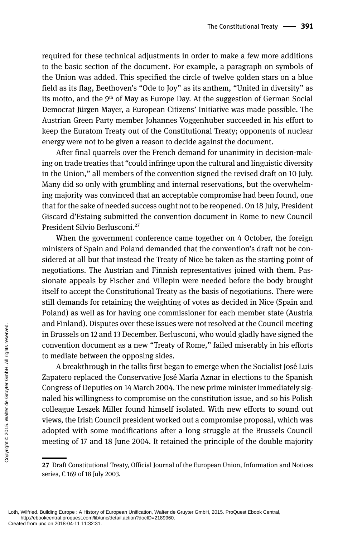required for these technical adjustments in order to make a few more additions to the basic section of the document. For example, a paragraph on symbols of the Union was added. This specified the circle of twelve golden stars on a blue field as its flag, Beethoven's "Ode to Joy" as its anthem, "United in diversity" as its motto, and the  $9<sup>th</sup>$  of May as Europe Day. At the suggestion of German Social Democrat Jürgen Mayer, a European Citizens' Initiative was made possible. The Austrian Green Party member Johannes Voggenhuber succeeded in his effort to keep the Euratom Treaty out of the Constitutional Treaty; opponents of nuclear energy were not to be given a reason to decide against the document.

After final quarrels over the French demand for unanimity in decision-making on trade treaties that "could infringe upon the cultural and linguistic diversity in the Union," all members of the convention signed the revised draft on 10 July. Many did so only with grumbling and internal reservations, but the overwhelming majority was convinced that an acceptable compromise had been found, one that for the sake of needed success ought not to be reopened. On 18 July, President Giscard d'Estaing submitted the convention document in Rome to new Council President Silvio Berlusconi.27

When the government conference came together on 4 October, the foreign ministers of Spain and Poland demanded that the convention's draft not be considered at all but that instead the Treaty of Nice be taken as the starting point of negotiations. The Austrian and Finnish representatives joined with them. Passionate appeals by Fischer and Villepin were needed before the body brought itself to accept the Constitutional Treaty as the basis of negotiations. There were still demands for retaining the weighting of votes as decided in Nice (Spain and Poland) as well as for having one commissioner for each member state (Austria and Finland). Disputes over these issues were not resolved at the Council meeting in Brussels on 12 and 13 December. Berlusconi, who would gladly have signed the convention document as a new "Treaty of Rome," failed miserably in his efforts to mediate between the opposing sides.

A breakthrough in the talks first began to emerge when the Socialist José Luis Zapatero replaced the Conservative José María Aznar in elections to the Spanish Congress of Deputies on 14 March 2004. The new prime minister immediately signaled his willingness to compromise on the constitution issue, and so his Polish colleague Leszek Miller found himself isolated. With new efforts to sound out views, the Irish Council president worked out a compromise proposal, which was adopted with some modifications after a long struggle at the Brussels Council meeting of 17 and 18 June 2004. It retained the principle of the double majority From Experimentation of 17 and the Created from unc on 2018-04-11 11:32:31.<br>
Loth, Wilfried. Building Europe : A History Created from unc on 2018-04-11 11:32:31.<br>
Created from unc on 2018-04-11 11:32:31.<br>
Created from unc

**<sup>27</sup>** Draft Constitutional Treaty, Official Journal of the European Union, Information and Notices series, C 169 of 18 July 2003.

Loth, Wilfried. Building Europe : A History of European Unification, Walter de Gruyter GmbH, 2015. ProQuest Ebook Central, http://ebookcentral.proquest.com/lib/unc/detail.action?docID=2189960.<br>Created from unc on 2018-04-11 11:32:31.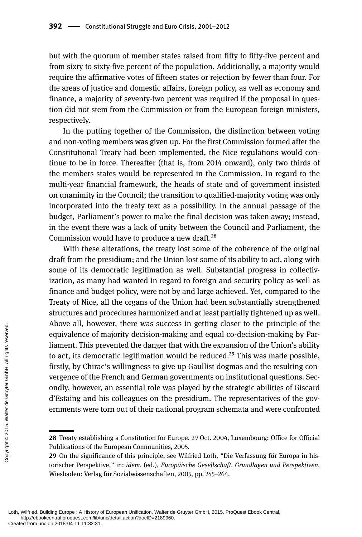but with the quorum of member states raised from fifty to fifty-five percent and from sixty to sixty-five percent of the population. Additionally, a majority would require the affirmative votes of fifteen states or rejection by fewer than four. For the areas of justice and domestic affairs, foreign policy, as well as economy and finance, a majority of seventy-two percent was required if the proposal in question did not stem from the Commission or from the European foreign ministers, respectively.

In the putting together of the Commission, the distinction between voting and non-voting members was given up. For the first Commission formed after the Constitutional Treaty had been implemented, the Nice regulations would continue to be in force. Thereafter (that is, from 2014 onward), only two thirds of the members states would be represented in the Commission. In regard to the multi-year financial framework, the heads of state and of government insisted on unanimity in the Council; the transition to qualified-majority voting was only incorporated into the treaty text as a possibility. In the annual passage of the budget, Parliament's power to make the final decision was taken away; instead, in the event there was a lack of unity between the Council and Parliament, the Commission would have to produce a new draft.<sup>28</sup>

With these alterations, the treaty lost some of the coherence of the original draft from the presidium; and the Union lost some of its ability to act, along with some of its democratic legitimation as well. Substantial progress in collectivization, as many had wanted in regard to foreign and security policy as well as finance and budget policy, were not by and large achieved. Yet, compared to the Treaty of Nice, all the organs of the Union had been substantially strengthened structures and procedures harmonized and at least partially tightened up as well. Above all, however, there was success in getting closer to the principle of the equivalence of majority decision-making and equal co-decision-making by Parliament. This prevented the danger that with the expansion of the Union's ability to act, its democratic legitimation would be reduced.<sup>29</sup> This was made possible, firstly, by Chirac's willingness to give up Gaullist dogmas and the resulting convergence of the French and German governments on institutional questions. Secondly, however, an essential role was played by the strategic abilities of Giscard d'Estaing and his colleagues on the presidium. The representatives of the governments were torn out of their national program schemata and were confronted From the example and the control of a liament. This propriet of the control of the conduction of the conduction of the conduction of the 29 On the significe torischer Perspektt Wiesbaden: Verlage Loth, Wilfried. Building E

**<sup>28</sup>** Treaty establishing a Constitution for Europe. 29 Oct. 2004, Luxembourg: Office for Official Publications of the European Communities, 2005.

**<sup>29</sup>** On the significance of this principle, see Wilfried Loth, "Die Verfassung für Europa in historischer Perspektive," in: *idem*. (ed.), *Europäische Gesellschaft. Grundlagen und Perspektiven*, Wiesbaden: Verlag für Sozialwissenschaften, 2005, pp. 245–264.

Loth, Wilfried. Building Europe : A History of European Unification, Walter de Gruyter GmbH, 2015. ProQuest Ebook Central, http://ebookcentral.proquest.com/lib/unc/detail.action?docID=2189960.<br>Created from unc on 2018-04-11 11:32:31.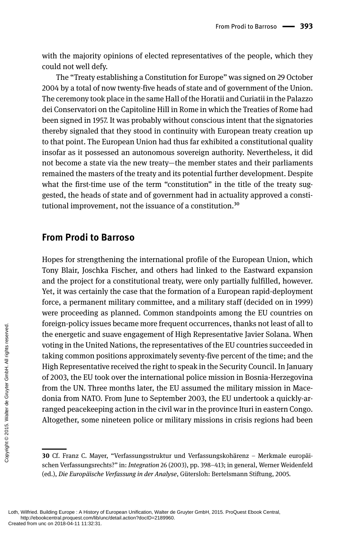with the majority opinions of elected representatives of the people, which they could not well defy.

The "Treaty establishing a Constitution for Europe" was signed on 29 October 2004 by a total of now twenty-five heads of state and of government of the Union. The ceremony took place in the same Hall of the Horatii and Curiatii in the Palazzo dei Conservatori on the Capitoline Hill in Rome in which the Treaties of Rome had been signed in 1957. It was probably without conscious intent that the signatories thereby signaled that they stood in continuity with European treaty creation up to that point. The European Union had thus far exhibited a constitutional quality insofar as it possessed an autonomous sovereign authority. Nevertheless, it did not become a state via the new treaty—the member states and their parliaments remained the masters of the treaty and its potential further development. Despite what the first-time use of the term "constitution" in the title of the treaty suggested, the heads of state and of government had in actuality approved a constitutional improvement, not the issuance of a constitution.30

### **From Prodi to Barroso**

Hopes for strengthening the international profile of the European Union, which Tony Blair, Joschka Fischer, and others had linked to the Eastward expansion and the project for a constitutional treaty, were only partially fulfilled, however. Yet, it was certainly the case that the formation of a European rapid-deployment force, a permanent military committee, and a military staff (decided on in 1999) were proceeding as planned. Common standpoints among the EU countries on foreign-policy issues became more frequent occurrences, thanks not least of all to the energetic and suave engagement of High Representative Javier Solana. When voting in the United Nations, the representatives of the EU countries succeeded in taking common positions approximately seventy-five percent of the time; and the High Representative received the right to speak in the Security Council. In January of 2003, the EU took over the international police mission in Bosnia-Herzegovina from the UN. Three months later, the EU assumed the military mission in Macedonia from NATO. From June to September 2003, the EU undertook a quickly-arranged peacekeeping action in the civil war in the province Ituri in eastern Congo. Altogether, some nineteen police or military missions in crisis regions had been The energetic and<br>
the energetic and<br>
taking common po<br>
High Representati<br>
of 2003, the EU to<br>
from the UN. Three<br>
donia from NATO.<br>
ranged peacekeep<br>
Altogether, some<br>
since<br>
since<br>
since<br> **30** Cf. Franz C. May<br>
schen Ver

**<sup>30</sup>** Cf. Franz C. Mayer, "Verfassungsstruktur und Verfassungskohärenz – Merkmale europäischen Verfassungsrechts?" in: *Integration* 26 (2003), pp. 398–413; in general, Werner Weidenfeld (ed.), *Die Europäische Verfassung in der Analyse*, Gütersloh: Bertelsmann Stiftung, 2005.

Loth, Wilfried. Building Europe : A History of European Unification, Walter de Gruyter GmbH, 2015. ProQuest Ebook Central, http://ebookcentral.proquest.com/lib/unc/detail.action?docID=2189960.<br>Created from unc on 2018-04-11 11:32:31.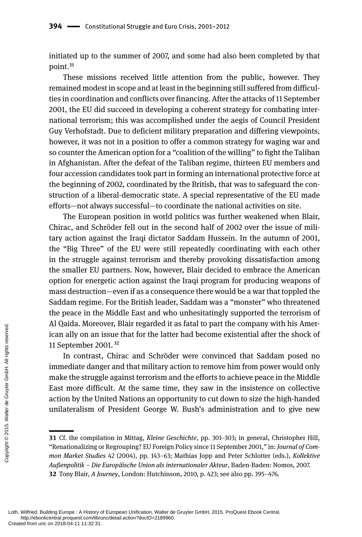initiated up to the summer of 2007, and some had also been completed by that point.31

These missions received little attention from the public, however. They remained modest in scope and at least in the beginning still suffered from difficulties in coordination and conflicts over financing. After the attacks of 11 September 2001, the EU did succeed in developing a coherent strategy for combating international terrorism; this was accomplished under the aegis of Council President Guy Verhofstadt. Due to deficient military preparation and differing viewpoints, however, it was not in a position to offer a common strategy for waging war and so counter the American option for a "coalition of the willing" to fight the Taliban in Afghanistan. After the defeat of the Taliban regime, thirteen EU members and four accession candidates took part in forming an international protective force at the beginning of 2002, coordinated by the British, that was to safeguard the construction of a liberal-democratic state. A special representative of the EU made efforts—not always successful—to coordinate the national activities on site.

The European position in world politics was further weakened when Blair, Chirac, and Schröder fell out in the second half of 2002 over the issue of military action against the Iraqi dictator Saddam Hussein. In the autumn of 2001, the "Big Three" of the EU were still repeatedly coordinating with each other in the struggle against terrorism and thereby provoking dissatisfaction among the smaller EU partners. Now, however, Blair decided to embrace the American option for energetic action against the Iraqi program for producing weapons of mass destruction—even if as a consequence there would be a war that toppled the Saddam regime. For the British leader, Saddam was a "monster" who threatened the peace in the Middle East and who unhesitatingly supported the terrorism of Al Qaida. Moreover, Blair regarded it as fatal to part the company with his American ally on an issue that for the latter had become existential after the shock of 11 September 2001.32

In contrast, Chirac and Schröder were convinced that Saddam posed no immediate danger and that military action to remove him from power would only make the struggle against terrorism and the efforts to achieve peace in the Middle East more difficult. At the same time, they saw in the insistence on collective action by the United Nations an opportunity to cut down to size the high-handed unilateralism of President George W. Bush's administration and to give new From 11 September 20<br>
ican ally on an<br>
11 September 20<br>
In contrast<br>
immediate dang<br>
make the strugg<br>
East more diffice<br>
action by the Urunilateralism on<br>
unilateralism on<br>
Served.<br>
Served.<br>
Served. Building Europe : A Hi

**<sup>31</sup>** Cf. the compilation in Mittag, *Kleine Geschichte*, pp. 301–303; in general, Christopher Hill, "Renationalizing or Regrouping? EU Foreign Policy since 11 September 2001," in: *Journal of Common Market Studies* 42 (2004), pp. 143–63; Mathias Jopp and Peter Schlotter (eds.), *Kollektive Außenpolitik – Die Europäische Union als internationaler Akteur*, Baden-Baden: Nomos, 2007. **32** Tony Blair, *A Journey*, London: Hutchinson, 2010, p. 423; see also pp. 395–476.

Loth, Wilfried. Building Europe : A History of European Unification, Walter de Gruyter GmbH, 2015. ProQuest Ebook Central, http://ebookcentral.proquest.com/lib/unc/detail.action?docID=2189960.<br>Created from unc on 2018-04-11 11:32:31.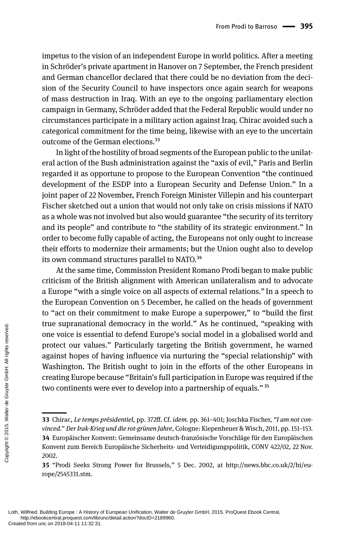impetus to the vision of an independent Europe in world politics. After a meeting in Schröder's private apartment in Hanover on 7 September, the French president and German chancellor declared that there could be no deviation from the decision of the Security Council to have inspectors once again search for weapons of mass destruction in Iraq. With an eye to the ongoing parliamentary election campaign in Germany, Schröder added that the Federal Republic would under no circumstances participate in a military action against Iraq. Chirac avoided such a categorical commitment for the time being, likewise with an eye to the uncertain outcome of the German elections.33

In light of the hostility of broad segments of the European public to the unilateral action of the Bush administration against the "axis of evil," Paris and Berlin regarded it as opportune to propose to the European Convention "the continued development of the ESDP into a European Security and Defense Union." In a joint paper of 22 November, French Foreign Minister Villepin and his counterpart Fischer sketched out a union that would not only take on crisis missions if NATO as a whole was not involved but also would guarantee "the security of its territory and its people" and contribute to "the stability of its strategic environment." In order to become fully capable of acting, the Europeans not only ought to increase their efforts to modernize their armaments; but the Union ought also to develop its own command structures parallel to NATO.<sup>34</sup>

At the same time, Commission President Romano Prodi began to make public criticism of the British alignment with American unilateralism and to advocate a Europe "with a single voice on all aspects of external relations." In a speech to the European Convention on 5 December, he called on the heads of government to "act on their commitment to make Europe a superpower," to "build the first true supranational democracy in the world." As he continued, "speaking with one voice is essential to defend Europe's social model in a globalised world and protect our values." Particularly targeting the British government, he warned against hopes of having influence via nurturing the "special relationship" with Washington. The British ought to join in the efforts of the other Europeans in creating Europe because "Britain's full participation in Europe was required if the two continents were ever to develop into a partnership of equals." 35 The superation of the superations one voice is essen<br>protect our value<br>against hopes of i<br>Washington. The<br>creating Europe b<br>two continents we<br>served." Der Irak-Krie<br> $\frac{9}{25}$ <br> $\frac{9}{24}$ <br> $\frac{1}{24}$  Europäischer Kon<br>Konven

**<sup>33</sup>** Chirac, *Le temps présidentiel*, pp. 372ff. Cf. *idem*. pp. 361–401; Joschka Fischer, *"I am not convinced.*" *Der Irak-Krieg und die rot-grünen Jahre*, Cologne: Kiepenheuer & Wisch, 2011, pp. 151–153. **34** Europäischer Konvent: Gemeinsame deutsch-französische Vorschläge für den Europäischen Konvent zum Bereich Europäische Sicherheits- und Verteidigungspolitik, CONV 422/02, 22 Nov. 2002.

**<sup>35</sup>** "Prodi Seeks Strong Power for Brussels," 5 Dec. 2002, at http://news.bbc.co.uk/2/hi/europe/2545331.stm.

Loth, Wilfried. Building Europe : A History of European Unification, Walter de Gruyter GmbH, 2015. ProQuest Ebook Central, http://ebookcentral.proquest.com/lib/unc/detail.action?docID=2189960.<br>Created from unc on 2018-04-11 11:32:31.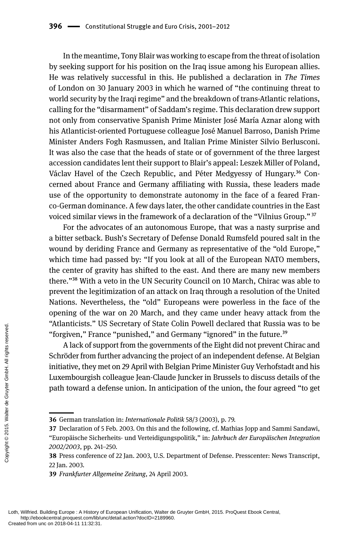In the meantime, Tony Blair was working to escape from the threat of isolation by seeking support for his position on the Iraq issue among his European allies. He was relatively successful in this. He published a declaration in *The Times* of London on 30 January 2003 in which he warned of "the continuing threat to world security by the Iraqi regime" and the breakdown of trans-Atlantic relations, calling for the "disarmament" of Saddam's regime. This declaration drew support not only from conservative Spanish Prime Minister José María Aznar along with his Atlanticist-oriented Portuguese colleague José Manuel Barroso, Danish Prime Minister Anders Fogh Rasmussen, and Italian Prime Minister Silvio Berlusconi. It was also the case that the heads of state or of government of the three largest accession candidates lent their support to Blair's appeal: Leszek Miller of Poland, Václav Havel of the Czech Republic, and Péter Medgyessy of Hungary.36 Concerned about France and Germany affiliating with Russia, these leaders made use of the opportunity to demonstrate autonomy in the face of a feared Franco-German dominance. A few days later, the other candidate countries in the East voiced similar views in the framework of a declaration of the "Vilnius Group." 37

For the advocates of an autonomous Europe, that was a nasty surprise and a bitter setback. Bush's Secretary of Defense Donald Rumsfeld poured salt in the wound by deriding France and Germany as representative of the "old Europe," which time had passed by: "If you look at all of the European NATO members, the center of gravity has shifted to the east. And there are many new members there."38 With a veto in the UN Security Council on 10 March, Chirac was able to prevent the legitimization of an attack on Iraq through a resolution of the United Nations. Nevertheless, the "old" Europeans were powerless in the face of the opening of the war on 20 March, and they came under heavy attack from the "Atlanticists." US Secretary of State Colin Powell declared that Russia was to be "forgiven," France "punished," and Germany "ignored" in the future.<sup>39</sup>

A lack of support from the governments of the Eight did not prevent Chirac and Schröder from further advancing the project of an independent defense. At Belgian initiative, they met on 29 April with Belgian Prime Minister Guy Verhofstadt and his Luxembourgish colleague Jean-Claude Juncker in Brussels to discuss details of the path toward a defense union. In anticipation of the union, the four agreed "to get From Execution of the Uncore of the Created from uncon 2018-04-11 11:32:31.<br>
Loth, Wilfried. Building Europe : A History Created from uncon 2018-04-11 11:32:31.<br>
Created from uncon 2018-04-11 11:32:31.

**<sup>36</sup>** German translation in: *Internationale Politik* 58/3 (2003), p. 79.

**<sup>37</sup>** Declaration of 5 Feb. 2003. On this and the following, cf. Mathias Jopp and Sammi Sandawi, "Europäische Sicherheits- und Verteidigungspolitik," in: *Jahrbuch der Europäischen Integration 2002/2003*, pp. 241–250.

**<sup>38</sup>** Press conference of 22 Jan. 2003, U.S. Department of Defense. Presscenter: News Transcript, 22 Jan. 2003.

**<sup>39</sup>** *Frankfurter Allgemeine Zeitung*, 24 April 2003.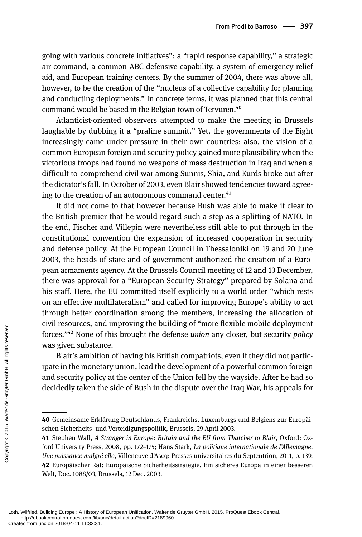going with various concrete initiatives": a "rapid response capability," a strategic air command, a common ABC defensive capability, a system of emergency relief aid, and European training centers. By the summer of 2004, there was above all, however, to be the creation of the "nucleus of a collective capability for planning and conducting deployments." In concrete terms, it was planned that this central command would be based in the Belgian town of Tervuren.<sup>40</sup>

Atlanticist-oriented observers attempted to make the meeting in Brussels laughable by dubbing it a "praline summit." Yet, the governments of the Eight increasingly came under pressure in their own countries; also, the vision of a common European foreign and security policy gained more plausibility when the victorious troops had found no weapons of mass destruction in Iraq and when a difficult-to-comprehend civil war among Sunnis, Shia, and Kurds broke out after the dictator's fall. In October of 2003, even Blair showed tendencies toward agreeing to the creation of an autonomous command center.<sup>41</sup>

It did not come to that however because Bush was able to make it clear to the British premier that he would regard such a step as a splitting of NATO. In the end, Fischer and Villepin were nevertheless still able to put through in the constitutional convention the expansion of increased cooperation in security and defense policy. At the European Council in Thessaloniki on 19 and 20 June 2003, the heads of state and of government authorized the creation of a European armaments agency. At the Brussels Council meeting of 12 and 13 December, there was approval for a "European Security Strategy" prepared by Solana and his staff. Here, the EU committed itself explicitly to a world order "which rests on an effective multilateralism" and called for improving Europe's ability to act through better coordination among the members, increasing the allocation of civil resources, and improving the building of "more flexible mobile deployment forces."42 None of this brought the defense *union* any closer, but security *policy* was given substance.

Blair's ambition of having his British compatriots, even if they did not participate in the monetary union, lead the development of a powerful common foreign and security policy at the center of the Union fell by the wayside. After he had so decidedly taken the side of Bush in the dispute over the Iraq War, his appeals for

**<sup>40</sup>** Gemeinsame Erklärung Deutschlands, Frankreichs, Luxemburgs und Belgiens zur Europäischen Sicherheits- und Verteidigungspolitik, Brussels, 29 April 2003.

**<sup>41</sup>** Stephen Wall, *A Stranger in Europe: Britain and the EU from Thatcher to Blair*, Oxford: Oxford University Press, 2008, pp. 172–175; Hans Stark, *La politique internationale de l'Allemagne. Une puissance malgré elle*, Villeneuve d'Ascq: Presses universitaires du Septentrion, 2011, p. 139. **42** Europäischer Rat: Europäische Sicherheitsstrategie. Ein sicheres Europa in einer besseren Welt, Doc. 1088/03, Brussels, 12 Dec. 2003. Created from unc on 2018-04-11 11:32:31.<br>Created from unconsisted from unconsisted from unconsisted from unconsisted from unconsisted from unconsisted from unconsisted from unconsisted from unconsisted from unconsisted fr

Loth, Wilfried. Building Europe : A History of European Unification, Walter de Gruyter GmbH, 2015. ProQuest Ebook Central, http://ebookcentral.proquest.com/lib/unc/detail.action?docID=2189960.<br>Created from unc on 2018-04-11 11:32:31.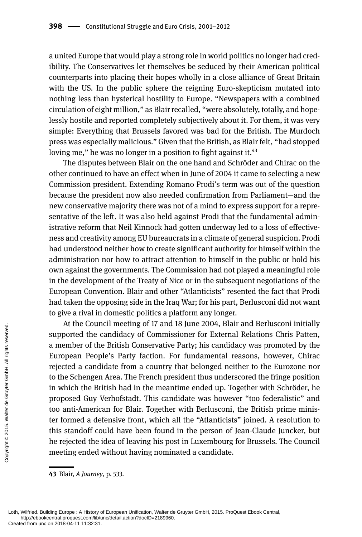a united Europe that would play a strong role in world politics no longer had credibility. The Conservatives let themselves be seduced by their American political counterparts into placing their hopes wholly in a close alliance of Great Britain with the US. In the public sphere the reigning Euro-skepticism mutated into nothing less than hysterical hostility to Europe. "Newspapers with a combined circulation of eight million," as Blair recalled, "were absolutely, totally, and hopelessly hostile and reported completely subjectively about it. For them, it was very simple: Everything that Brussels favored was bad for the British. The Murdoch press was especially malicious." Given that the British, as Blair felt, "had stopped loving me," he was no longer in a position to fight against it.<sup>43</sup>

The disputes between Blair on the one hand and Schröder and Chirac on the other continued to have an effect when in June of 2004 it came to selecting a new Commission president. Extending Romano Prodi's term was out of the question because the president now also needed confirmation from Parliament—and the new conservative majority there was not of a mind to express support for a representative of the left. It was also held against Prodi that the fundamental administrative reform that Neil Kinnock had gotten underway led to a loss of effectiveness and creativity among EU bureaucrats in a climate of general suspicion. Prodi had understood neither how to create significant authority for himself within the administration nor how to attract attention to himself in the public or hold his own against the governments. The Commission had not played a meaningful role in the development of the Treaty of Nice or in the subsequent negotiations of the European Convention. Blair and other "Atlanticists" resented the fact that Prodi had taken the opposing side in the Iraq War; for his part, Berlusconi did not want to give a rival in domestic politics a platform any longer.

At the Council meeting of 17 and 18 June 2004, Blair and Berlusconi initially supported the candidacy of Commissioner for External Relations Chris Patten, a member of the British Conservative Party; his candidacy was promoted by the European People's Party faction. For fundamental reasons, however, Chirac rejected a candidate from a country that belonged neither to the Eurozone nor to the Schengen Area. The French president thus underscored the fringe position in which the British had in the meantime ended up. Together with Schröder, he proposed Guy Verhofstadt. This candidate was however "too federalistic" and too anti-American for Blair. Together with Berlusconi, the British prime minister formed a defensive front, which all the "Atlanticists" joined. A resolution to this standoff could have been found in the person of Jean-Claude Juncker, but he rejected the idea of leaving his post in Luxembourg for Brussels. The Council meeting ended without having nominated a candidate. From the counting and to the Schengen<br>
From Peop<br>
From Peop<br>
rejected a cand<br>
to the Schengen<br>
in which the Br<br>
proposed Guy <sup>1</sup><br>
too anti-Americ<br>
ter formed a de<br>
this standoff co<br>
he rejected the imeeting ended<br> **43** Bla

**<sup>43</sup>** Blair, *A Journey*, p. 533.

Loth, Wilfried. Building Europe : A History of European Unification, Walter de Gruyter GmbH, 2015. ProQuest Ebook Central, http://ebookcentral.proquest.com/lib/unc/detail.action?docID=2189960.<br>Created from unc on 2018-04-11 11:32:31.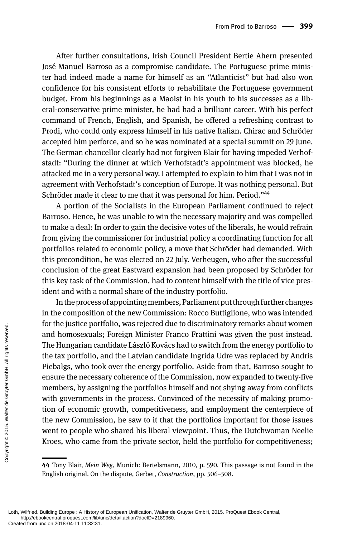After further consultations, Irish Council President Bertie Ahern presented José Manuel Barroso as a compromise candidate. The Portuguese prime minister had indeed made a name for himself as an "Atlanticist" but had also won confidence for his consistent efforts to rehabilitate the Portuguese government budget. From his beginnings as a Maoist in his youth to his successes as a liberal-conservative prime minister, he had had a brilliant career. With his perfect command of French, English, and Spanish, he offered a refreshing contrast to Prodi, who could only express himself in his native Italian. Chirac and Schröder accepted him perforce, and so he was nominated at a special summit on 29 June. The German chancellor clearly had not forgiven Blair for having impeded Verhofstadt: "During the dinner at which Verhofstadt's appointment was blocked, he attacked me in a very personal way. I attempted to explain to him that I was not in agreement with Verhofstadt's conception of Europe. It was nothing personal. But Schröder made it clear to me that it was personal for him. Period."<sup>44</sup>

A portion of the Socialists in the European Parliament continued to reject Barroso. Hence, he was unable to win the necessary majority and was compelled to make a deal: In order to gain the decisive votes of the liberals, he would refrain from giving the commissioner for industrial policy a coordinating function for all portfolios related to economic policy, a move that Schröder had demanded. With this precondition, he was elected on 22 July. Verheugen, who after the successful conclusion of the great Eastward expansion had been proposed by Schröder for this key task of the Commission, had to content himself with the title of vice president and with a normal share of the industry portfolio.

In the process of appointing members, Parliament put through further changes in the composition of the new Commission: Rocco Buttiglione, who was intended for the justice portfolio, was rejected due to discriminatory remarks about women and homosexuals; Foreign Minister Franco Frattini was given the post instead. The Hungarian candidate László Kovács had to switch from the energy portfolio to the tax portfolio, and the Latvian candidate Ingrida Udre was replaced by Andris Piebalgs, who took over the energy portfolio. Aside from that, Barroso sought to ensure the necessary coherence of the Commission, now expanded to twenty-five members, by assigning the portfolios himself and not shying away from conflicts with governments in the process. Convinced of the necessity of making promotion of economic growth, competitiveness, and employment the centerpiece of the new Commission, he saw to it that the portfolios important for those issues went to people who shared his liberal viewpoint. Thus, the Dutchwoman Neelie Kroes, who came from the private sector, held the portfolio for competitiveness; From the Justice political and homosexuals<br>  $\frac{1}{2}$  The Hungarian ca<br>
the tax portfolio, a<br>
Piebalgs, who too<br>
ensure the necess<br>
members, by assign with governments<br>
tion of economic<br>
the new Commiss<br>
went to people wl

**<sup>44</sup>** Tony Blair, *Mein Weg*, Munich: Bertelsmann, 2010, p. 590. This passage is not found in the English original. On the dispute, Gerbet, *Construction*, pp. 506–508.

Loth, Wilfried. Building Europe : A History of European Unification, Walter de Gruyter GmbH, 2015. ProQuest Ebook Central, http://ebookcentral.proquest.com/lib/unc/detail.action?docID=2189960.<br>Created from unc on 2018-04-11 11:32:31.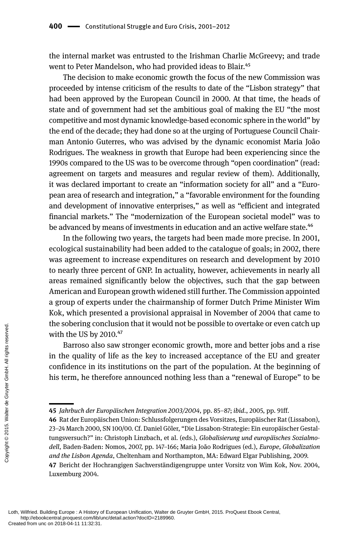the internal market was entrusted to the Irishman Charlie McGreevy; and trade went to Peter Mandelson, who had provided ideas to Blair.<sup>45</sup>

The decision to make economic growth the focus of the new Commission was proceeded by intense criticism of the results to date of the "Lisbon strategy" that had been approved by the European Council in 2000. At that time, the heads of state and of government had set the ambitious goal of making the EU "the most competitive and most dynamic knowledge-based economic sphere in the world" by the end of the decade; they had done so at the urging of Portuguese Council Chairman Antonio Guterres, who was advised by the dynamic economist Maria João Rodrigues. The weakness in growth that Europe had been experiencing since the 1990s compared to the US was to be overcome through "open coordination" (read: agreement on targets and measures and regular review of them). Additionally, it was declared important to create an "information society for all" and a "European area of research and integration," a "favorable environment for the founding and development of innovative enterprises," as well as "efficient and integrated financial markets." The "modernization of the European societal model" was to be advanced by means of investments in education and an active welfare state.<sup>46</sup>

In the following two years, the targets had been made more precise. In 2001, ecological sustainability had been added to the catalogue of goals; in 2002, there was agreement to increase expenditures on research and development by 2010 to nearly three percent of GNP. In actuality, however, achievements in nearly all areas remained significantly below the objectives, such that the gap between American and European growth widened still further. The Commission appointed a group of experts under the chairmanship of former Dutch Prime Minister Wim Kok, which presented a provisional appraisal in November of 2004 that came to the sobering conclusion that it would not be possible to overtake or even catch up with the US by 2010.<sup>47</sup>

Barroso also saw stronger economic growth, more and better jobs and a rise in the quality of life as the key to increased acceptance of the EU and greater confidence in its institutions on the part of the population. At the beginning of his term, he therefore announced nothing less than a "renewal of Europe" to be

**<sup>45</sup>** *Jahrbuch der Europäischen Integration 2003/2004*, pp. 85–87; *ibid.*, 2005, pp. 91ff.

**<sup>46</sup>** Rat der Europäischen Union: Schlussfolgerungen des Vorsitzes, Europäischer Rat (Lissabon), 23–24 March 2000, SN 100/00. Cf. Daniel Göler, "Die Lissabon-Strategie: Ein europäischer Gestaltungsversuch?" in: Christoph Linzbach, et al. (eds.), *Globalisierung und europäisches Sozialmodell*, Baden-Baden: Nomos, 2007, pp. 147–166; Maria Joăo Rodrigues (ed.), *Europe, Globalization and the Lisbon Agenda*, Cheltenham and Northampton, MA: Edward Elgar Publishing, 2009. **47** Bericht der Hochrangigen Sachverständigengruppe unter Vorsitz von Wim Kok, Nov. 2004, The solution of the US by 2<br>  $\frac{1}{2}$  and the US by 2<br>  $\frac{1}{2}$  and the quality confidence in it<br>
his term, he the<br>  $\frac{1}{2}$  and the quality der Europa<br>  $\frac{1}{2}$ <br>  $\frac{1}{2}$ <br>  $\frac{1}{2}$ <br>  $\frac{1}{2}$ <br>  $\frac{1}{2}$ <br>  $\frac{1}{2}$ <br>

Luxemburg 2004.

Loth, Wilfried. Building Europe : A History of European Unification, Walter de Gruyter GmbH, 2015. ProQuest Ebook Central, http://ebookcentral.proquest.com/lib/unc/detail.action?docID=2189960.<br>Created from unc on 2018-04-11 11:32:31.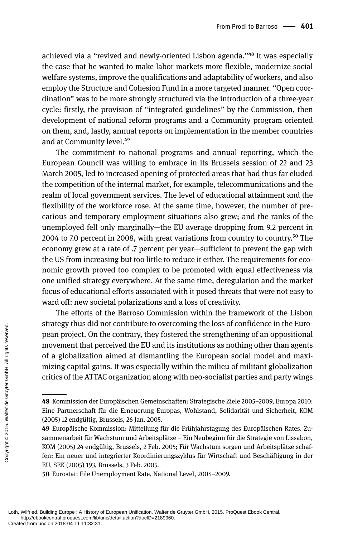achieved via a "revived and newly-oriented Lisbon agenda."48 It was especially the case that he wanted to make labor markets more flexible, modernize social welfare systems, improve the qualifications and adaptability of workers, and also employ the Structure and Cohesion Fund in a more targeted manner. "Open coordination" was to be more strongly structured via the introduction of a three-year cycle: firstly, the provision of "integrated guidelines" by the Commission, then development of national reform programs and a Community program oriented on them, and, lastly, annual reports on implementation in the member countries and at Community level.<sup>49</sup>

The commitment to national programs and annual reporting, which the European Council was willing to embrace in its Brussels session of 22 and 23 March 2005, led to increased opening of protected areas that had thus far eluded the competition of the internal market, for example, telecommunications and the realm of local government services. The level of educational attainment and the flexibility of the workforce rose. At the same time, however, the number of precarious and temporary employment situations also grew; and the ranks of the unemployed fell only marginally—the EU average dropping from 9.2 percent in 2004 to 7.0 percent in 2008, with great variations from country to country.<sup>50</sup> The economy grew at a rate of .7 percent per year—sufficient to prevent the gap with the US from increasing but too little to reduce it either. The requirements for economic growth proved too complex to be promoted with equal effectiveness via one unified strategy everywhere. At the same time, deregulation and the market focus of educational efforts associated with it posed threats that were not easy to ward off: new societal polarizations and a loss of creativity.

The efforts of the Barroso Commission within the framework of the Lisbon strategy thus did not contribute to overcoming the loss of confidence in the European project. On the contrary, they fostered the strengthening of an oppositional movement that perceived the EU and its institutions as nothing other than agents of a globalization aimed at dismantling the European social model and maximizing capital gains. It was especially within the milieu of militant globalization critics of the ATTAC organization along with neo-socialist parties and party wings Suategy thus did i<br>
pean project. On t<br>
movement that pe<br>
of a globalization<br>
mizing capital gai<br>
critics of the ATTA<br>  $\frac{1}{2}$ <br>  $\frac{1}{2}$ <br>  $\frac{1}{2}$ <br>  $\frac{1}{2}$ <br>  $\frac{1}{2}$ <br>  $\frac{1}{2}$ <br>  $\frac{1}{2}$ <br>  $\frac{1}{2}$ <br>  $\frac{1}{2}$ <br>  $\frac$ 

**<sup>48</sup>** Kommission der Europäischen Gemeinschaften: Strategische Ziele 2005–2009, Europa 2010: Eine Partnerschaft für die Erneuerung Europas, Wohlstand, Solidarität und Sicherheit, KOM (2005) 12 endgültig, Brussels, 26 Jan. 2005.

**<sup>49</sup>** Europäische Kommission: Mitteilung für die Frühjahrstagung des Europäischen Rates. Zusammenarbeit für Wachstum und Arbeitsplätze – Ein Neubeginn für die Strategie von Lissabon, KOM (2005) 24 endgültig, Brussels, 2 Feb. 2005; Für Wachstum sorgen und Arbeitsplätze schaffen: Ein neuer und integrierter Koordinierungszyklus für Wirtschaft und Beschäftigung in der EU, SEK (2005) 193, Brussels, 3 Feb. 2005.

**<sup>50</sup>** Eurostat: File Unemployment Rate, National Level, 2004–2009.

Loth, Wilfried. Building Europe : A History of European Unification, Walter de Gruyter GmbH, 2015. ProQuest Ebook Central, http://ebookcentral.proquest.com/lib/unc/detail.action?docID=2189960.<br>Created from unc on 2018-04-11 11:32:31.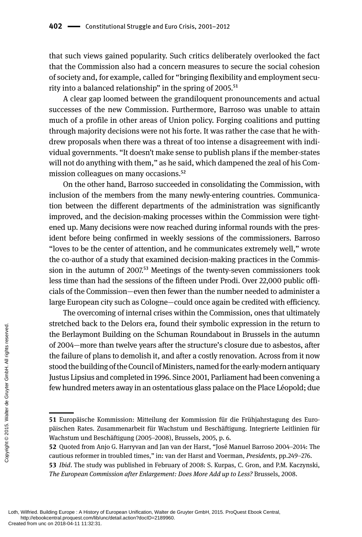that such views gained popularity. Such critics deliberately overlooked the fact that the Commission also had a concern measures to secure the social cohesion of society and, for example, called for "bringing flexibility and employment security into a balanced relationship" in the spring of  $2005$ <sup>51</sup>

A clear gap loomed between the grandiloquent pronouncements and actual successes of the new Commission. Furthermore, Barroso was unable to attain much of a profile in other areas of Union policy. Forging coalitions and putting through majority decisions were not his forte. It was rather the case that he withdrew proposals when there was a threat of too intense a disagreement with individual governments. "It doesn't make sense to publish plans if the member-states will not do anything with them," as he said, which dampened the zeal of his Commission colleagues on many occasions.<sup>52</sup>

On the other hand, Barroso succeeded in consolidating the Commission, with inclusion of the members from the many newly-entering countries. Communication between the different departments of the administration was significantly improved, and the decision-making processes within the Commission were tightened up. Many decisions were now reached during informal rounds with the president before being confirmed in weekly sessions of the commissioners. Barroso "loves to be the center of attention, and he communicates extremely well," wrote the co-author of a study that examined decision-making practices in the Commission in the autumn of  $2007<sup>53</sup>$  Meetings of the twenty-seven commissioners took less time than had the sessions of the fifteen under Prodi. Over 22,000 public officials of the Commission—even then fewer than the number needed to administer a large European city such as Cologne—could once again be credited with efficiency.

The overcoming of internal crises within the Commission, ones that ultimately stretched back to the Delors era, found their symbolic expression in the return to the Berlaymont Building on the Schuman Roundabout in Brussels in the autumn of 2004—more than twelve years after the structure's closure due to asbestos, after the failure of plans to demolish it, and after a costly renovation. Across from it now stood the building of the Council of Ministers, named for the early-modern antiquary Justus Lipsius and completed in 1996. Since 2001, Parliament had been convening a few hundred meters away in an ostentatious glass palace on the Place Léopold; due Suetched back the Berlaymont<br>
of 2004—more the failure of pla<br>
stood the buildir<br>
Justus Lipsius an<br>
few hundred me<br>
es and few hundred me<br>
es and few hundred me<br>
es and few hundred me<br>
51 Europäische Kates. Zu<br>
Wachstum

**<sup>51</sup>** Europäische Kommission: Mitteilung der Kommission für die Frühjahrstagung des Europäischen Rates. Zusammenarbeit für Wachstum und Beschäftigung. Integrierte Leitlinien für Wachstum und Beschäftigung (2005–2008), Brussels, 2005, p. 6.

**<sup>52</sup>** Quoted from Anjo G. Harryvan and Jan van der Harst, "José Manuel Barroso 2004–2014: The cautious reformer in troubled times," in: van der Harst and Voerman, *Presidents*, pp.249–276.

**<sup>53</sup>** *Ibid*. The study was published in February of 2008: S. Kurpas, C. Gron, and P.M. Kaczynski, *The European Commission after Enlargement: Does More Add up to Less?* Brussels, 2008.

Loth, Wilfried. Building Europe : A History of European Unification, Walter de Gruyter GmbH, 2015. ProQuest Ebook Central, http://ebookcentral.proquest.com/lib/unc/detail.action?docID=2189960.<br>Created from unc on 2018-04-11 11:32:31.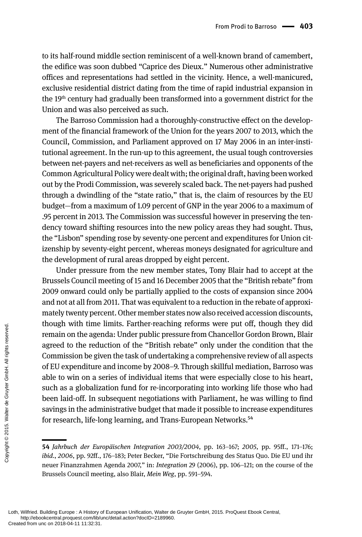to its half-round middle section reminiscent of a well-known brand of camembert, the edifice was soon dubbed "Caprice des Dieux." Numerous other administrative offices and representations had settled in the vicinity. Hence, a well-manicured, exclusive residential district dating from the time of rapid industrial expansion in the 19<sup>th</sup> century had gradually been transformed into a government district for the Union and was also perceived as such.

The Barroso Commission had a thoroughly-constructive effect on the development of the financial framework of the Union for the years 2007 to 2013, which the Council, Commission, and Parliament approved on 17 May 2006 in an inter-institutional agreement. In the run-up to this agreement, the usual tough controversies between net-payers and net-receivers as well as beneficiaries and opponents of the Common Agricultural Policy were dealt with; the original draft, having been worked out by the Prodi Commission, was severely scaled back. The net-payers had pushed through a dwindling of the "state ratio," that is, the claim of resources by the EU budget—from a maximum of 1.09 percent of GNP in the year 2006 to a maximum of .95 percent in 2013. The Commission was successful however in preserving the tendency toward shifting resources into the new policy areas they had sought. Thus, the "Lisbon" spending rose by seventy-one percent and expenditures for Union citizenship by seventy-eight percent, whereas moneys designated for agriculture and the development of rural areas dropped by eight percent.

Under pressure from the new member states, Tony Blair had to accept at the Brussels Council meeting of 15 and 16 December 2005 that the "British rebate" from 2009 onward could only be partially applied to the costs of expansion since 2004 and not at all from 2011. That was equivalent to a reduction in the rebate of approximately twenty percent. Other member states now also received accession discounts, though with time limits. Farther-reaching reforms were put off, though they did remain on the agenda: Under public pressure from Chancellor Gordon Brown, Blair agreed to the reduction of the "British rebate" only under the condition that the Commission be given the task of undertaking a comprehensive review of all aspects of EU expenditure and income by 2008–9. Through skillful mediation, Barroso was able to win on a series of individual items that were especially close to his heart, such as a globalization fund for re-incorporating into working life those who had been laid-off. In subsequent negotiations with Parliament, he was willing to find savings in the administrative budget that made it possible to increase expenditures for research, life-long learning, and Trans-European Networks.<sup>54</sup> Created from unc on 2018-04-11 11:32:31.<br>Created from unconsistion be given by the Redressing of EU expenditure<br>able to win on a s<br>such as a globaliz<br>been laid-off. In s<br>savings in the adm<br>for research, life-lo<br>savings in

**<sup>54</sup>** *Jahrbuch der Europäischen Integration 2003/2004*, pp. 163–167; *2005*, pp. 95ff., 171–176; *ibid.*, *2006*, pp. 92ff., 176–183; Peter Becker, "Die Fortschreibung des Status Quo. Die EU und ihr neuer Finanzrahmen Agenda 2007," in: *Integration* 29 (2006), pp. 106–121; on the course of the Brussels Council meeting, also Blair, *Mein Weg*, pp. 591–594.

Loth, Wilfried. Building Europe : A History of European Unification, Walter de Gruyter GmbH, 2015. ProQuest Ebook Central, http://ebookcentral.proquest.com/lib/unc/detail.action?docID=2189960.<br>Created from unc on 2018-04-11 11:32:31.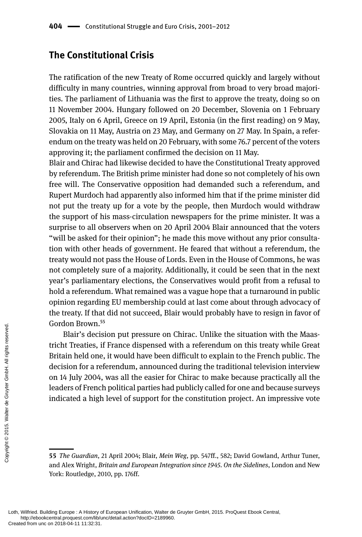## **The Constitutional Crisis**

The ratification of the new Treaty of Rome occurred quickly and largely without difficulty in many countries, winning approval from broad to very broad majorities. The parliament of Lithuania was the first to approve the treaty, doing so on 11 November 2004. Hungary followed on 20 December, Slovenia on 1 February 2005, Italy on 6 April, Greece on 19 April, Estonia (in the first reading) on 9 May, Slovakia on 11 May, Austria on 23 May, and Germany on 27 May. In Spain, a referendum on the treaty was held on 20 February, with some 76.7 percent of the voters approving it; the parliament confirmed the decision on 11 May.

Blair and Chirac had likewise decided to have the Constitutional Treaty approved by referendum. The British prime minister had done so not completely of his own free will. The Conservative opposition had demanded such a referendum, and Rupert Murdoch had apparently also informed him that if the prime minister did not put the treaty up for a vote by the people, then Murdoch would withdraw the support of his mass-circulation newspapers for the prime minister. It was a surprise to all observers when on 20 April 2004 Blair announced that the voters "will be asked for their opinion"; he made this move without any prior consultation with other heads of government. He feared that without a referendum, the treaty would not pass the House of Lords. Even in the House of Commons, he was not completely sure of a majority. Additionally, it could be seen that in the next year's parliamentary elections, the Conservatives would profit from a refusal to hold a referendum. What remained was a vague hope that a turnaround in public opinion regarding EU membership could at last come about through advocacy of the treaty. If that did not succeed, Blair would probably have to resign in favor of Gordon Brown.55

Blair's decision put pressure on Chirac. Unlike the situation with the Maastricht Treaties, if France dispensed with a referendum on this treaty while Great Britain held one, it would have been difficult to explain to the French public. The decision for a referendum, announced during the traditional television interview on 14 July 2004, was all the easier for Chirac to make because practically all the leaders of French political parties had publicly called for one and because surveys indicated a high level of support for the constitution project. An impressive vote Created from unc on 2018-04-11 11:32:31.<br>Created from unconstrained from a constrained by the Gruyter decision for a re<br>and decision for a re<br>and the UNIV 2004.<br>leaders of Frenc<br>indicated a hights reserved.<br>So 2016.<br>So 201

**<sup>55</sup>** *The Guardian*, 21 April 2004; Blair, *Mein Weg*, pp. 547ff., 582; David Gowland, Arthur Tuner, and Alex Wright, *Britain and European Integration since 1945. On the Sidelines*, London and New York: Routledge, 2010, pp. 176ff.

Loth, Wilfried. Building Europe : A History of European Unification, Walter de Gruyter GmbH, 2015. ProQuest Ebook Central, http://ebookcentral.proquest.com/lib/unc/detail.action?docID=2189960.<br>Created from unc on 2018-04-11 11:32:31.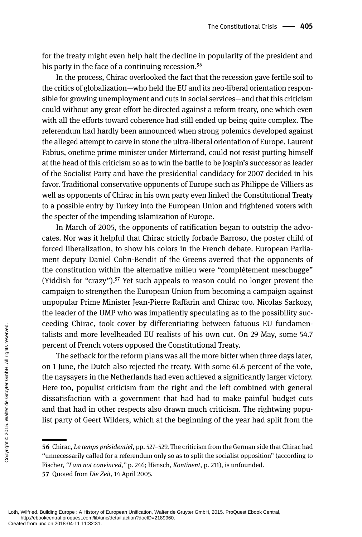for the treaty might even help halt the decline in popularity of the president and his party in the face of a continuing recession.<sup>56</sup>

In the process, Chirac overlooked the fact that the recession gave fertile soil to the critics of globalization—who held the EU and its neo-liberal orientation responsible for growing unemployment and cuts in social services—and that this criticism could without any great effort be directed against a reform treaty, one which even with all the efforts toward coherence had still ended up being quite complex. The referendum had hardly been announced when strong polemics developed against the alleged attempt to carve in stone the ultra-liberal orientation of Europe. Laurent Fabius, onetime prime minister under Mitterrand, could not resist putting himself at the head of this criticism so as to win the battle to be Jospin's successor as leader of the Socialist Party and have the presidential candidacy for 2007 decided in his favor. Traditional conservative opponents of Europe such as Philippe de Villiers as well as opponents of Chirac in his own party even linked the Constitutional Treaty to a possible entry by Turkey into the European Union and frightened voters with the specter of the impending islamization of Europe.

In March of 2005, the opponents of ratification began to outstrip the advocates. Nor was it helpful that Chirac strictly forbade Barroso, the poster child of forced liberalization, to show his colors in the French debate. European Parliament deputy Daniel Cohn-Bendit of the Greens averred that the opponents of the constitution within the alternative milieu were "complètement meschugge" (Yiddish for "crazy").<sup>57</sup> Yet such appeals to reason could no longer prevent the campaign to strengthen the European Union from becoming a campaign against unpopular Prime Minister Jean-Pierre Raffarin and Chirac too. Nicolas Sarkozy, the leader of the UMP who was impatiently speculating as to the possibility succeeding Chirac, took cover by differentiating between fatuous EU fundamentalists and more levelheaded EU realists of his own cut. On 29 May, some 54.7 percent of French voters opposed the Constitutional Treaty.

The setback for the reform plans was all the more bitter when three days later, on 1 June, the Dutch also rejected the treaty. With some 61.6 percent of the vote, the naysayers in the Netherlands had even achieved a significantly larger victory. Here too, populist criticism from the right and the left combined with general dissatisfaction with a government that had had to make painful budget cuts and that had in other respects also drawn much criticism. The rightwing populist party of Geert Wilders, which at the beginning of the year had split from the Example 1111 at the set back for the set back from the set back from 1 June, the Dut<br>the naysayers in the Dut<br>the naysayers in the Dut<br>the naysayers in the Hunch Copyright<br>dissatisfaction wis and that had in o<br>list party

**<sup>56</sup>** Chirac, *Le temps présidentiel*, pp. 527–529. The criticism from the German side that Chirac had "unnecessarily called for a referendum only so as to split the socialist opposition" (according to Fischer, *"I am not convinced,"* p. 246; Hänsch, *Kontinent*, p. 211), is unfounded. **57** Quoted from *Die Zeit*, 14 April 2005.

Loth, Wilfried. Building Europe : A History of European Unification, Walter de Gruyter GmbH, 2015. ProQuest Ebook Central, http://ebookcentral.proquest.com/lib/unc/detail.action?docID=2189960.<br>Created from unc on 2018-04-11 11:32:31.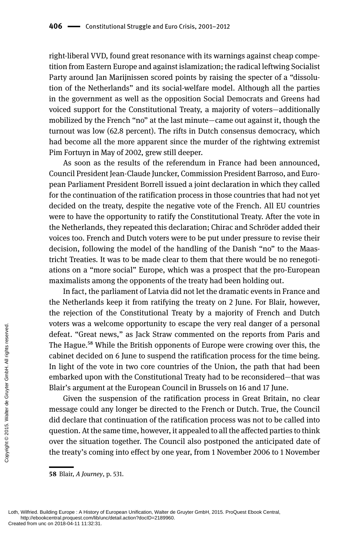right-liberal VVD, found great resonance with its warnings against cheap competition from Eastern Europe and against islamization; the radical leftwing Socialist Party around Jan Marijnissen scored points by raising the specter of a "dissolution of the Netherlands" and its social-welfare model. Although all the parties in the government as well as the opposition Social Democrats and Greens had voiced support for the Constitutional Treaty, a majority of voters—additionally mobilized by the French "no" at the last minute—came out against it, though the turnout was low (62.8 percent). The rifts in Dutch consensus democracy, which had become all the more apparent since the murder of the rightwing extremist Pim Fortuyn in May of 2002, grew still deeper.

As soon as the results of the referendum in France had been announced, Council President Jean-Claude Juncker, Commission President Barroso, and European Parliament President Borrell issued a joint declaration in which they called for the continuation of the ratification process in those countries that had not yet decided on the treaty, despite the negative vote of the French. All EU countries were to have the opportunity to ratify the Constitutional Treaty. After the vote in the Netherlands, they repeated this declaration; Chirac and Schröder added their voices too. French and Dutch voters were to be put under pressure to revise their decision, following the model of the handling of the Danish "no" to the Maastricht Treaties. It was to be made clear to them that there would be no renegotiations on a "more social" Europe, which was a prospect that the pro-European maximalists among the opponents of the treaty had been holding out.

In fact, the parliament of Latvia did not let the dramatic events in France and the Netherlands keep it from ratifying the treaty on 2 June. For Blair, however, the rejection of the Constitutional Treaty by a majority of French and Dutch voters was a welcome opportunity to escape the very real danger of a personal defeat. "Great news," as Jack Straw commented on the reports from Paris and The Hague.<sup>58</sup> While the British opponents of Europe were crowing over this, the cabinet decided on 6 June to suspend the ratification process for the time being. In light of the vote in two core countries of the Union, the path that had been embarked upon with the Constitutional Treaty had to be reconsidered—that was Blair's argument at the European Council in Brussels on 16 and 17 June. VOIETS WAS A We<br>
defeat. "Great r<br>
The Hague.<sup>58</sup> W<br>
cabinet decided<br>
In light of the v<br>
embarked upon<br>
Blair's argumen<br>
Given the s<br>
message could<br>
did declare that<br>
question. At the<br>
over the situation<br>
served. Building

Given the suspension of the ratification process in Great Britain, no clear message could any longer be directed to the French or Dutch. True, the Council did declare that continuation of the ratification process was not to be called into question. At the same time, however, it appealed to all the affected parties to think over the situation together. The Council also postponed the anticipated date of the treaty's coming into effect by one year, from 1 November 2006 to 1 November

**<sup>58</sup>** Blair, *A Journey*, p. 531.

Loth, Wilfried. Building Europe : A History of European Unification, Walter de Gruyter GmbH, 2015. ProQuest Ebook Central, http://ebookcentral.proquest.com/lib/unc/detail.action?docID=2189960.<br>Created from unc on 2018-04-11 11:32:31.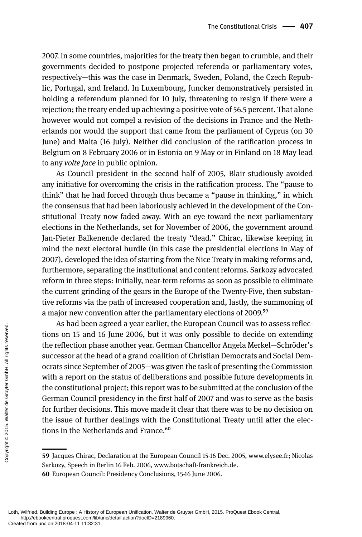2007. In some countries, majorities for the treaty then began to crumble, and their governments decided to postpone projected referenda or parliamentary votes, respectively—this was the case in Denmark, Sweden, Poland, the Czech Republic, Portugal, and Ireland. In Luxembourg, Juncker demonstratively persisted in holding a referendum planned for 10 July, threatening to resign if there were a rejection; the treaty ended up achieving a positive vote of 56.5 percent. That alone however would not compel a revision of the decisions in France and the Netherlands nor would the support that came from the parliament of Cyprus (on 30 June) and Malta (16 July). Neither did conclusion of the ratification process in Belgium on 8 February 2006 or in Estonia on 9 May or in Finland on 18 May lead to any *volte face* in public opinion.

As Council president in the second half of 2005, Blair studiously avoided any initiative for overcoming the crisis in the ratification process. The "pause to think" that he had forced through thus became a "pause in thinking," in which the consensus that had been laboriously achieved in the development of the Constitutional Treaty now faded away. With an eye toward the next parliamentary elections in the Netherlands, set for November of 2006, the government around Jan-Pieter Balkenende declared the treaty "dead." Chirac, likewise keeping in mind the next electoral hurdle (in this case the presidential elections in May of 2007), developed the idea of starting from the Nice Treaty in making reforms and, furthermore, separating the institutional and content reforms. Sarkozy advocated reform in three steps: Initially, near-term reforms as soon as possible to eliminate the current grinding of the gears in the Europe of the Twenty-Five, then substantive reforms via the path of increased cooperation and, lastly, the summoning of a major new convention after the parliamentary elections of 2009.<sup>59</sup>

As had been agreed a year earlier, the European Council was to assess reflections on 15 and 16 June 2006, but it was only possible to decide on extending the reflection phase another year. German Chancellor Angela Merkel—Schröder's successor at the head of a grand coalition of Christian Democrats and Social Democrats since September of 2005—was given the task of presenting the Commission with a report on the status of deliberations and possible future developments in the constitutional project; this report was to be submitted at the conclusion of the German Council presidency in the first half of 2007 and was to serve as the basis for further decisions. This move made it clear that there was to be no decision on the issue of further dealings with the Constitutional Treaty until after the elections in the Netherlands and France.<sup>60</sup> The state of the reflection phannels are the reflection phannels are septed with a report on the constitutional German Council proforman Council proforman Council proforman Council proforman Council proforman Council profo

**<sup>59</sup>** Jacques Chirac, Declaration at the European Council 15-16 Dec. 2005, www.elysee.fr; Nicolas Sarkozy, Speech in Berlin 16 Feb. 2006, www.botschaft-frankreich.de.

**<sup>60</sup>** European Council: Presidency Conclusions, 15-16 June 2006.

Loth, Wilfried. Building Europe : A History of European Unification, Walter de Gruyter GmbH, 2015. ProQuest Ebook Central, http://ebookcentral.proquest.com/lib/unc/detail.action?docID=2189960.<br>Created from unc on 2018-04-11 11:32:31.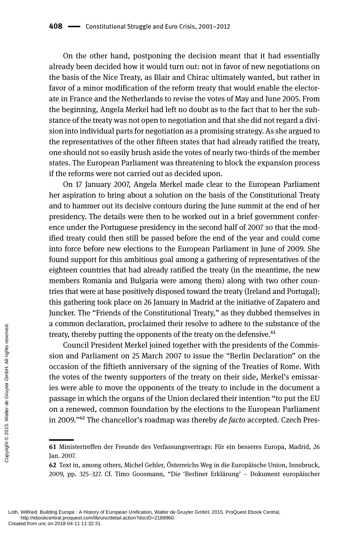On the other hand, postponing the decision meant that it had essentially already been decided how it would turn out: not in favor of new negotiations on the basis of the Nice Treaty, as Blair and Chirac ultimately wanted, but rather in favor of a minor modification of the reform treaty that would enable the electorate in France and the Netherlands to revise the votes of May and June 2005. From the beginning, Angela Merkel had left no doubt as to the fact that to her the substance of the treaty was not open to negotiation and that she did not regard a division into individual parts for negotiation as a promising strategy. As she argued to the representatives of the other fifteen states that had already ratified the treaty, one should not so easily brush aside the votes of nearly two-thirds of the member states. The European Parliament was threatening to block the expansion process if the reforms were not carried out as decided upon.

On 17 January 2007, Angela Merkel made clear to the European Parliament her aspiration to bring about a solution on the basis of the Constitutional Treaty and to hammer out its decisive contours during the June summit at the end of her presidency. The details were then to be worked out in a brief government conference under the Portuguese presidency in the second half of 2007 so that the modified treaty could then still be passed before the end of the year and could come into force before new elections to the European Parliament in June of 2009. She found support for this ambitious goal among a gathering of representatives of the eighteen countries that had already ratified the treaty (in the meantime, the new members Romania and Bulgaria were among them) along with two other countries that were at base positively disposed toward the treaty (Ireland and Portugal); this gathering took place on 26 January in Madrid at the initiative of Zapatero and Juncker. The "Friends of the Constitutional Treaty," as they dubbed themselves in a common declaration, proclaimed their resolve to adhere to the substance of the treaty, thereby putting the opponents of the treaty on the defensive.<sup>61</sup>

Council President Merkel joined together with the presidents of the Commission and Parliament on 25 March 2007 to issue the "Berlin Declaration" on the occasion of the fiftieth anniversary of the signing of the Treaties of Rome. With the votes of the twenty supporters of the treaty on their side, Merkel's emissaries were able to move the opponents of the treaty to include in the document a passage in which the organs of the Union declared their intention "to put the EU on a renewed, common foundation by the elections to the European Parliament in 2009."62 The chancellor's roadmap was thereby *de facto* accepted. Czech Pres-**Created from unc on 2018-04-11 11:32:31.**<br>Created from unc on 2018-04-11 11:32:31.<br>Created from unc on 2018-04-11 11:32:31.<br>Created from unc on 2018-04-11 11:32:31.<br>Created from unc on 2018-04-11 11:32:31.

**<sup>61</sup>** Ministertreffen der Freunde des Verfassungsvertrags: Für ein besseres Europa, Madrid, 26 Jan. 2007.

**<sup>62</sup>** Text in, among others, Michel Gehler, Österreichs Weg in die Europäische Union, Innsbruck, 2009, pp. 325–327. Cf. Timo Goosmann, "Die 'Berliner Erklärung' – Dokument europäischer

Loth, Wilfried. Building Europe : A History of European Unification, Walter de Gruyter GmbH, 2015. ProQuest Ebook Central, http://ebookcentral.proquest.com/lib/unc/detail.action?docID=2189960.<br>Created from unc on 2018-04-11 11:32:31.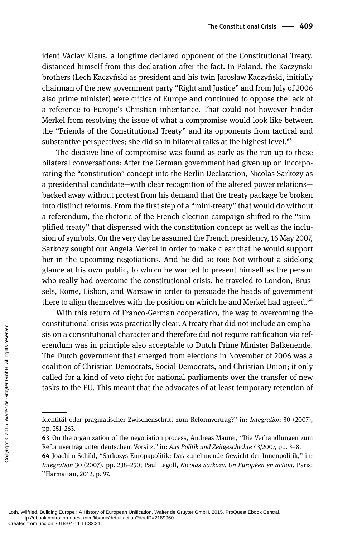ident Václav Klaus, a longtime declared opponent of the Constitutional Treaty, distanced himself from this declaration after the fact. In Poland, the Kaczyński brothers (Lech Kaczyński as president and his twin Jarosław Kaczyński, initially chairman of the new government party "Right and Justice" and from July of 2006 also prime minister) were critics of Europe and continued to oppose the lack of a reference to Europe's Christian inheritance. That could not however hinder Merkel from resolving the issue of what a compromise would look like between the "Friends of the Constitutional Treaty" and its opponents from tactical and substantive perspectives; she did so in bilateral talks at the highest level.<sup>63</sup>

The decisive line of compromise was found as early as the run-up to these bilateral conversations: After the German government had given up on incorporating the "constitution" concept into the Berlin Declaration, Nicolas Sarkozy as a presidential candidate—with clear recognition of the altered power relations backed away without protest from his demand that the treaty package be broken into distinct reforms. From the first step of a "mini-treaty" that would do without a referendum, the rhetoric of the French election campaign shifted to the "simplified treaty" that dispensed with the constitution concept as well as the inclusion of symbols. On the very day he assumed the French presidency, 16 May 2007, Sarkozy sought out Angela Merkel in order to make clear that he would support her in the upcoming negotiations. And he did so too: Not without a sidelong glance at his own public, to whom he wanted to present himself as the person who really had overcome the constitutional crisis, he traveled to London, Brussels, Rome, Lisbon, and Warsaw in order to persuade the heads of government there to align themselves with the position on which he and Merkel had agreed.<sup>64</sup>

With this return of Franco-German cooperation, the way to overcoming the constitutional crisis was practically clear. A treaty that did not include an emphasis on a constitutional character and therefore did not require ratification via referendum was in principle also acceptable to Dutch Prime Minister Balkenende. The Dutch government that emerged from elections in November of 2006 was a coalition of Christian Democrats, Social Democrats, and Christian Union; it only called for a kind of veto right for national parliaments over the transfer of new tasks to the EU. This meant that the advocates of at least temporary retention of Constitutional crist<br>
sis on a constituti<br>
erendum was in The Dutch govern<br>
coalition of Christ<br>
called for a kind<br>
tasks to the EU. T<br>
dentität oder pragm<br>
pp. 251–263.<br>
63 On the organizati<br>
Reformvertrag unter<br>  $\overrightarrow{64$ 

Identität oder pragmatischer Zwischenschritt zum Reformvertrag?" in: *Integration* 30 (2007), pp. 251–263.

**<sup>63</sup>** On the organization of the negotiation process, Andreas Maurer, "Die Verhandlungen zum Reformvertrag unter deutschem Vorsitz," in: *Aus Politik und Zeitgeschichte* 43/2007, pp. 3–8.

**<sup>64</sup>** Joachim Schild, "Sarkozys Europapolitik: Das zunehmende Gewicht der Innenpolitik," in: *Integration* 30 (2007), pp. 238–250; Paul Legoll, *Nicolas Sarkozy. Un Européen en action*, Paris: l'Harmattan, 2012, p. 97.

Loth, Wilfried. Building Europe : A History of European Unification, Walter de Gruyter GmbH, 2015. ProQuest Ebook Central, http://ebookcentral.proquest.com/lib/unc/detail.action?docID=2189960.<br>Created from unc on 2018-04-11 11:32:31.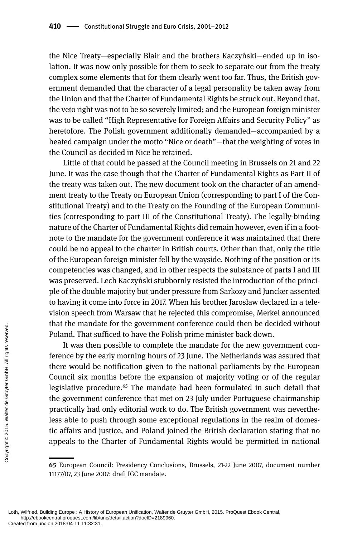the Nice Treaty—especially Blair and the brothers Kaczyński—ended up in isolation. It was now only possible for them to seek to separate out from the treaty complex some elements that for them clearly went too far. Thus, the British government demanded that the character of a legal personality be taken away from the Union and that the Charter of Fundamental Rights be struck out. Beyond that, the veto right was not to be so severely limited; and the European foreign minister was to be called "High Representative for Foreign Affairs and Security Policy" as heretofore. The Polish government additionally demanded—accompanied by a heated campaign under the motto "Nice or death"—that the weighting of votes in the Council as decided in Nice be retained.

Little of that could be passed at the Council meeting in Brussels on 21 and 22 June. It was the case though that the Charter of Fundamental Rights as Part II of the treaty was taken out. The new document took on the character of an amendment treaty to the Treaty on European Union (corresponding to part I of the Constitutional Treaty) and to the Treaty on the Founding of the European Communities (corresponding to part III of the Constitutional Treaty). The legally-binding nature of the Charter of Fundamental Rights did remain however, even if in a footnote to the mandate for the government conference it was maintained that there could be no appeal to the charter in British courts. Other than that, only the title of the European foreign minister fell by the wayside. Nothing of the position or its competencies was changed, and in other respects the substance of parts I and III was preserved. Lech Kaczyński stubbornly resisted the introduction of the principle of the double majority but under pressure from Sarkozy and Juncker assented to having it come into force in 2017. When his brother Jarosław declared in a television speech from Warsaw that he rejected this compromise, Merkel announced that the mandate for the government conference could then be decided without Poland. That sufficed to have the Polish prime minister back down.

It was then possible to complete the mandate for the new government conference by the early morning hours of 23 June. The Netherlands was assured that there would be notification given to the national parliaments by the European Council six months before the expansion of majority voting or of the regular legislative procedure.<sup>65</sup> The mandate had been formulated in such detail that the government conference that met on 23 July under Portuguese chairmanship practically had only editorial work to do. The British government was nevertheless able to push through some exceptional regulations in the realm of domestic affairs and justice, and Poland joined the British declaration stating that no appeals to the Charter of Fundamental Rights would be permitted in national From Experiment Tradition of the there would be<br>
there would be<br>
council six mo<br>
legislative processes<br>
the government<br>
practically had<br>
less able to pus<br>
tic affairs and j<br>
appeals to the<br> **our** tic affairs and j<br>
appeal

**<sup>65</sup>** European Council: Presidency Conclusions, Brussels, 21-22 June 2007, document number 11177/07, 23 June 2007: draft IGC mandate.

Loth, Wilfried. Building Europe : A History of European Unification, Walter de Gruyter GmbH, 2015. ProQuest Ebook Central, http://ebookcentral.proquest.com/lib/unc/detail.action?docID=2189960.<br>Created from unc on 2018-04-11 11:32:31.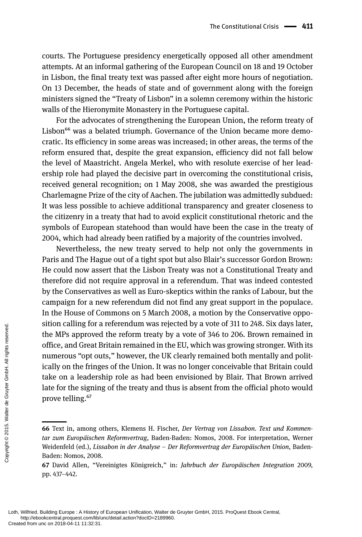courts. The Portuguese presidency energetically opposed all other amendment attempts. At an informal gathering of the European Council on 18 and 19 October in Lisbon, the final treaty text was passed after eight more hours of negotiation. On 13 December, the heads of state and of government along with the foreign ministers signed the "Treaty of Lisbon" in a solemn ceremony within the historic walls of the Hieronymite Monastery in the Portuguese capital.

For the advocates of strengthening the European Union, the reform treaty of Lisbon<sup>66</sup> was a belated triumph. Governance of the Union became more democratic. Its efficiency in some areas was increased; in other areas, the terms of the reform ensured that, despite the great expansion, efficiency did not fall below the level of Maastricht. Angela Merkel, who with resolute exercise of her leadership role had played the decisive part in overcoming the constitutional crisis, received general recognition; on 1 May 2008, she was awarded the prestigious Charlemagne Prize of the city of Aachen. The jubilation was admittedly subdued: It was less possible to achieve additional transparency and greater closeness to the citizenry in a treaty that had to avoid explicit constitutional rhetoric and the symbols of European statehood than would have been the case in the treaty of 2004, which had already been ratified by a majority of the countries involved.

Nevertheless, the new treaty served to help not only the governments in Paris and The Hague out of a tight spot but also Blair's successor Gordon Brown: He could now assert that the Lisbon Treaty was not a Constitutional Treaty and therefore did not require approval in a referendum. That was indeed contested by the Conservatives as well as Euro-skeptics within the ranks of Labour, but the campaign for a new referendum did not find any great support in the populace. In the House of Commons on 5 March 2008, a motion by the Conservative opposition calling for a referendum was rejected by a vote of 311 to 248. Six days later, the MPs approved the reform treaty by a vote of 346 to 206. Brown remained in office, and Great Britain remained in the EU, which was growing stronger. With its numerous "opt outs," however, the UK clearly remained both mentally and politically on the fringes of the Union. It was no longer conceivable that Britain could take on a leadership role as had been envisioned by Blair. That Brown arrived late for the signing of the treaty and thus is absent from the official photo would prove telling.<sup>67</sup> Sition Calling for a<br>the MPs approved<br>office, and Great E<br>numerous "opt ou<br>ically on the fring<br>take on a leaders<br>late for the signin<br>prove telling.<sup>67</sup><br> $\frac{66}{5}$  Text in, among computations for  $\frac{66}{5}$  Weidenfeld (ed.

**<sup>66</sup>** Text in, among others, Klemens H. Fischer, *Der Vertrag von Lissabon. Text und Kommentar zum Europäischen Reformvertrag*, Baden-Baden: Nomos, 2008. For interpretation, Werner Weidenfeld (ed.), *Lissabon in der Analyse – Der Reformvertrag der Europäischen Union*, Baden-Baden: Nomos, 2008.

**<sup>67</sup>** David Allen, "Vereinigtes Königreich," in: *Jahrbuch der Europäischen Integration* 2009, pp. 437–442.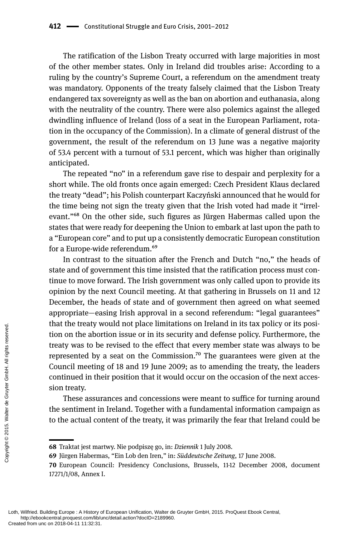The ratification of the Lisbon Treaty occurred with large majorities in most of the other member states. Only in Ireland did troubles arise: According to a ruling by the country's Supreme Court, a referendum on the amendment treaty was mandatory. Opponents of the treaty falsely claimed that the Lisbon Treaty endangered tax sovereignty as well as the ban on abortion and euthanasia, along with the neutrality of the country. There were also polemics against the alleged dwindling influence of Ireland (loss of a seat in the European Parliament, rotation in the occupancy of the Commission). In a climate of general distrust of the government, the result of the referendum on 13 June was a negative majority of 53.4 percent with a turnout of 53.1 percent, which was higher than originally anticipated.

The repeated "no" in a referendum gave rise to despair and perplexity for a short while. The old fronts once again emerged: Czech President Klaus declared the treaty "dead"; his Polish counterpart Kaczyński announced that he would for the time being not sign the treaty given that the Irish voted had made it "irrelevant."68 On the other side, such figures as Jürgen Habermas called upon the states that were ready for deepening the Union to embark at last upon the path to a "European core" and to put up a consistently democratic European constitution for a Europe-wide referendum.<sup>69</sup>

In contrast to the situation after the French and Dutch "no," the heads of state and of government this time insisted that the ratification process must continue to move forward. The Irish government was only called upon to provide its opinion by the next Council meeting. At that gathering in Brussels on 11 and 12 December, the heads of state and of government then agreed on what seemed appropriate—easing Irish approval in a second referendum: "legal guarantees" that the treaty would not place limitations on Ireland in its tax policy or its position on the abortion issue or in its security and defense policy. Furthermore, the treaty was to be revised to the effect that every member state was always to be represented by a seat on the Commission.<sup>70</sup> The guarantees were given at the Council meeting of 18 and 19 June 2009; as to amending the treaty, the leaders continued in their position that it would occur on the occasion of the next accession treaty. From the about the theaty value of the about the deaty was to be represented by Council meeting continued in the sion treaty. These assume the sentiment in to the actual copyright  $\frac{1}{2}$  and  $\frac{1}{2}$  and  $\frac{1}{2}$  and

These assurances and concessions were meant to suffice for turning around the sentiment in Ireland. Together with a fundamental information campaign as to the actual content of the treaty, it was primarily the fear that Ireland could be

**<sup>68</sup>** Traktat jest martwy. Nie podpiszę go, in: *Dziennik* 1 July 2008.

**<sup>69</sup>** Jürgen Habermas, "Ein Lob den Iren," in: *Süddeutsche Zeitung*, 17 June 2008.

**<sup>70</sup>** European Council: Presidency Conclusions, Brussels, 11-12 December 2008, document 17271/1/08, Annex I.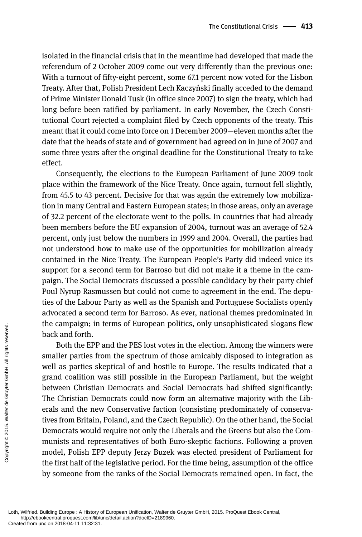isolated in the financial crisis that in the meantime had developed that made the referendum of 2 October 2009 come out very differently than the previous one: With a turnout of fifty-eight percent, some 67.1 percent now voted for the Lisbon Treaty. After that, Polish President Lech Kaczyński finally acceded to the demand of Prime Minister Donald Tusk (in office since 2007) to sign the treaty, which had long before been ratified by parliament. In early November, the Czech Constitutional Court rejected a complaint filed by Czech opponents of the treaty. This meant that it could come into force on 1 December 2009—eleven months after the date that the heads of state and of government had agreed on in June of 2007 and some three years after the original deadline for the Constitutional Treaty to take effect.

Consequently, the elections to the European Parliament of June 2009 took place within the framework of the Nice Treaty. Once again, turnout fell slightly, from 45.5 to 43 percent. Decisive for that was again the extremely low mobilization in many Central and Eastern European states; in those areas, only an average of 32.2 percent of the electorate went to the polls. In countries that had already been members before the EU expansion of 2004, turnout was an average of 52.4 percent, only just below the numbers in 1999 and 2004. Overall, the parties had not understood how to make use of the opportunities for mobilization already contained in the Nice Treaty. The European People's Party did indeed voice its support for a second term for Barroso but did not make it a theme in the campaign. The Social Democrats discussed a possible candidacy by their party chief Poul Nyrup Rasmussen but could not come to agreement in the end. The deputies of the Labour Party as well as the Spanish and Portuguese Socialists openly advocated a second term for Barroso. As ever, national themes predominated in the campaign; in terms of European politics, only unsophisticated slogans flew back and forth.

Both the EPP and the PES lost votes in the election. Among the winners were smaller parties from the spectrum of those amicably disposed to integration as well as parties skeptical of and hostile to Europe. The results indicated that a grand coalition was still possible in the European Parliament, but the weight between Christian Democrats and Social Democrats had shifted significantly: The Christian Democrats could now form an alternative majority with the Liberals and the new Conservative faction (consisting predominately of conservatives from Britain, Poland, and the Czech Republic). On the other hand, the Social Democrats would require not only the Liberals and the Greens but also the Communists and representatives of both Euro-skeptic factions. Following a proven model, Polish EPP deputy Jerzy Buzek was elected president of Parliament for the first half of the legislative period. For the time being, assumption of the office by someone from the ranks of the Social Democrats remained open. In fact, the Exerces the Camplagn; In<br>
back and forth.<br>
Both the EPP<br>
smaller parties from Both the EPP<br>
smaller parties from Well as parties sk<br>
grand coalition were been christian<br>
The Christian Der<br>
erals and the new<br>
tives from Bri

Loth, Wilfried. Building Europe : A History of European Unification, Walter de Gruyter GmbH, 2015. ProQuest Ebook Central, http://ebookcentral.proquest.com/lib/unc/detail.action?docID=2189960.<br>Created from unc on 2018-04-11 11:32:31.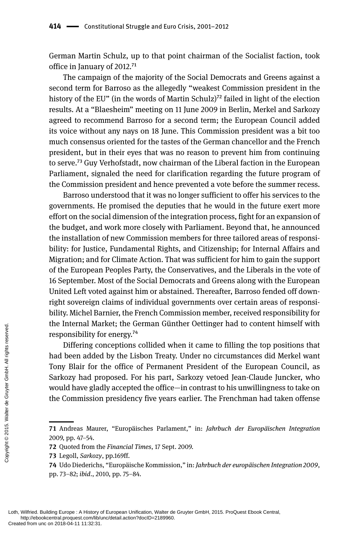German Martin Schulz, up to that point chairman of the Socialist faction, took office in January of 2012.71

The campaign of the majority of the Social Democrats and Greens against a second term for Barroso as the allegedly "weakest Commission president in the history of the EU" (in the words of Martin Schulz)<sup>72</sup> failed in light of the election results. At a "Blaesheim" meeting on 11 June 2009 in Berlin, Merkel and Sarkozy agreed to recommend Barroso for a second term; the European Council added its voice without any nays on 18 June. This Commission president was a bit too much consensus oriented for the tastes of the German chancellor and the French president, but in their eyes that was no reason to prevent him from continuing to serve.<sup>73</sup> Guy Verhofstadt, now chairman of the Liberal faction in the European Parliament, signaled the need for clarification regarding the future program of the Commission president and hence prevented a vote before the summer recess.

Barroso understood that it was no longer sufficient to offer his services to the governments. He promised the deputies that he would in the future exert more effort on the social dimension of the integration process, fight for an expansion of the budget, and work more closely with Parliament. Beyond that, he announced the installation of new Commission members for three tailored areas of responsibility: for Justice, Fundamental Rights, and Citizenship; for Internal Affairs and Migration; and for Climate Action. That was sufficient for him to gain the support of the European Peoples Party, the Conservatives, and the Liberals in the vote of 16 September. Most of the Social Democrats and Greens along with the European United Left voted against him or abstained. Thereafter, Barroso fended off downright sovereign claims of individual governments over certain areas of responsibility. Michel Barnier, the French Commission member, received responsibility for the Internal Market; the German Günther Oettinger had to content himself with responsibility for energy.74

Differing conceptions collided when it came to filling the top positions that had been added by the Lisbon Treaty. Under no circumstances did Merkel want Tony Blair for the office of Permanent President of the European Council, as Sarkozy had proposed. For his part, Sarkozy vetoed Jean-Claude Juncker, who would have gladly accepted the office—in contrast to his unwillingness to take on the Commission presidency five years earlier. The Frenchman had taken offense The internal manufactor of the internal manufactor of the Commission<br>  $\frac{1}{2}$  and  $\frac{1}{2}$  and  $\frac{1}{2}$  and  $\frac{1}{2}$  and  $\frac{1}{2}$  arkozy had provided have glad<br>
the Commission<br>  $\frac{1}{2}$   $\frac{1}{2}$  and  $\frac{1}{2}$  and

**<sup>71</sup>** Andreas Maurer, "Europäisches Parlament," in: *Jahrbuch der Europäischen Integration* 2009, pp. 47–54.

**<sup>72</sup>** Quoted from the *Financial Times*, 17 Sept. 2009.

**<sup>73</sup>** Legoll, *Sarkozy*, pp.169ff.

**<sup>74</sup>** Udo Diederichs, "Europäische Kommission," in: *Jahrbuch der europäischen Integration 2009*, pp. 73–82; *ibid*., 2010, pp. 75–84.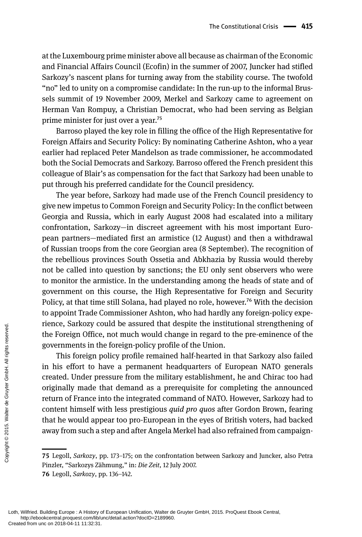at the Luxembourg prime minister above all because as chairman of the Economic and Financial Affairs Council (Ecofin) in the summer of 2007, Juncker had stifled Sarkozy's nascent plans for turning away from the stability course. The twofold "no" led to unity on a compromise candidate: In the run-up to the informal Brussels summit of 19 November 2009, Merkel and Sarkozy came to agreement on Herman Van Rompuy, a Christian Democrat, who had been serving as Belgian prime minister for just over a year.<sup>75</sup>

Barroso played the key role in filling the office of the High Representative for Foreign Affairs and Security Policy: By nominating Catherine Ashton, who a year earlier had replaced Peter Mandelson as trade commissioner, he accommodated both the Social Democrats and Sarkozy. Barroso offered the French president this colleague of Blair's as compensation for the fact that Sarkozy had been unable to put through his preferred candidate for the Council presidency.

The year before, Sarkozy had made use of the French Council presidency to give new impetus to Common Foreign and Security Policy: In the conflict between Georgia and Russia, which in early August 2008 had escalated into a military confrontation, Sarkozy—in discreet agreement with his most important European partners—mediated first an armistice (12 August) and then a withdrawal of Russian troops from the core Georgian area (8 September). The recognition of the rebellious provinces South Ossetia and Abkhazia by Russia would thereby not be called into question by sanctions; the EU only sent observers who were to monitor the armistice. In the understanding among the heads of state and of government on this course, the High Representative for Foreign and Security Policy, at that time still Solana, had played no role, however.<sup>76</sup> With the decision to appoint Trade Commissioner Ashton, who had hardly any foreign-policy experience, Sarkozy could be assured that despite the institutional strengthening of the Foreign Office, not much would change in regard to the pre-eminence of the governments in the foreign-policy profile of the Union.

This foreign policy profile remained half-hearted in that Sarkozy also failed in his effort to have a permanent headquarters of European NATO generals created. Under pressure from the military establishment, he and Chirac too had originally made that demand as a prerequisite for completing the announced return of France into the integrated command of NATO. However, Sarkozy had to content himself with less prestigious *quid pro quos* after Gordon Brown, fearing that he would appear too pro-European in the eyes of British voters, had backed away from such a step and after Angela Merkel had also refrained from campaign-Trence, Sarkozy Created from unc no 2018-04-11 11:32:31.<br>
This foreign provernments in the This foreign provernments in the This foreign provernments in the created. Under proversing reserved. Under proversing that the wou

**<sup>75</sup>** Legoll, *Sarkozy*, pp. 173–175; on the confrontation between Sarkozy and Juncker, also Petra Pinzler, "Sarkozys Zähmung," in: *Die Zeit*, 12 July 2007.

**<sup>76</sup>** Legoll, *Sarkozy*, pp. 136–142.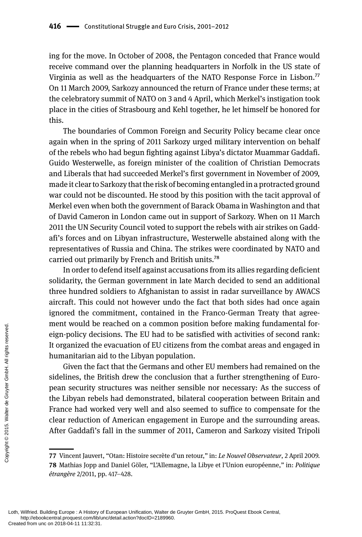ing for the move. In October of 2008, the Pentagon conceded that France would receive command over the planning headquarters in Norfolk in the US state of Virginia as well as the headquarters of the NATO Response Force in Lisbon.77 On 11 March 2009, Sarkozy announced the return of France under these terms; at the celebratory summit of NATO on 3 and 4 April, which Merkel's instigation took place in the cities of Strasbourg and Kehl together, he let himself be honored for this.

The boundaries of Common Foreign and Security Policy became clear once again when in the spring of 2011 Sarkozy urged military intervention on behalf of the rebels who had begun fighting against Libya's dictator Muammar Gaddafi. Guido Westerwelle, as foreign minister of the coalition of Christian Democrats and Liberals that had succeeded Merkel's first government in November of 2009, made it clear to Sarkozy that the risk of becoming entangled in a protracted ground war could not be discounted. He stood by this position with the tacit approval of Merkel even when both the government of Barack Obama in Washington and that of David Cameron in London came out in support of Sarkozy. When on 11 March 2011 the UN Security Council voted to support the rebels with air strikes on Gaddafi's forces and on Libyan infrastructure, Westerwelle abstained along with the representatives of Russia and China. The strikes were coordinated by NATO and carried out primarily by French and British units.78

In order to defend itself against accusations from its allies regarding deficient solidarity, the German government in late March decided to send an additional three hundred soldiers to Afghanistan to assist in radar surveillance by AWACS aircraft. This could not however undo the fact that both sides had once again ignored the commitment, contained in the Franco-German Treaty that agreement would be reached on a common position before making fundamental foreign-policy decisions. The EU had to be satisfied with activities of second rank: It organized the evacuation of EU citizens from the combat areas and engaged in humanitarian aid to the Libyan population.

Given the fact that the Germans and other EU members had remained on the sidelines, the British drew the conclusion that a further strengthening of European security structures was neither sensible nor necessary: As the success of the Libyan rebels had demonstrated, bilateral cooperation between Britain and France had worked very well and also seemed to suffice to compensate for the clear reduction of American engagement in Europe and the surrounding areas. After Gaddafi's fall in the summer of 2011, Cameron and Sarkozy visited Tripoli From the control of the Higher Scheen and Civen the familiar and Given the familiar of the Eibyan reberrance had word and served.<br>
France had word clear reduction After Gaddafi's<br>  $\frac{1}{2}$ <br>  $\frac{1}{2}$ <br>  $\frac{1}{2}$ <br>  $\frac{1}{2}$ 

**<sup>77</sup>** Vincent Jauvert, "Otan: Histoire secrète d'un retour," in: *Le Nouvel Observateur*, 2 April 2009. **78** Mathias Jopp and Daniel Göler, "L'Allemagne, la Libye et l'Union européenne," in: *Politique étrangère* 2/2011, pp. 417–428.

Loth, Wilfried. Building Europe : A History of European Unification, Walter de Gruyter GmbH, 2015. ProQuest Ebook Central, http://ebookcentral.proquest.com/lib/unc/detail.action?docID=2189960.<br>Created from unc on 2018-04-11 11:32:31.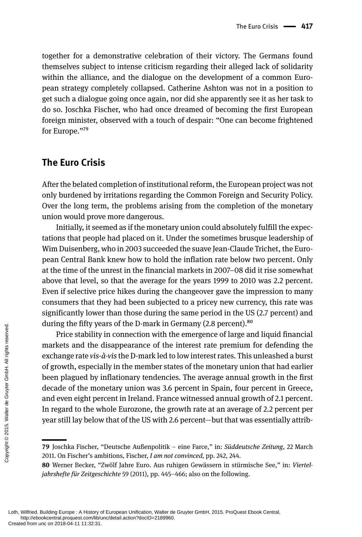together for a demonstrative celebration of their victory. The Germans found themselves subject to intense criticism regarding their alleged lack of solidarity within the alliance, and the dialogue on the development of a common European strategy completely collapsed. Catherine Ashton was not in a position to get such a dialogue going once again, nor did she apparently see it as her task to do so. Joschka Fischer, who had once dreamed of becoming the first European foreign minister, observed with a touch of despair: "One can become frightened for Europe."79

#### **The Euro Crisis**

After the belated completion of institutional reform, the European project was not only burdened by irritations regarding the Common Foreign and Security Policy. Over the long term, the problems arising from the completion of the monetary union would prove more dangerous.

Initially, it seemed as if the monetary union could absolutely fulfill the expectations that people had placed on it. Under the sometimes brusque leadership of Wim Duisenberg, who in 2003 succeeded the suave Jean-Claude Trichet, the European Central Bank knew how to hold the inflation rate below two percent. Only at the time of the unrest in the financial markets in 2007–08 did it rise somewhat above that level, so that the average for the years 1999 to 2010 was 2.2 percent. Even if selective price hikes during the changeover gave the impression to many consumers that they had been subjected to a pricey new currency, this rate was significantly lower than those during the same period in the US (2.7 percent) and during the fifty years of the D-mark in Germany (2.8 percent).<sup>80</sup>

Price stability in connection with the emergence of large and liquid financial markets and the disappearance of the interest rate premium for defending the exchange rate *vis-à-vis* the D-mark led to low interest rates. This unleashed a burst of growth, especially in the member states of the monetary union that had earlier been plagued by inflationary tendencies. The average annual growth in the first decade of the monetary union was 3.6 percent in Spain, four percent in Greece, and even eight percent in Ireland. France witnessed annual growth of 2.1 percent. In regard to the whole Eurozone, the growth rate at an average of 2.2 percent per year still lay below that of the US with 2.6 percent—but that was essentially attrib-The created from unc on 2018-04-11 11:32:31.<br>
Created from unconsideration of the Most Created from unconsideration<br>
Created from unconsideration of the Most Created from unconsideration<br>
Created from unconsideration of th

**<sup>79</sup>** Joschka Fischer, "Deutsche Außenpolitik – eine Farce," in: *Süddeutsche Zeitung*, 22 March 2011. On Fischer's ambitions, Fischer, *I am not convinced,* pp. 242, 244.

**<sup>80</sup>** Werner Becker, "Zwölf Jahre Euro. Aus ruhigen Gewässern in stürmische See," in: *Vierteljahrshefte für Zeitgeschichte* 59 (2011), pp. 445–466; also on the following.

Loth, Wilfried. Building Europe : A History of European Unification, Walter de Gruyter GmbH, 2015. ProQuest Ebook Central, http://ebookcentral.proquest.com/lib/unc/detail.action?docID=2189960.<br>Created from unc on 2018-04-11 11:32:31.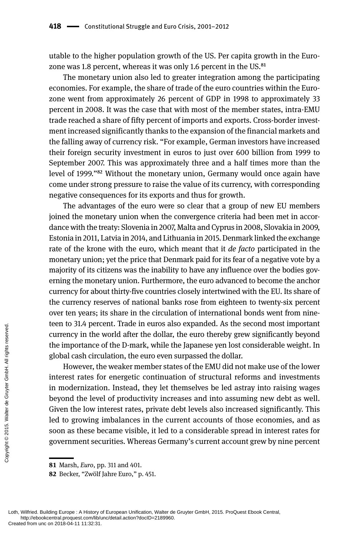utable to the higher population growth of the US. Per capita growth in the Eurozone was 1.8 percent, whereas it was only 1.6 percent in the US. $81$ 

The monetary union also led to greater integration among the participating economies. For example, the share of trade of the euro countries within the Eurozone went from approximately 26 percent of GDP in 1998 to approximately 33 percent in 2008. It was the case that with most of the member states, intra-EMU trade reached a share of fifty percent of imports and exports. Cross-border investment increased significantly thanks to the expansion of the financial markets and the falling away of currency risk. "For example, German investors have increased their foreign security investment in euros to just over 600 billion from 1999 to September 2007. This was approximately three and a half times more than the level of 1999."82 Without the monetary union, Germany would once again have come under strong pressure to raise the value of its currency, with corresponding negative consequences for its exports and thus for growth.

The advantages of the euro were so clear that a group of new EU members joined the monetary union when the convergence criteria had been met in accordance with the treaty: Slovenia in 2007, Malta and Cyprus in 2008, Slovakia in 2009, Estonia in 2011, Latvia in 2014, and Lithuania in 2015. Denmark linked the exchange rate of the krone with the euro, which meant that it *de facto* participated in the monetary union; yet the price that Denmark paid for its fear of a negative vote by a majority of its citizens was the inability to have any influence over the bodies governing the monetary union. Furthermore, the euro advanced to become the anchor currency for about thirty-five countries closely intertwined with the EU. Its share of the currency reserves of national banks rose from eighteen to twenty-six percent over ten years; its share in the circulation of international bonds went from nineteen to 31.4 percent. Trade in euros also expanded. As the second most important currency in the world after the dollar, the euro thereby grew significantly beyond the importance of the D-mark, while the Japanese yen lost considerable weight. In global cash circulation, the euro even surpassed the dollar.

However, the weaker member states of the EMU did not make use of the lower interest rates for energetic continuation of structural reforms and investments in modernization. Instead, they let themselves be led astray into raising wages beyond the level of productivity increases and into assuming new debt as well. Given the low interest rates, private debt levels also increased significantly. This led to growing imbalances in the current accounts of those economies, and as soon as these became visible, it led to a considerable spread in interest rates for government securities. Whereas Germany's current account grew by nine percent Exercise the importance of the importance of the importance of the importance of the importance of the importance of the importance of the importance of the importance of the served Gruyter the low in the lever Given the l

**<sup>81</sup>** Marsh, *Euro*, pp. 311 and 401.

**<sup>82</sup>** Becker, "Zwölf Jahre Euro," p. 451.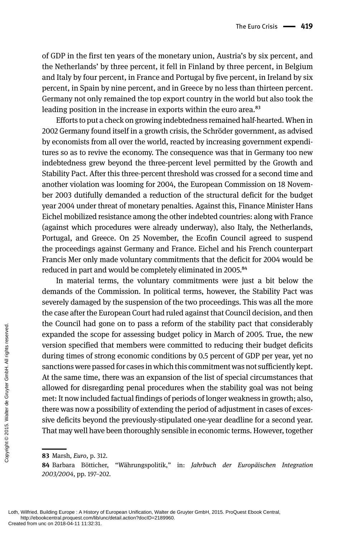of GDP in the first ten years of the monetary union, Austria's by six percent, and the Netherlands' by three percent, it fell in Finland by three percent, in Belgium and Italy by four percent, in France and Portugal by five percent, in Ireland by six percent, in Spain by nine percent, and in Greece by no less than thirteen percent. Germany not only remained the top export country in the world but also took the leading position in the increase in exports within the euro area.<sup>83</sup>

Efforts to put a check on growing indebtedness remained half-hearted. When in 2002 Germany found itself in a growth crisis, the Schröder government, as advised by economists from all over the world, reacted by increasing government expenditures so as to revive the economy. The consequence was that in Germany too new indebtedness grew beyond the three-percent level permitted by the Growth and Stability Pact. After this three-percent threshold was crossed for a second time and another violation was looming for 2004, the European Commission on 18 November 2003 dutifully demanded a reduction of the structural deficit for the budget year 2004 under threat of monetary penalties. Against this, Finance Minister Hans Eichel mobilized resistance among the other indebted countries: along with France (against which procedures were already underway), also Italy, the Netherlands, Portugal, and Greece. On 25 November, the Ecofin Council agreed to suspend the proceedings against Germany and France. Eichel and his French counterpart Francis Mer only made voluntary commitments that the deficit for 2004 would be reduced in part and would be completely eliminated in 2005.<sup>84</sup>

In material terms, the voluntary commitments were just a bit below the demands of the Commission. In political terms, however, the Stability Pact was severely damaged by the suspension of the two proceedings. This was all the more the case after the European Court had ruled against that Council decision, and then the Council had gone on to pass a reform of the stability pact that considerably expanded the scope for assessing budget policy in March of 2005. True, the new version specified that members were committed to reducing their budget deficits during times of strong economic conditions by 0.5 percent of GDP per year, yet no sanctions were passed for cases in which this commitment was not sufficiently kept. At the same time, there was an expansion of the list of special circumstances that allowed for disregarding penal procedures when the stability goal was not being met: It now included factual findings of periods of longer weakness in growth; also, there was now a possibility of extending the period of adjustment in cases of excessive deficits beyond the previously-stipulated one-year deadline for a second year. That may well have been thoroughly sensible in economic terms. However, together The counter had got expanded the scone<br>
wersion specified in during times of stranding times of stranding times of stranding and the same time, allowed for disregnered. It now include<br>
there was now a posive deficits beyo

**<sup>83</sup>** Marsh, *Euro*, p. 312.

**<sup>84</sup>** Barbara Bötticher, "Währungspolitik," in: *Jahrbuch der Europäischen Integration 2003/2004*, pp. 197–202.

Loth, Wilfried. Building Europe : A History of European Unification, Walter de Gruyter GmbH, 2015. ProQuest Ebook Central, http://ebookcentral.proquest.com/lib/unc/detail.action?docID=2189960.<br>Created from unc on 2018-04-11 11:32:31.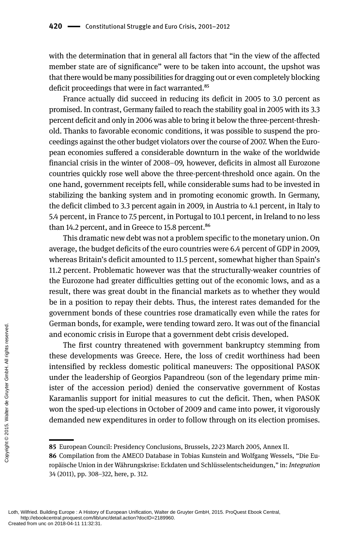with the determination that in general all factors that "in the view of the affected member state are of significance" were to be taken into account, the upshot was that there would be many possibilities for dragging out or even completely blocking deficit proceedings that were in fact warranted.<sup>85</sup>

France actually did succeed in reducing its deficit in 2005 to 3.0 percent as promised. In contrast, Germany failed to reach the stability goal in 2005 with its 3.3 percent deficit and only in 2006 was able to bring it below the three-percent-threshold. Thanks to favorable economic conditions, it was possible to suspend the proceedings against the other budget violators over the course of 2007. When the European economies suffered a considerable downturn in the wake of the worldwide financial crisis in the winter of 2008–09, however, deficits in almost all Eurozone countries quickly rose well above the three-percent-threshold once again. On the one hand, government receipts fell, while considerable sums had to be invested in stabilizing the banking system and in promoting economic growth. In Germany, the deficit climbed to 3.3 percent again in 2009, in Austria to 4.1 percent, in Italy to 5.4 percent, in France to 7.5 percent, in Portugal to 10.1 percent, in Ireland to no less than 14.2 percent, and in Greece to 15.8 percent.<sup>86</sup>

This dramatic new debt was not a problem specific to the monetary union. On average, the budget deficits of the euro countries were 6.4 percent of GDP in 2009, whereas Britain's deficit amounted to 11.5 percent, somewhat higher than Spain's 11.2 percent. Problematic however was that the structurally-weaker countries of the Eurozone had greater difficulties getting out of the economic lows, and as a result, there was great doubt in the financial markets as to whether they would be in a position to repay their debts. Thus, the interest rates demanded for the government bonds of these countries rose dramatically even while the rates for German bonds, for example, were tending toward zero. It was out of the financial and economic crisis in Europe that a government debt crisis developed.

The first country threatened with government bankruptcy stemming from these developments was Greece. Here, the loss of credit worthiness had been intensified by reckless domestic political maneuvers: The oppositional PASOK under the leadership of Georgios Papandreou (son of the legendary prime minister of the accession period) denied the conservative government of Kostas Karamanlis support for initial measures to cut the deficit. Then, when PASOK won the sped-up elections in October of 2009 and came into power, it vigorously demanded new expenditures in order to follow through on its election promises. Exercise these developm<br>
intensified by r<br>
intensified by r<br>
intensified by r<br>
under the leade<br>
ister of the acc<br>
Karamanlis sup<br>
won the sped-ui<br>
demanded new<br>
demanded new<br>
specifical<br>
specifies<br>  $\frac{1}{25}$ <br>
specifies<br>

**<sup>85</sup>** European Council: Presidency Conclusions, Brussels, 22-23 March 2005, Annex II.

**<sup>86</sup>** Compilation from the AMECO Database in Tobias Kunstein and Wolfgang Wessels, "Die Europäische Union in der Währungskrise: Eckdaten und Schlüsselentscheidungen," in: *Integration* 34 (2011), pp. 308–322, here, p. 312.

Loth, Wilfried. Building Europe : A History of European Unification, Walter de Gruyter GmbH, 2015. ProQuest Ebook Central, http://ebookcentral.proquest.com/lib/unc/detail.action?docID=2189960.<br>Created from unc on 2018-04-11 11:32:31.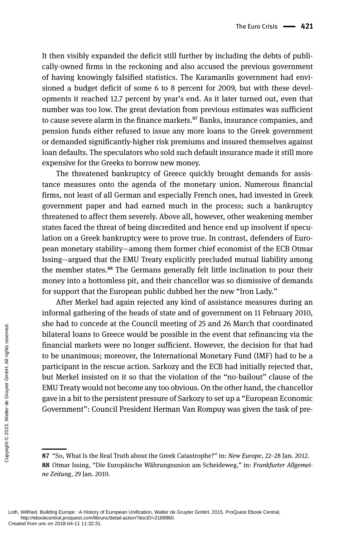It then visibly expanded the deficit still further by including the debts of publically-owned firms in the reckoning and also accused the previous government of having knowingly falsified statistics. The Karamanlis government had envisioned a budget deficit of some 6 to 8 percent for 2009, but with these developments it reached 12.7 percent by year's end. As it later turned out, even that number was too low. The great deviation from previous estimates was sufficient to cause severe alarm in the finance markets.<sup>87</sup> Banks, insurance companies, and pension funds either refused to issue any more loans to the Greek government or demanded significantly-higher risk premiums and insured themselves against loan defaults. The speculators who sold such default insurance made it still more expensive for the Greeks to borrow new money.

The threatened bankruptcy of Greece quickly brought demands for assistance measures onto the agenda of the monetary union. Numerous financial firms, not least of all German and especially French ones, had invested in Greek government paper and had earned much in the process; such a bankruptcy threatened to affect them severely. Above all, however, other weakening member states faced the threat of being discredited and hence end up insolvent if speculation on a Greek bankruptcy were to prove true. In contrast, defenders of European monetary stability—among them former chief economist of the ECB Otmar Issing—argued that the EMU Treaty explicitly precluded mutual liability among the member states.<sup>88</sup> The Germans generally felt little inclination to pour their money into a bottomless pit, and their chancellor was so dismissive of demands for support that the European public dubbed her the new "Iron Lady."

After Merkel had again rejected any kind of assistance measures during an informal gathering of the heads of state and of government on 11 February 2010, she had to concede at the Council meeting of 25 and 26 March that coordinated bilateral loans to Greece would be possible in the event that refinancing via the financial markets were no longer sufficient. However, the decision for that had to be unanimous; moreover, the International Monetary Fund (IMF) had to be a participant in the rescue action. Sarkozy and the ECB had initially rejected that, but Merkel insisted on it so that the violation of the "no-bailout" clause of the EMU Treaty would not become any too obvious. On the other hand, the chancellor gave in a bit to the persistent pressure of Sarkozy to set up a "European Economic Government": Council President Herman Van Rompuy was given the task of pre-Sile individed both<br>
Let the distance in the both Merkel insiste<br>
to be unanimous;<br>
participant in the<br>
but Merkel insiste<br>
EMU Treaty would<br>
gave in a bit to the<br>
Government": Cor<br>
Since<br>
Since<br>
Since<br>
Since<br>
Since<br>
Sinc

**<sup>87</sup>** "So, What Is the Real Truth about the Greek Catastrophe?" in: *New Europe*, 22–28 Jan. 2012. **88** Otmar Issing, "Die Europäische Währungsunion am Scheideweg," in: *Frankfurter Allgemeine Zeitung*, 29 Jan. 2010.

Loth, Wilfried. Building Europe : A History of European Unification, Walter de Gruyter GmbH, 2015. ProQuest Ebook Central, http://ebookcentral.proquest.com/lib/unc/detail.action?docID=2189960.<br>Created from unc on 2018-04-11 11:32:31.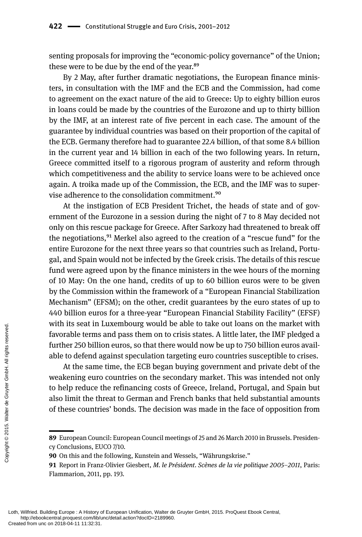senting proposals for improving the "economic-policy governance" of the Union; these were to be due by the end of the year.<sup>89</sup>

By 2 May, after further dramatic negotiations, the European finance ministers, in consultation with the IMF and the ECB and the Commission, had come to agreement on the exact nature of the aid to Greece: Up to eighty billion euros in loans could be made by the countries of the Eurozone and up to thirty billion by the IMF, at an interest rate of five percent in each case. The amount of the guarantee by individual countries was based on their proportion of the capital of the ECB. Germany therefore had to guarantee 22.4 billion, of that some 8.4 billion in the current year and 14 billion in each of the two following years. In return, Greece committed itself to a rigorous program of austerity and reform through which competitiveness and the ability to service loans were to be achieved once again. A troika made up of the Commission, the ECB, and the IMF was to supervise adherence to the consolidation commitment.<sup>90</sup>

At the instigation of ECB President Trichet, the heads of state and of government of the Eurozone in a session during the night of 7 to 8 May decided not only on this rescue package for Greece. After Sarkozy had threatened to break off the negotiations,<sup>91</sup> Merkel also agreed to the creation of a "rescue fund" for the entire Eurozone for the next three years so that countries such as Ireland, Portugal, and Spain would not be infected by the Greek crisis. The details of this rescue fund were agreed upon by the finance ministers in the wee hours of the morning of 10 May: On the one hand, credits of up to 60 billion euros were to be given by the Commission within the framework of a "European Financial Stabilization Mechanism" (EFSM); on the other, credit guarantees by the euro states of up to 440 billion euros for a three-year "European Financial Stability Facility" (EFSF) with its seat in Luxembourg would be able to take out loans on the market with favorable terms and pass them on to crisis states. A little later, the IMF pledged a further 250 billion euros, so that there would now be up to 750 billion euros available to defend against speculation targeting euro countries susceptible to crises.

At the same time, the ECB began buying government and private debt of the weakening euro countries on the secondary market. This was intended not only to help reduce the refinancing costs of Greece, Ireland, Portugal, and Spain but also limit the threat to German and French banks that held substantial amounts of these countries' bonds. The decision was made in the face of opposition from WITH TIS Seat III<br>
favorable terms<br>
further 250 billi<br>
able to defend a<br>
At the same<br>
weakening eurc<br>
to help reduce t<br>
also limit the th<br>
of these countri<br>
Seasured.<br>
Seasured.<br>
Seasured.<br>
Po On this and the<br>
Pixel Repor

**<sup>89</sup>** European Council: European Council meetings of 25 and 26 March 2010 in Brussels. Presidency Conclusions, EUCO 7/10.

**<sup>90</sup>** On this and the following, Kunstein and Wessels, "Währungskrise."

**<sup>91</sup>** Report in Franz-Olivier Giesbert, *M. le Président. Scènes de la vie politique 2005–2011*, Paris: Flammarion, 2011, pp. 193.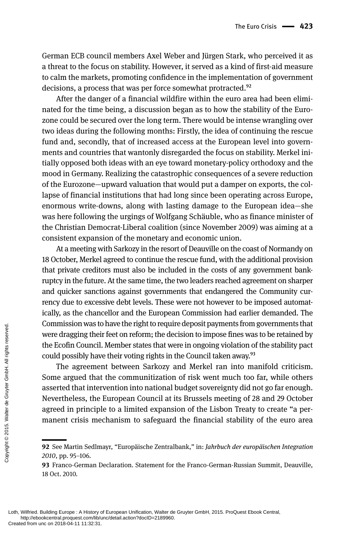German ECB council members Axel Weber and Jürgen Stark, who perceived it as a threat to the focus on stability. However, it served as a kind of first-aid measure to calm the markets, promoting confidence in the implementation of government decisions, a process that was per force somewhat protracted.<sup>92</sup>

After the danger of a financial wildfire within the euro area had been eliminated for the time being, a discussion began as to how the stability of the Eurozone could be secured over the long term. There would be intense wrangling over two ideas during the following months: Firstly, the idea of continuing the rescue fund and, secondly, that of increased access at the European level into governments and countries that wantonly disregarded the focus on stability. Merkel initially opposed both ideas with an eye toward monetary-policy orthodoxy and the mood in Germany. Realizing the catastrophic consequences of a severe reduction of the Eurozone—upward valuation that would put a damper on exports, the collapse of financial institutions that had long since been operating across Europe, enormous write-downs, along with lasting damage to the European idea—she was here following the urgings of Wolfgang Schäuble, who as finance minister of the Christian Democrat-Liberal coalition (since November 2009) was aiming at a consistent expansion of the monetary and economic union.

At a meeting with Sarkozy in the resort of Deauville on the coast of Normandy on 18 October, Merkel agreed to continue the rescue fund, with the additional provision that private creditors must also be included in the costs of any government bankruptcy in the future. At the same time, the two leaders reached agreement on sharper and quicker sanctions against governments that endangered the Community currency due to excessive debt levels. These were not however to be imposed automatically, as the chancellor and the European Commission had earlier demanded. The Commission was to have the right to require deposit payments from governments that were dragging their feet on reform; the decision to impose fines was to be retained by the Ecofin Council. Member states that were in ongoing violation of the stability pact could possibly have their voting rights in the Council taken away.<sup>93</sup>

The agreement between Sarkozy and Merkel ran into manifold criticism. Some argued that the communitization of risk went much too far, while others asserted that intervention into national budget sovereignty did not go far enough. Nevertheless, the European Council at its Brussels meeting of 28 and 29 October agreed in principle to a limited expansion of the Lisbon Treaty to create "a permanent crisis mechanism to safeguard the financial stability of the euro area Commission was turned from the Ecofin Council<br>
could possibly hav<br>
The agreement Some argued that<br>
asserted that inter<br>
Nevertheless, the<br>
agreed in principl<br>
manent crisis me<br>  $\frac{200}{20}$ <br>  $\frac{2010}{2010}$ , pp. 95–106.<br>

**<sup>92</sup>** See Martin Sedlmayr, "Europäische Zentralbank," in: *Jahrbuch der europäischen Integration 2010*, pp. 95–106.

**<sup>93</sup>** Franco-German Declaration. Statement for the Franco-German-Russian Summit, Deauville, 18 Oct. 2010.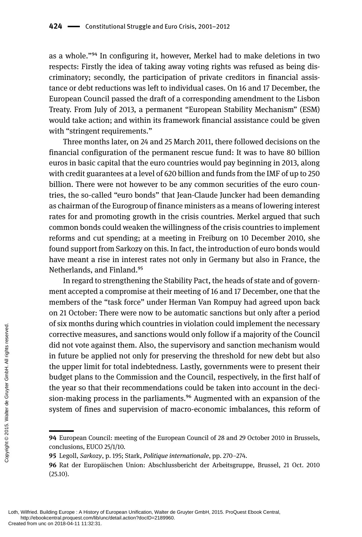as a whole."94 In configuring it, however, Merkel had to make deletions in two respects: Firstly the idea of taking away voting rights was refused as being discriminatory; secondly, the participation of private creditors in financial assistance or debt reductions was left to individual cases. On 16 and 17 December, the European Council passed the draft of a corresponding amendment to the Lisbon Treaty. From July of 2013, a permanent "European Stability Mechanism" (ESM) would take action; and within its framework financial assistance could be given with "stringent requirements."

Three months later, on 24 and 25 March 2011, there followed decisions on the financial configuration of the permanent rescue fund: It was to have 80 billion euros in basic capital that the euro countries would pay beginning in 2013, along with credit guarantees at a level of 620 billion and funds from the IMF of up to 250 billion. There were not however to be any common securities of the euro countries, the so-called "euro bonds" that Jean-Claude Juncker had been demanding as chairman of the Eurogroup of finance ministers as a means of lowering interest rates for and promoting growth in the crisis countries. Merkel argued that such common bonds could weaken the willingness of the crisis countries to implement reforms and cut spending; at a meeting in Freiburg on 10 December 2010, she found support from Sarkozy on this. In fact, the introduction of euro bonds would have meant a rise in interest rates not only in Germany but also in France, the Netherlands, and Finland.<sup>95</sup>

In regard to strengthening the Stability Pact, the heads of state and of government accepted a compromise at their meeting of 16 and 17 December, one that the members of the "task force" under Herman Van Rompuy had agreed upon back on 21 October: There were now to be automatic sanctions but only after a period of six months during which countries in violation could implement the necessary corrective measures, and sanctions would only follow if a majority of the Council did not vote against them. Also, the supervisory and sanction mechanism would in future be applied not only for preserving the threshold for new debt but also the upper limit for total indebtedness. Lastly, governments were to present their budget plans to the Commission and the Council, respectively, in the first half of the year so that their recommendations could be taken into account in the decision-making process in the parliaments.<sup>96</sup> Augmented with an expansion of the system of fines and supervision of macro-economic imbalances, this reform of Created from unc on 2018-04-11 11:32:31.<br>Created from unc on 2018-04-11 11:32:31.<br>Created from unc on 2018-04-11 11:32:31.<br>Created from unc on 2018-04-11 11:32:31.<br>Created from unc on 2018-04-11 11:32:31.

**<sup>94</sup>** European Council: meeting of the European Council of 28 and 29 October 2010 in Brussels, conclusions, EUCO 25/1/10.

**<sup>95</sup>** Legoll, *Sarkozy*, p. 195; Stark, *Politique internationale*, pp. 270–274.

**<sup>96</sup>** Rat der Europäischen Union: Abschlussbericht der Arbeitsgruppe, Brussel, 21 Oct. 2010  $(25.10).$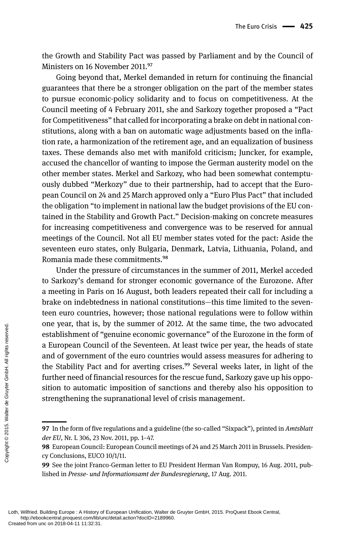the Growth and Stability Pact was passed by Parliament and by the Council of Ministers on 16 November 2011.97

Going beyond that, Merkel demanded in return for continuing the financial guarantees that there be a stronger obligation on the part of the member states to pursue economic-policy solidarity and to focus on competitiveness. At the Council meeting of 4 February 2011, she and Sarkozy together proposed a "Pact for Competitiveness" that called for incorporating a brake on debt in national constitutions, along with a ban on automatic wage adjustments based on the inflation rate, a harmonization of the retirement age, and an equalization of business taxes. These demands also met with manifold criticism; Juncker, for example, accused the chancellor of wanting to impose the German austerity model on the other member states. Merkel and Sarkozy, who had been somewhat contemptuously dubbed "Merkozy" due to their partnership, had to accept that the European Council on 24 and 25 March approved only a "Euro Plus Pact" that included the obligation "to implement in national law the budget provisions of the EU contained in the Stability and Growth Pact." Decision-making on concrete measures for increasing competitiveness and convergence was to be reserved for annual meetings of the Council. Not all EU member states voted for the pact: Aside the seventeen euro states, only Bulgaria, Denmark, Latvia, Lithuania, Poland, and Romania made these commitments.98

Under the pressure of circumstances in the summer of 2011, Merkel acceded to Sarkozy's demand for stronger economic governance of the Eurozone. After a meeting in Paris on 16 August, both leaders repeated their call for including a brake on indebtedness in national constitutions—this time limited to the seventeen euro countries, however; those national regulations were to follow within one year, that is, by the summer of 2012. At the same time, the two advocated establishment of "genuine economic governance" of the Eurozone in the form of a European Council of the Seventeen. At least twice per year, the heads of state and of government of the euro countries would assess measures for adhering to the Stability Pact and for averting crises.<sup>99</sup> Several weeks later, in light of the further need of financial resources for the rescue fund, Sarkozy gave up his opposition to automatic imposition of sanctions and thereby also his opposition to strengthening the supranational level of crisis management. From the Stabilishment of<br>
the Stabilishment of the Stability Pact<br>
and of governmer<br>
the Stability Pact<br>
further need of fin<br>
sition to automat<br>
strengthening the<br>
since the Stabilishment of the Stability Pact<br>
further n

**<sup>97</sup>** In the form of five regulations and a guideline (the so-called "Sixpack"), printed in *Amtsblatt der EU*, Nr. L 306, 23 Nov. 2011, pp. 1–47.

**<sup>98</sup>** European Council: European Council meetings of 24 and 25 March 2011 in Brussels. Presidency Conclusions, EUCO 10/1/11.

**<sup>99</sup>** See the joint Franco-German letter to EU President Herman Van Rompuy, 16 Aug. 2011, published in *Presse- und Informationsamt der Bundesregierung*, 17 Aug. 2011.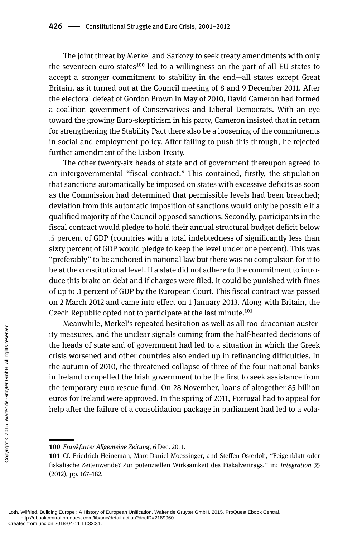The joint threat by Merkel and Sarkozy to seek treaty amendments with only the seventeen euro states<sup>100</sup> led to a willingness on the part of all EU states to accept a stronger commitment to stability in the end—all states except Great Britain, as it turned out at the Council meeting of 8 and 9 December 2011. After the electoral defeat of Gordon Brown in May of 2010, David Cameron had formed a coalition government of Conservatives and Liberal Democrats. With an eye toward the growing Euro-skepticism in his party, Cameron insisted that in return for strengthening the Stability Pact there also be a loosening of the commitments in social and employment policy. After failing to push this through, he rejected further amendment of the Lisbon Treaty.

The other twenty-six heads of state and of government thereupon agreed to an intergovernmental "fiscal contract." This contained, firstly, the stipulation that sanctions automatically be imposed on states with excessive deficits as soon as the Commission had determined that permissible levels had been breached; deviation from this automatic imposition of sanctions would only be possible if a qualified majority of the Council opposed sanctions. Secondly, participants in the fiscal contract would pledge to hold their annual structural budget deficit below .5 percent of GDP (countries with a total indebtedness of significantly less than sixty percent of GDP would pledge to keep the level under one percent). This was "preferably" to be anchored in national law but there was no compulsion for it to be at the constitutional level. If a state did not adhere to the commitment to introduce this brake on debt and if charges were filed, it could be punished with fines of up to .1 percent of GDP by the European Court. This fiscal contract was passed on 2 March 2012 and came into effect on 1 January 2013. Along with Britain, the Czech Republic opted not to participate at the last minute.101

Meanwhile, Merkel's repeated hesitation as well as all-too-draconian austerity measures, and the unclear signals coming from the half-hearted decisions of the heads of state and of government had led to a situation in which the Greek crisis worsened and other countries also ended up in refinancing difficulties. In the autumn of 2010, the threatened collapse of three of the four national banks in Ireland compelled the Irish government to be the first to seek assistance from the temporary euro rescue fund. On 28 November, loans of altogether 85 billion euros for Ireland were approved. In the spring of 2011, Portugal had to appeal for help after the failure of a consolidation package in parliament had led to a vola-Exercise the heads of states in the heads of states in the heads of states in the autumn of  $\frac{1}{2}$  in Ireland compute the autumn of  $\frac{1}{2}$  in Ireland compute the temporary equinos for Ireland help after the fask  $\frac$ 

**<sup>100</sup>** *Frankfurter Allgemeine Zeitung*, 6 Dec. 2011.

**<sup>101</sup>** Cf. Friedrich Heineman, Marc-Daniel Moessinger, and Steffen Osterloh, "Feigenblatt oder fiskalische Zeitenwende? Zur potenziellen Wirksamkeit des Fiskalvertrags," in: *Integration* 35 (2012), pp. 167–182.

Loth, Wilfried. Building Europe : A History of European Unification, Walter de Gruyter GmbH, 2015. ProQuest Ebook Central, http://ebookcentral.proquest.com/lib/unc/detail.action?docID=2189960.<br>Created from unc on 2018-04-11 11:32:31.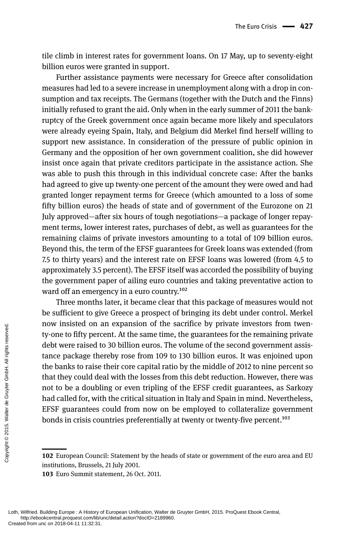tile climb in interest rates for government loans. On 17 May, up to seventy-eight billion euros were granted in support.

Further assistance payments were necessary for Greece after consolidation measures had led to a severe increase in unemployment along with a drop in consumption and tax receipts. The Germans (together with the Dutch and the Finns) initially refused to grant the aid. Only when in the early summer of 2011 the bankruptcy of the Greek government once again became more likely and speculators were already eyeing Spain, Italy, and Belgium did Merkel find herself willing to support new assistance. In consideration of the pressure of public opinion in Germany and the opposition of her own government coalition, she did however insist once again that private creditors participate in the assistance action. She was able to push this through in this individual concrete case: After the banks had agreed to give up twenty-one percent of the amount they were owed and had granted longer repayment terms for Greece (which amounted to a loss of some fifty billion euros) the heads of state and of government of the Eurozone on 21 July approved—after six hours of tough negotiations—a package of longer repayment terms, lower interest rates, purchases of debt, as well as guarantees for the remaining claims of private investors amounting to a total of 109 billion euros. Beyond this, the term of the EFSF guarantees for Greek loans was extended (from 7.5 to thirty years) and the interest rate on EFSF loans was lowered (from 4.5 to approximately 3.5 percent). The EFSF itself was accorded the possibility of buying the government paper of ailing euro countries and taking preventative action to ward off an emergency in a euro country.<sup>102</sup>

Three months later, it became clear that this package of measures would not be sufficient to give Greece a prospect of bringing its debt under control. Merkel now insisted on an expansion of the sacrifice by private investors from twenty-one to fifty percent. At the same time, the guarantees for the remaining private debt were raised to 30 billion euros. The volume of the second government assistance package thereby rose from 109 to 130 billion euros. It was enjoined upon the banks to raise their core capital ratio by the middle of 2012 to nine percent so that they could deal with the losses from this debt reduction. However, there was not to be a doubling or even tripling of the EFSF credit guarantees, as Sarkozy had called for, with the critical situation in Italy and Spain in mind. Nevertheless, EFSF guarantees could from now on be employed to collateralize government bonds in crisis countries preferentially at twenty or twenty-five percent.<sup>103</sup> The depth ware raised on the banks to raised than they could denot to be a doubled on the banks to raise that they could denot to be a doubled on the and called for, with EFSF guarantees bonds in crisis copyrights reserved

**<sup>102</sup>** European Council: Statement by the heads of state or government of the euro area and EU institutions, Brussels, 21 July 2001.

**<sup>103</sup>** Euro Summit statement, 26 Oct. 2011.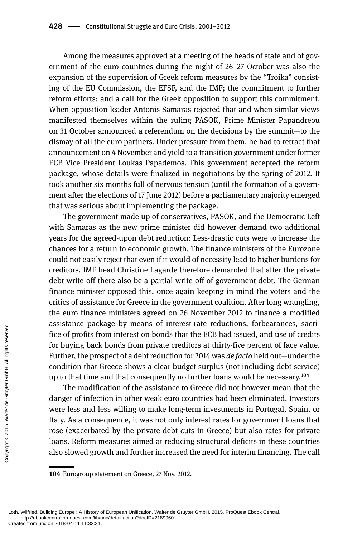Among the measures approved at a meeting of the heads of state and of government of the euro countries during the night of 26–27 October was also the expansion of the supervision of Greek reform measures by the "Troika" consisting of the EU Commission, the EFSF, and the IMF; the commitment to further reform efforts; and a call for the Greek opposition to support this commitment. When opposition leader Antonis Samaras rejected that and when similar views manifested themselves within the ruling PASOK, Prime Minister Papandreou on 31 October announced a referendum on the decisions by the summit—to the dismay of all the euro partners. Under pressure from them, he had to retract that announcement on 4 November and yield to a transition government under former ECB Vice President Loukas Papademos. This government accepted the reform package, whose details were finalized in negotiations by the spring of 2012. It took another six months full of nervous tension (until the formation of a government after the elections of 17 June 2012) before a parliamentary majority emerged that was serious about implementing the package.

The government made up of conservatives, PASOK, and the Democratic Left with Samaras as the new prime minister did however demand two additional years for the agreed-upon debt reduction: Less-drastic cuts were to increase the chances for a return to economic growth. The finance ministers of the Eurozone could not easily reject that even if it would of necessity lead to higher burdens for creditors. IMF head Christine Lagarde therefore demanded that after the private debt write-off there also be a partial write-off of government debt. The German finance minister opposed this, once again keeping in mind the voters and the critics of assistance for Greece in the government coalition. After long wrangling, the euro finance ministers agreed on 26 November 2012 to finance a modified assistance package by means of interest-rate reductions, forbearances, sacrifice of profits from interest on bonds that the ECB had issued, and use of credits for buying back bonds from private creditors at thirty-five percent of face value. Further, the prospect of a debt reduction for 2014 was *de facto* held out—under the condition that Greece shows a clear budget surplus (not including debt service) up to that time and that consequently no further loans would be necessary.<sup>104</sup>

The modification of the assistance to Greece did not however mean that the danger of infection in other weak euro countries had been eliminated. Investors were less and less willing to make long-term investments in Portugal, Spain, or Italy. As a consequence, it was not only interest rates for government loans that rose (exacerbated by the private debt cuts in Greece) but also rates for private loans. Reform measures aimed at reducing structural deficits in these countries also slowed growth and further increased the need for interim financing. The call Exercise<br>
Figure of profits from the processes<br>
Further, the processes<br>
Further, the processes<br>
condition that (<br>
up to that time<br>
The modific<br>
danger of infect<br>
were less and le<br>
Italy. As a conserved<br>
rose (exacerbat<br>
lo

**<sup>104</sup>** Eurogroup statement on Greece, 27 Nov. 2012.

Loth, Wilfried. Building Europe : A History of European Unification, Walter de Gruyter GmbH, 2015. ProQuest Ebook Central, http://ebookcentral.proquest.com/lib/unc/detail.action?docID=2189960.<br>Created from unc on 2018-04-11 11:32:31.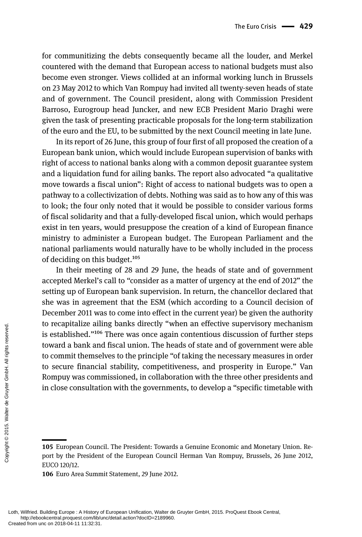for communitizing the debts consequently became all the louder, and Merkel countered with the demand that European access to national budgets must also become even stronger. Views collided at an informal working lunch in Brussels on 23 May 2012 to which Van Rompuy had invited all twenty-seven heads of state and of government. The Council president, along with Commission President Barroso, Eurogroup head Juncker, and new ECB President Mario Draghi were given the task of presenting practicable proposals for the long-term stabilization of the euro and the EU, to be submitted by the next Council meeting in late June.

In its report of 26 June, this group of four first of all proposed the creation of a European bank union, which would include European supervision of banks with right of access to national banks along with a common deposit guarantee system and a liquidation fund for ailing banks. The report also advocated "a qualitative move towards a fiscal union": Right of access to national budgets was to open a pathway to a collectivization of debts. Nothing was said as to how any of this was to look; the four only noted that it would be possible to consider various forms of fiscal solidarity and that a fully-developed fiscal union, which would perhaps exist in ten years, would presuppose the creation of a kind of European finance ministry to administer a European budget. The European Parliament and the national parliaments would naturally have to be wholly included in the process of deciding on this budget.105

In their meeting of 28 and 29 June, the heads of state and of government accepted Merkel's call to "consider as a matter of urgency at the end of 2012" the setting up of European bank supervision. In return, the chancellor declared that she was in agreement that the ESM (which according to a Council decision of December 2011 was to come into effect in the current year) be given the authority to recapitalize ailing banks directly "when an effective supervisory mechanism is established."<sup>106</sup> There was once again contentious discussion of further steps toward a bank and fiscal union. The heads of state and of government were able to commit themselves to the principle "of taking the necessary measures in order to secure financial stability, competitiveness, and prosperity in Europe." Van Rompuy was commissioned, in collaboration with the three other presidents and in close consultation with the governments, to develop a "specific timetable with Created from unc on 2018-04-11 11:32:31.<br>Created from uncontrol Created from uncontrol Created from uncontrol Created from uncontrol Created from uncontrol Created from uncontrol 2018-04-11 11:32:31.<br>Created from uncontro

**<sup>105</sup>** European Council. The President: Towards a Genuine Economic and Monetary Union. Report by the President of the European Council Herman Van Rompuy, Brussels, 26 June 2012, EUCO 120/12.

**<sup>106</sup>** Euro Area Summit Statement, 29 June 2012.

Loth, Wilfried. Building Europe : A History of European Unification, Walter de Gruyter GmbH, 2015. ProQuest Ebook Central, http://ebookcentral.proquest.com/lib/unc/detail.action?docID=2189960.<br>Created from unc on 2018-04-11 11:32:31.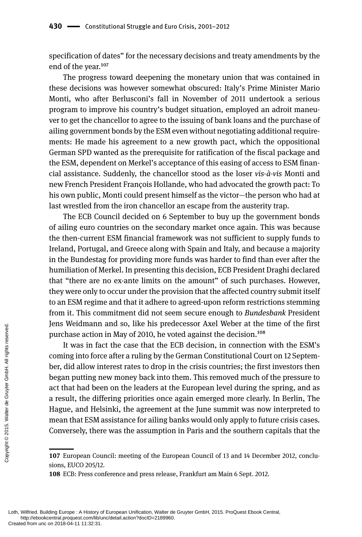specification of dates" for the necessary decisions and treaty amendments by the end of the vear.<sup>107</sup>

The progress toward deepening the monetary union that was contained in these decisions was however somewhat obscured: Italy's Prime Minister Mario Monti, who after Berlusconi's fall in November of 2011 undertook a serious program to improve his country's budget situation, employed an adroit maneuver to get the chancellor to agree to the issuing of bank loans and the purchase of ailing government bonds by the ESM even without negotiating additional requirements: He made his agreement to a new growth pact, which the oppositional German SPD wanted as the prerequisite for ratification of the fiscal package and the ESM, dependent on Merkel's acceptance of this easing of access to ESM financial assistance. Suddenly, the chancellor stood as the loser *vis-à-vis* Monti and new French President François Hollande, who had advocated the growth pact: To his own public, Monti could present himself as the victor—the person who had at last wrestled from the iron chancellor an escape from the austerity trap.

The ECB Council decided on 6 September to buy up the government bonds of ailing euro countries on the secondary market once again. This was because the then-current ESM financial framework was not sufficient to supply funds to Ireland, Portugal, and Greece along with Spain and Italy, and because a majority in the Bundestag for providing more funds was harder to find than ever after the humiliation of Merkel. In presenting this decision, ECB President Draghi declared that "there are no ex-ante limits on the amount" of such purchases. However, they were only to occur under the provision that the affected country submit itself to an ESM regime and that it adhere to agreed-upon reform restrictions stemming from it. This commitment did not seem secure enough to *Bundesbank* President Jens Weidmann and so, like his predecessor Axel Weber at the time of the first purchase action in May of 2010, he voted against the decision.<sup>108</sup>

It was in fact the case that the ECB decision, in connection with the ESM's coming into force after a ruling by the German Constitutional Court on 12 September, did allow interest rates to drop in the crisis countries; the first investors then began putting new money back into them. This removed much of the pressure to act that had been on the leaders at the European level during the spring, and as a result, the differing priorities once again emerged more clearly. In Berlin, The Hague, and Helsinki, the agreement at the June summit was now interpreted to mean that ESM assistance for ailing banks would only apply to future crisis cases. Conversely, there was the assumption in Paris and the southern capitals that the From the community of the community of the community of the community of the control of the control of the control of the control of the control of the control of the control of the control of the control of the control of

**<sup>107</sup>** European Council: meeting of the European Council of 13 and 14 December 2012, conclusions, EUCO 205/12.

**<sup>108</sup>** ECB: Press conference and press release, Frankfurt am Main 6 Sept. 2012.

Loth, Wilfried. Building Europe : A History of European Unification, Walter de Gruyter GmbH, 2015. ProQuest Ebook Central, http://ebookcentral.proquest.com/lib/unc/detail.action?docID=2189960.<br>Created from unc on 2018-04-11 11:32:31.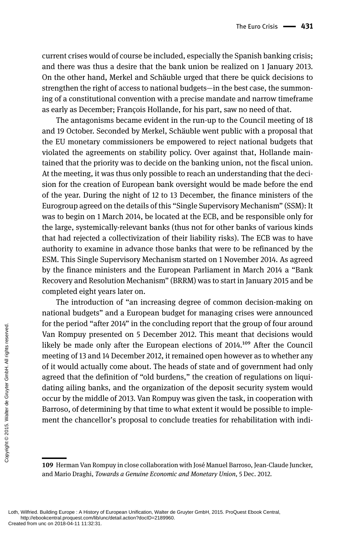current crises would of course be included, especially the Spanish banking crisis; and there was thus a desire that the bank union be realized on 1 January 2013. On the other hand, Merkel and Schäuble urged that there be quick decisions to strengthen the right of access to national budgets—in the best case, the summoning of a constitutional convention with a precise mandate and narrow timeframe as early as December; François Hollande, for his part, saw no need of that.

The antagonisms became evident in the run-up to the Council meeting of 18 and 19 October. Seconded by Merkel, Schäuble went public with a proposal that the EU monetary commissioners be empowered to reject national budgets that violated the agreements on stability policy. Over against that, Hollande maintained that the priority was to decide on the banking union, not the fiscal union. At the meeting, it was thus only possible to reach an understanding that the decision for the creation of European bank oversight would be made before the end of the year. During the night of 12 to 13 December, the finance ministers of the Eurogroup agreed on the details of this "Single Supervisory Mechanism" (SSM): It was to begin on 1 March 2014, be located at the ECB, and be responsible only for the large, systemically-relevant banks (thus not for other banks of various kinds that had rejected a collectivization of their liability risks). The ECB was to have authority to examine in advance those banks that were to be refinanced by the ESM. This Single Supervisory Mechanism started on 1 November 2014. As agreed by the finance ministers and the European Parliament in March 2014 a "Bank Recovery and Resolution Mechanism" (BRRM) was to start in January 2015 and be completed eight years later on.

The introduction of "an increasing degree of common decision-making on national budgets" and a European budget for managing crises were announced for the period "after 2014" in the concluding report that the group of four around Van Rompuy presented on 5 December 2012. This meant that decisions would likely be made only after the European elections of 2014.109 After the Council meeting of 13 and 14 December 2012, it remained open however as to whether any of it would actually come about. The heads of state and of government had only agreed that the definition of "old burdens," the creation of regulations on liquidating ailing banks, and the organization of the deposit security system would occur by the middle of 2013. Van Rompuy was given the task, in cooperation with Barroso, of determining by that time to what extent it would be possible to implement the chancellor's proposal to conclude treaties for rehabilitation with indi-From Unc on 2018-04-11 11:32:31.<br>
Van Rompuy pres<br>
likely be made of<br>
meeting of 13 and<br>
of it would actual<br>
agreed that the de<br>
dating ailing ban<br>
occur by the midd<br>
Barroso, of determ<br>
ment the chancel<br>
served.<br>
Served.

**<sup>109</sup>** Herman Van Rompuy in close collaboration with José Manuel Barroso, Jean-Claude Juncker, and Mario Draghi, *Towards a Genuine Economic and Monetary Union*, 5 Dec. 2012.

Loth, Wilfried. Building Europe : A History of European Unification, Walter de Gruyter GmbH, 2015. ProQuest Ebook Central, http://ebookcentral.proquest.com/lib/unc/detail.action?docID=2189960.<br>Created from unc on 2018-04-11 11:32:31.